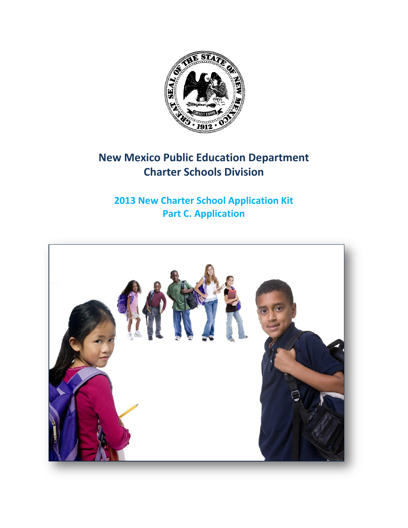

# **New Mexico Public Education Department Charter Schools Division**

# **2013 New Charter School Application Kit Part C. Application**

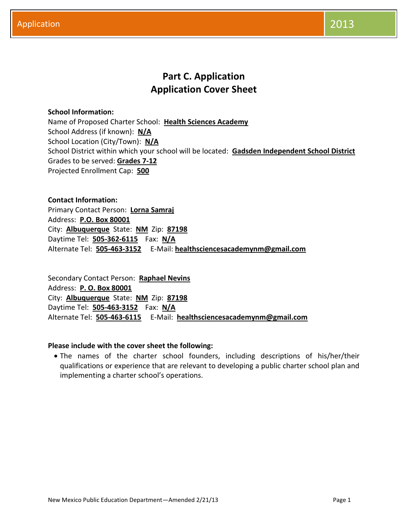## **Part C. Application Application Cover Sheet**

## **School Information:**

Name of Proposed Charter School: **Health Sciences Academy** School Address (if known): **N/A** School Location (City/Town): **N/A** School District within which your school will be located: **Gadsden Independent School District** Grades to be served: **Grades 7-12** Projected Enrollment Cap: **500**

**Contact Information:** Primary Contact Person: **Lorna Samraj** Address: **P.O. Box 80001** City: **Albuquerque** State: **NM** Zip: **87198** Daytime Tel: **505-362-6115** Fax: **N/A** Alternate Tel: **505-463-3152** E-Mail: **healthsciencesacademynm@gmail.com**

Secondary Contact Person: **Raphael Nevins** Address: **P. O. Box 80001** City: **Albuquerque** State: **NM** Zip: **87198** Daytime Tel: **505-463-3152** Fax: **N/A** Alternate Tel: **505-463-6115** E-Mail: **healthsciencesacademynm@gmail.com**

## **Please include with the cover sheet the following:**

 The names of the charter school founders, including descriptions of his/her/their qualifications or experience that are relevant to developing a public charter school plan and implementing a charter school's operations.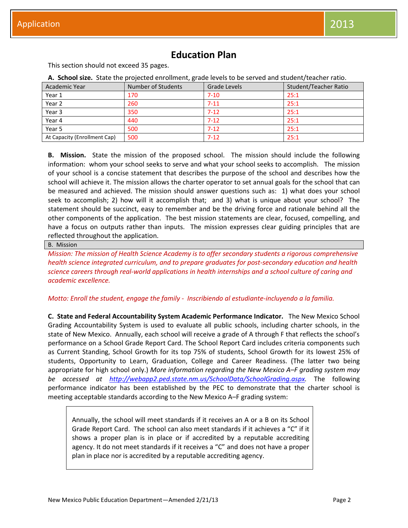## **Education Plan**

This section should not exceed 35 pages.

**A. School size.** State the projected enrollment, grade levels to be served and student/teacher ratio.

| Academic Year                | Number of Students | Grade Levels | Student/Teacher Ratio |
|------------------------------|--------------------|--------------|-----------------------|
| Year 1                       | 170                | $7 - 10$     | 25:1                  |
| Year 2                       | 260                | $7 - 11$     | 25:1                  |
| Year 3                       | 350                | $7 - 12$     | 25:1                  |
| Year 4                       | 440                | $7 - 12$     | 25:1                  |
| Year 5                       | 500                | $7 - 12$     | 25:1                  |
| At Capacity (Enrollment Cap) | 500                | $7 - 12$     | 25:1                  |

**B. Mission.** State the mission of the proposed school. The mission should include the following information: whom your school seeks to serve and what your school seeks to accomplish. The mission of your school is a concise statement that describes the purpose of the school and describes how the school will achieve it. The mission allows the charter operator to set annual goals for the school that can be measured and achieved. The mission should answer questions such as: 1) what does your school seek to accomplish; 2) how will it accomplish that; and 3) what is unique about your school? The statement should be succinct, easy to remember and be the driving force and rationale behind all the other components of the application. The best mission statements are clear, focused, compelling, and have a focus on outputs rather than inputs. The mission expresses clear guiding principles that are reflected throughout the application.

#### B. Mission

*Mission: The mission of Health Science Academy is to offer secondary students a rigorous comprehensive health science integrated curriculum, and to prepare graduates for post-secondary education and health science careers through real-world applications in health internships and a school culture of caring and academic excellence.*

## *Motto: Enroll the student, engage the family - Inscribiendo al estudiante-incluyendo a la familia.*

**C. State and Federal Accountability System Academic Performance Indicator.** The New Mexico School Grading Accountability System is used to evaluate all public schools, including charter schools, in the state of New Mexico. Annually, each school will receive a grade of A through F that reflects the school's performance on a School Grade Report Card. The School Report Card includes criteria components such as Current Standing, School Growth for its top 75% of students, School Growth for its lowest 25% of students, Opportunity to Learn, Graduation, College and Career Readiness. (The latter two being appropriate for high school only.) *More information regarding the New Mexico A–F grading system may be accessed at [http://webapp2.ped.state.nm.us/SchoolData/SchoolGrading.aspx.](http://webapp2.ped.state.nm.us/SchoolData/SchoolGrading.aspx)* The following performance indicator has been established by the PEC to demonstrate that the charter school is meeting acceptable standards according to the New Mexico A–F grading system:

Annually, the school will meet standards if it receives an A or a B on its School Grade Report Card. The school can also meet standards if it achieves a "C" if it shows a proper plan is in place or if accredited by a reputable accrediting agency. It do not meet standards if it receives a "C" and does not have a proper plan in place nor is accredited by a reputable accrediting agency.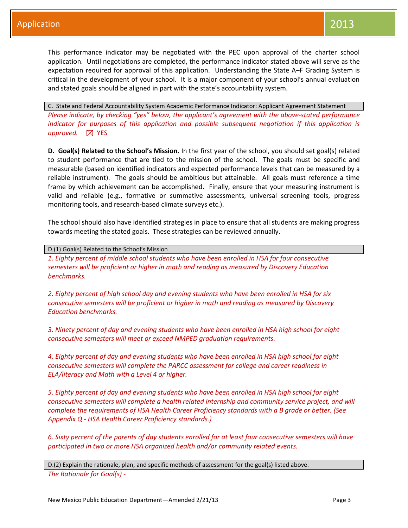This performance indicator may be negotiated with the PEC upon approval of the charter school application. Until negotiations are completed, the performance indicator stated above will serve as the expectation required for approval of this application. Understanding the State A–F Grading System is critical in the development of your school. It is a major component of your school's annual evaluation and stated goals should be aligned in part with the state's accountability system.

C. State and Federal Accountability System Academic Performance Indicator: Applicant Agreement Statement *Please indicate, by checking "yes" below, the applicant's agreement with the above-stated performance indicator for purposes of this application and possible subsequent negotiation if this application is approved.*  $\boxtimes$  YES

**D. Goal(s) Related to the School's Mission.** In the first year of the school, you should set goal(s) related to student performance that are tied to the mission of the school. The goals must be specific and measurable (based on identified indicators and expected performance levels that can be measured by a reliable instrument). The goals should be ambitious but attainable. All goals must reference a time frame by which achievement can be accomplished. Finally, ensure that your measuring instrument is valid and reliable (e.g., formative or summative assessments, universal screening tools, progress monitoring tools, and research-based climate surveys etc.).

The school should also have identified strategies in place to ensure that all students are making progress towards meeting the stated goals. These strategies can be reviewed annually.

D.(1) Goal(s) Related to the School's Mission

*1. Eighty percent of middle school students who have been enrolled in HSA for four consecutive semesters will be proficient or higher in math and reading as measured by Discovery Education benchmarks.*

*2. Eighty percent of high school day and evening students who have been enrolled in HSA for six consecutive semesters will be proficient or higher in math and reading as measured by Discovery Education benchmarks.*

*3. Ninety percent of day and evening students who have been enrolled in HSA high school for eight consecutive semesters will meet or exceed NMPED graduation requirements.*

*4. Eighty percent of day and evening students who have been enrolled in HSA high school for eight consecutive semesters will complete the PARCC assessment for college and career readiness in ELA/literacy and Math with a Level 4 or higher.* 

*5. Eighty percent of day and evening students who have been enrolled in HSA high school for eight consecutive semesters will complete a health related internship and community service project, and will complete the requirements of HSA Health Career Proficiency standards with a B grade or better. (See Appendix Q - HSA Health Career Proficiency standards.)*

*6. Sixty percent of the parents of day students enrolled for at least four consecutive semesters will have participated in two or more HSA organized health and/or community related events.* 

D.(2) Explain the rationale, plan, and specific methods of assessment for the goal(s) listed above. *The Rationale for Goal(s) -*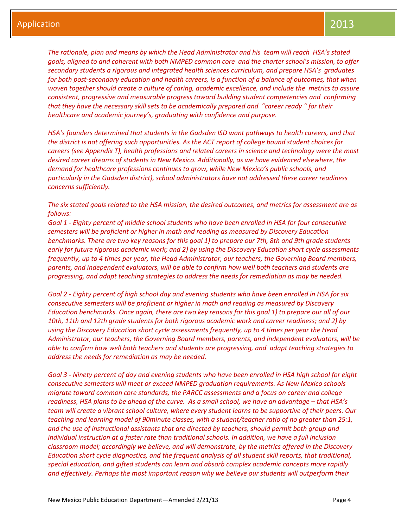*The rationale, plan and means by which the Head Administrator and his team will reach HSA's stated goals, aligned to and coherent with both NMPED common core and the charter school's mission, to offer secondary students a rigorous and integrated health sciences curriculum, and prepare HSA's graduates for both post-secondary education and health careers, is a function of a balance of outcomes, that when woven together should create a culture of caring, academic excellence, and include the metrics to assure consistent, progressive and measurable progress toward building student competencies and confirming that they have the necessary skill sets to be academically prepared and "career ready " for their healthcare and academic journey's, graduating with confidence and purpose.*

*HSA's founders determined that students in the Gadsden ISD want pathways to health careers, and that the district is not offering such opportunities. As the ACT report of college bound student choices for careers (see Appendix T), health professions and related careers in science and technology were the most desired career dreams of students in New Mexico. Additionally, as we have evidenced elsewhere, the demand for healthcare professions continues to grow, while New Mexico's public schools, and particularly in the Gadsden district), school administrators have not addressed these career readiness concerns sufficiently.* 

*The six stated goals related to the HSA mission, the desired outcomes, and metrics for assessment are as follows:* 

*Goal 1 - Eighty percent of middle school students who have been enrolled in HSA for four consecutive semesters will be proficient or higher in math and reading as measured by Discovery Education benchmarks. There are two key reasons for this goal 1) to prepare our 7th, 8th and 9th grade students early for future rigorous academic work; and 2) by using the Discovery Education short cycle assessments frequently, up to 4 times per year, the Head Administrator, our teachers, the Governing Board members, parents, and independent evaluators, will be able to confirm how well both teachers and students are progressing, and adapt teaching strategies to address the needs for remediation as may be needed.*

*Goal 2 - Eighty percent of high school day and evening students who have been enrolled in HSA for six consecutive semesters will be proficient or higher in math and reading as measured by Discovery Education benchmarks. Once again, there are two key reasons for this goal 1) to prepare our all of our 10th, 11th and 12th grade students for both rigorous academic work and career readiness; and 2) by using the Discovery Education short cycle assessments frequently, up to 4 times per year the Head Administrator, our teachers, the Governing Board members, parents, and independent evaluators, will be able to confirm how well both teachers and students are progressing, and adapt teaching strategies to address the needs for remediation as may be needed.* 

*Goal 3 - Ninety percent of day and evening students who have been enrolled in HSA high school for eight consecutive semesters will meet or exceed NMPED graduation requirements. As New Mexico schools migrate toward common core standards, the PARCC assessments and a focus on career and college readiness, HSA plans to be ahead of the curve. As a small school, we have an advantage – that HSA's team will create a vibrant school culture, where every student learns to be supportive of their peers. Our teaching and learning model of 90minute classes, with a student/teacher ratio of no greater than 25:1, and the use of instructional assistants that are directed by teachers, should permit both group and individual instruction at a faster rate than traditional schools. In addition, we have a full inclusion classroom model; accordingly we believe, and will demonstrate, by the metrics offered in the Discovery Education short cycle diagnostics, and the frequent analysis of all student skill reports, that traditional, special education, and gifted students can learn and absorb complex academic concepts more rapidly and effectively. Perhaps the most important reason why we believe our students will outperform their*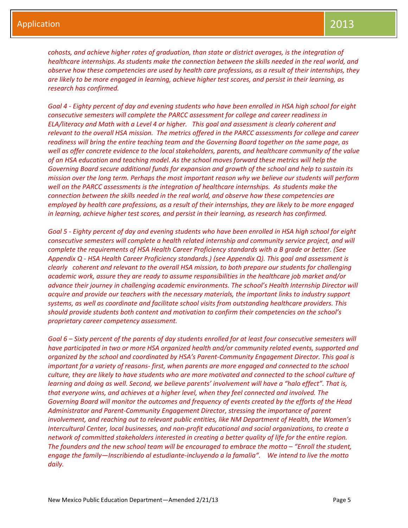*cohosts, and achieve higher rates of graduation, than state or district averages, is the integration of healthcare internships. As students make the connection between the skills needed in the real world, and observe how these competencies are used by health care professions, as a result of their internships, they are likely to be more engaged in learning, achieve higher test scores, and persist in their learning, as research has confirmed.* 

*Goal 4 - Eighty percent of day and evening students who have been enrolled in HSA high school for eight consecutive semesters will complete the PARCC assessment for college and career readiness in ELA/literacy and Math with a Level 4 or higher. This goal and assessment is clearly coherent and relevant to the overall HSA mission. The metrics offered in the PARCC assessments for college and career readiness will bring the entire teaching team and the Governing Board together on the same page, as well as offer concrete evidence to the local stakeholders, parents, and healthcare community of the value of an HSA education and teaching model. As the school moves forward these metrics will help the Governing Board secure additional funds for expansion and growth of the school and help to sustain its mission over the long term. Perhaps the most important reason why we believe our students will perform well on the PARCC assessments is the integration of healthcare internships. As students make the connection between the skills needed in the real world, and observe how these competencies are employed by health care professions, as a result of their internships, they are likely to be more engaged in learning, achieve higher test scores, and persist in their learning, as research has confirmed.* 

*Goal 5 - Eighty percent of day and evening students who have been enrolled in HSA high school for eight consecutive semesters will complete a health related internship and community service project, and will complete the requirements of HSA Health Career Proficiency standards with a B grade or better. (See Appendix Q - HSA Health Career Proficiency standards.) (see Appendix Q). This goal and assessment is clearly coherent and relevant to the overall HSA mission, to both prepare our students for challenging academic work, assure they are ready to assume responsibilities in the healthcare job market and/or advance their journey in challenging academic environments. The school's Health Internship Director will acquire and provide our teachers with the necessary materials, the important links to industry support systems, as well as coordinate and facilitate school visits from outstanding healthcare providers. This should provide students both content and motivation to confirm their competencies on the school's proprietary career competency assessment.* 

*Goal 6 – Sixty percent of the parents of day students enrolled for at least four consecutive semesters will have participated in two or more HSA organized health and/or community related events, supported and organized by the school and coordinated by HSA's Parent-Community Engagement Director. This goal is important for a variety of reasons- first, when parents are more engaged and connected to the school culture, they are likely to have students who are more motivated and connected to the school culture of learning and doing as well. Second, we believe parents' involvement will have a "halo effect". That is, that everyone wins, and achieves at a higher level, when they feel connected and involved. The Governing Board will monitor the outcomes and frequency of events created by the efforts of the Head Administrator and Parent-Community Engagement Director, stressing the importance of parent involvement, and reaching out to relevant public entities, like NM Department of Health, the Women's Intercultural Center, local businesses, and non-profit educational and social organizations, to create a network of committed stakeholders interested in creating a better quality of life for the entire region. The founders and the new school team will be encouraged to embrace the motto – "Enroll the student, engage the family—Inscribiendo al estudiante-incluyendo a la famalia". We intend to live the motto daily.*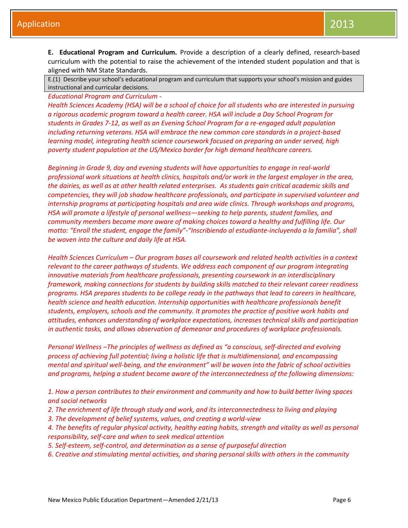**E. Educational Program and Curriculum.** Provide a description of a clearly defined, research-based curriculum with the potential to raise the achievement of the intended student population and that is aligned with NM State Standards.

E.(1) Describe your school's educational program and curriculum that supports your school's mission and guides instructional and curricular decisions.

*Educational Program and Curriculum -*

*Health Sciences Academy (HSA) will be a school of choice for all students who are interested in pursuing a rigorous academic program toward a health career. HSA will include a Day School Program for students in Grades 7-12, as well as an Evening School Program for a re-engaged adult population including returning veterans. HSA will embrace the new common core standards in a project-based learning model, integrating health science coursework focused on preparing an under served, high poverty student population at the US/Mexico border for high demand healthcare careers.* 

*Beginning in Grade 9, day and evening students will have opportunities to engage in real-world professional work situations at health clinics, hospitals and/or work in the largest employer in the area, the dairies, as well as at other health related enterprises. As students gain critical academic skills and competencies, they will job shadow healthcare professionals, and participate in supervised volunteer and internship programs at participating hospitals and area wide clinics. Through workshops and programs, HSA will promote a lifestyle of personal wellness—seeking to help parents, student families, and community members become more aware of making choices toward a healthy and fulfilling life. Our motto: "Enroll the student, engage the family"-"Inscribiendo al estudiante-incluyendo a la familia", shall be woven into the culture and daily life at HSA.*

*Health Sciences Curriculum – Our program bases all coursework and related health activities in a context relevant to the career pathways of students. We address each component of our program integrating innovative materials from healthcare professionals, presenting coursework in an interdisciplinary framework, making connections for students by building skills matched to their relevant career readiness programs. HSA prepares students to be college ready in the pathways that lead to careers in healthcare, health science and health education. Internship opportunities with healthcare professionals benefit students, employers, schools and the community. It promotes the practice of positive work habits and attitudes, enhances understanding of workplace expectations, increases technical skills and participation in authentic tasks, and allows observation of demeanor and procedures of workplace professionals.* 

*Personal Wellness –The principles of wellness as defined as "a conscious, self-directed and evolving process of achieving full potential; living a holistic life that is multidimensional, and encompassing mental and spiritual well-being, and the environment" will be woven into the fabric of school activities and programs, helping a student become aware of the interconnectedness of the following dimensions:* 

*1. How a person contributes to their environment and community and how to build better living spaces and social networks*

- *2. The enrichment of life through study and work, and its interconnectedness to living and playing*
- *3. The development of belief systems, values, and creating a world-view*

*4. The benefits of regular physical activity, healthy eating habits, strength and vitality as well as personal responsibility, self-care and when to seek medical attention*

- *5. Self-esteem, self-control, and determination as a sense of purposeful direction*
- *6. Creative and stimulating mental activities, and sharing personal skills with others in the community*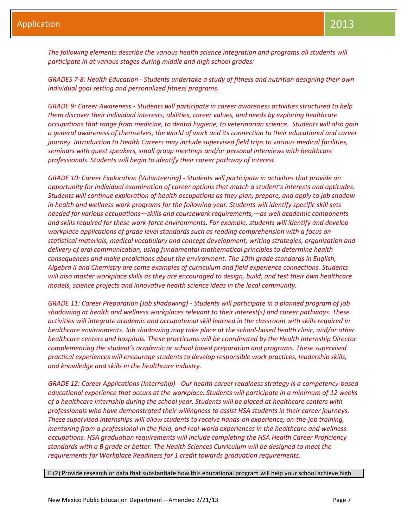*The following elements describe the various health science integration and programs all students will participate in at various stages during middle and high school grades:*

*GRADES 7-8: Health Education - Students undertake a study of fitness and nutrition designing their own individual goal setting and personalized fitness programs.*

*GRADE 9: Career Awareness - Students will participate in career awareness activities structured to help them discover their individual interests, abilities, career values, and needs by exploring healthcare occupations that range from medicine, to dental hygiene, to veterinarian science. Students will also gain a general awareness of themselves, the world of work and its connection to their educational and career journey. Introduction to Health Careers may include supervised field trips to various medical facilities, seminars with guest speakers, small group meetings and/or personal interviews with healthcare professionals. Students will begin to identify their career pathway of interest.*

*GRADE 10: Career Exploration (Volunteering) - Students will participate in activities that provide an opportunity for individual examination of career options that match a student's interests and aptitudes. Students will continue exploration of health occupations as they plan, prepare, and apply to job shadow in health and wellness work programs for the following year. Students will identify specific skill sets needed for various occupations—skills and coursework requirements,—as well academic components and skills required for these work-force environments. For example, students will identify and develop workplace applications of grade level standards such as reading comprehension with a focus on statistical materials, medical vocabulary and concept development, writing strategies, organization and delivery of oral communication, using fundamental mathematical principles to determine health consequences and make predictions about the environment. The 10th grade standards in English, Algebra II and Chemistry are some examples of curriculum and field experience connections. Students will also master workplace skills as they are encouraged to design, build, and test their own healthcare models, science projects and innovative health science ideas in the local community.*

*GRADE 11: Career Preparation (Job shadowing) - Students will participate in a planned program of job shadowing at health and wellness workplaces relevant to their interest(s) and career pathways. These activities will integrate academic and occupational skill learned in the classroom with skills required in healthcare environments. Job shadowing may take place at the school-based health clinic, and/or other healthcare centers and hospitals. These practicums will be coordinated by the Health Internship Director complementing the student's academic or school based preparation and programs. These supervised practical experiences will encourage students to develop responsible work practices, leadership skills, and knowledge and skills in the healthcare industry.*

*GRADE 12: Career Applications (Internship) - Our health career readiness strategy is a competency-based educational experience that occurs at the workplace. Students will participate in a minimum of 12 weeks of a healthcare internship during the school year. Students will be placed at healthcare centers with professionals who have demonstrated their willingness to assist HSA students in their career journeys. These supervised internships will allow students to receive hands-on experience, on-the-job training, mentoring from a professional in the field, and real-world experiences in the healthcare and wellness occupations. HSA graduation requirements will include completing the HSA Health Career Proficiency standards with a B grade or better. The Health Sciences Curriculum will be designed to meet the requirements for Workplace Readiness for 1 credit towards graduation requirements.*

E.(2) Provide research or data that substantiate how this educational program will help your school achieve high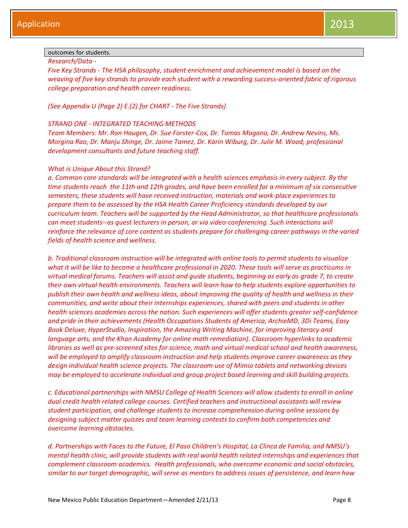## outcomes for students.

*Research/Data -*

*Five Key Strands - The HSA philosophy, student enrichment and achievement model is based on the weaving of five key strands to provide each student with a rewarding success-oriented fabric of rigorous college preparation and health career readiness.* 

## *(See Appendix U (Page 2) E.(2) for CHART - The Five Strands)*

## *STRAND ONE - INTEGRATED TEACHING METHODS*

*Team Members: Mr. Ron Haugen, Dr. Sue Forster-Cox, Dr. Tomas Magana, Dr. Andrew Nevins, Ms. Morgina Rao, Dr. Manju Shinge, Dr. Jaime Tamez, Dr. Karin Wiburg, Dr. Julie M. Wood, professional development consultants and future teaching staff.* 

## *What is Unique About this Strand?*

*a. Common core standards will be integrated with a health sciences emphasis in every subject. By the time students reach the 11th and 12th grades, and have been enrolled for a minimum of six consecutive semesters, these students will have received instruction, materials and work-place experiences to prepare them to be assessed by the HSA Health Career Proficiency standards developed by our curriculum team. Teachers will be supported by the Head Administrator, so that healthcare professionals can meet students--as guest lecturers in person, or via video-conferencing. Such interactions will reinforce the relevance of core content as students prepare for challenging career pathways in the varied fields of health science and wellness.* 

*b. Traditional classroom instruction will be integrated with online tools to permit students to visualize what it will be like to become a healthcare professional in 2020. These tools will serve as practicums in virtual medical forums. Teachers will assist and guide students, beginning as early as grade 7, to create their own virtual health environments. Teachers will learn how to help students explore opportunities to publish their own health and wellness ideas, about improving the quality of health and wellness in their communities, and write about their internships experiences, shared with peers and students in other health sciences academies across the nation. Such experiences will offer students greater self-confidence and pride in their achievements (Health Occupations Students of America, ArchieMD, 3Di Teams, Easy Book Deluxe, HyperStudio, Inspiration, the Amazing Writing Machine, for improving literacy and language arts, and the Khan Academy for online math remediation). Classroom hyperlinks to academic libraries as well as pre-screened sites for science, math and virtual medical school and health awareness, will be employed to amplify classroom instruction and help students improve career awareness as they design individual health science projects. The classroom use of Mimio tablets and networking devices may be employed to accelerate individual and group project based learning and skill building projects.* 

*c. Educational partnerships with NMSU College of Health Sciences will allow students to enroll in online dual credit health related college courses. Certified teachers and instructional assistants will review student participation, and challenge students to increase comprehension during online sessions by designing subject matter quizzes and team learning contests to confirm both competencies and overcome learning obstacles.*

*d. Partnerships with Faces to the Future, El Paso Children's Hospital, La Clinca de Familia, and NMSU's mental health clinic, will provide students with real world health related internships and experiences that complement classroom academics. Health professionals, who overcame economic and social obstacles, similar to our target demographic, will serve as mentors to address issues of persistence, and learn how*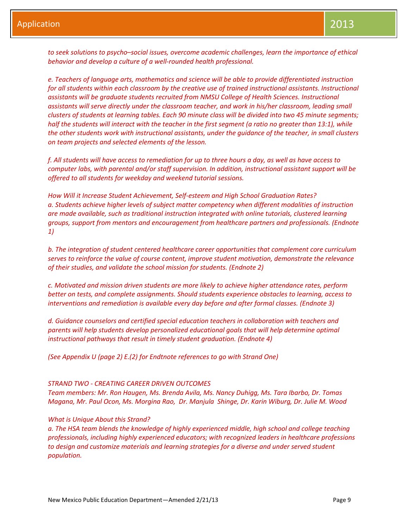*to seek solutions to psycho–social issues, overcome academic challenges, learn the importance of ethical behavior and develop a culture of a well-rounded health professional.*

*e. Teachers of language arts, mathematics and science will be able to provide differentiated instruction for all students within each classroom by the creative use of trained instructional assistants. Instructional assistants will be graduate students recruited from NMSU College of Health Sciences. Instructional assistants will serve directly under the classroom teacher, and work in his/her classroom, leading small clusters of students at learning tables. Each 90 minute class will be divided into two 45 minute segments; half the students will interact with the teacher in the first segment (a ratio no greater than 13:1), while the other students work with instructional assistants, under the guidance of the teacher, in small clusters on team projects and selected elements of the lesson.*

*f. All students will have access to remediation for up to three hours a day, as well as have access to computer labs, with parental and/or staff supervision. In addition, instructional assistant support will be offered to all students for weekday and weekend tutorial sessions.*

*How Will it Increase Student Achievement, Self-esteem and High School Graduation Rates? a. Students achieve higher levels of subject matter competency when different modalities of instruction are made available, such as traditional instruction integrated with online tutorials, clustered learning groups, support from mentors and encouragement from healthcare partners and professionals. (Endnote 1)*

*b. The integration of student centered healthcare career opportunities that complement core curriculum serves to reinforce the value of course content, improve student motivation, demonstrate the relevance of their studies, and validate the school mission for students. (Endnote 2)*

*c. Motivated and mission driven students are more likely to achieve higher attendance rates, perform better on tests, and complete assignments. Should students experience obstacles to learning, access to interventions and remediation is available every day before and after formal classes. (Endnote 3)*

*d. Guidance counselors and certified special education teachers in collaboration with teachers and parents will help students develop personalized educational goals that will help determine optimal instructional pathways that result in timely student graduation. (Endnote 4)*

*(See Appendix U (page 2) E.(2) for Endtnote references to go with Strand One)*

#### *STRAND TWO - CREATING CAREER DRIVEN OUTCOMES*

*Team members: Mr. Ron Haugen, Ms. Brenda Avila, Ms. Nancy Duhigg, Ms. Tara Ibarbo, Dr. Tomas Magana, Mr. Paul Ocon, Ms. Morgina Rao, Dr. Manjula Shinge, Dr. Karin Wiburg, Dr. Julie M. Wood*

#### *What is Unique About this Strand?*

*a. The HSA team blends the knowledge of highly experienced middle, high school and college teaching professionals, including highly experienced educators; with recognized leaders in healthcare professions to design and customize materials and learning strategies for a diverse and under served student population.*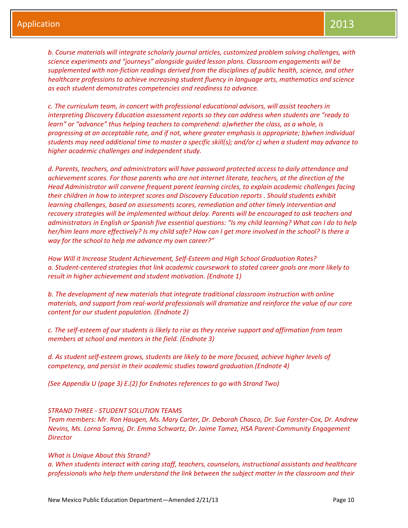*b. Course materials will integrate scholarly journal articles, customized problem solving challenges, with science experiments and "journeys" alongside guided lesson plans. Classroom engagements will be supplemented with non-fiction readings derived from the disciplines of public health, science, and other healthcare professions to achieve increasing student fluency in language arts, mathematics and science as each student demonstrates competencies and readiness to advance.* 

*c. The curriculum team, in concert with professional educational advisors, will assist teachers in interpreting Discovery Education assessment reports so they can address when students are "ready to learn" or "advance" thus helping teachers to comprehend: a)whether the class, as a whole, is progressing at an acceptable rate, and if not, where greater emphasis is appropriate; b)when individual students may need additional time to master a specific skill(s); and/or c) when a student may advance to higher academic challenges and independent study.*

*d. Parents, teachers, and administrators will have password protected access to daily attendance and achievement scores. For those parents who are not internet literate, teachers, at the direction of the Head Administrator will convene frequent parent learning circles, to explain academic challenges facing their children in how to interpret scores and Discovery Education reports . Should students exhibit learning challenges, based on assessments scores, remediation and other timely intervention and recovery strategies will be implemented without delay. Parents will be encouraged to ask teachers and administrators in English or Spanish five essential questions: "Is my child learning? What can I do to help her/him learn more effectively? Is my child safe? How can I get more involved in the school? Is there a way for the school to help me advance my own career?"*

*How Will it Increase Student Achievement, Self-Esteem and High School Graduation Rates? a. Student-centered strategies that link academic coursework to stated career goals are more likely to result in higher achievement and student motivation. (Endnote 1)*

*b. The development of new materials that integrate traditional classroom instruction with online materials, and support from real-world professionals will dramatize and reinforce the value of our core content for our student population. (Endnote 2)*

*c. The self-esteem of our students is likely to rise as they receive support and affirmation from team members at school and mentors in the field. (Endnote 3)*

*d. As student self-esteem grows, students are likely to be more focused, achieve higher levels of competency, and persist in their academic studies toward graduation.(Endnote 4)*

*(See Appendix U (page 3) E.(2) for Endnotes references to go with Strand Two)*

#### *STRAND THREE - STUDENT SOLUTION TEAMS*

*Team members: Mr. Ron Haugen, Ms. Mary Carter, Dr. Deborah Chasco, Dr. Sue Forster-Cox, Dr. Andrew Nevins, Ms. Lorna Samraj, Dr. Emma Schwartz, Dr. Jaime Tamez, HSA Parent-Community Engagement Director*

#### *What is Unique About this Strand?*

*a. When students interact with caring staff, teachers, counselors, instructional assistants and healthcare professionals who help them understand the link between the subject matter in the classroom and their*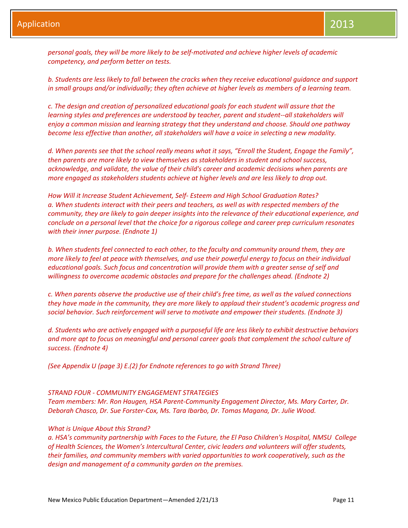*personal goals, they will be more likely to be self-motivated and achieve higher levels of academic competency, and perform better on tests.*

*b. Students are less likely to fall between the cracks when they receive educational guidance and support in small groups and/or individually; they often achieve at higher levels as members of a learning team.*

*c. The design and creation of personalized educational goals for each student will assure that the learning styles and preferences are understood by teacher, parent and student--all stakeholders will enjoy a common mission and learning strategy that they understand and choose. Should one pathway become less effective than another, all stakeholders will have a voice in selecting a new modality.*

*d. When parents see that the school really means what it says, "Enroll the Student, Engage the Family", then parents are more likely to view themselves as stakeholders in student and school success, acknowledge, and validate, the value of their child's career and academic decisions when parents are more engaged as stakeholders students achieve at higher levels and are less likely to drop out.*

*How Will it Increase Student Achievement, Self- Esteem and High School Graduation Rates? a. When students interact with their peers and teachers, as well as with respected members of the community, they are likely to gain deeper insights into the relevance of their educational experience, and conclude on a personal level that the choice for a rigorous college and career prep curriculum resonates with their inner purpose. (Endnote 1)*

*b. When students feel connected to each other, to the faculty and community around them, they are more likely to feel at peace with themselves, and use their powerful energy to focus on their individual educational goals. Such focus and concentration will provide them with a greater sense of self and willingness to overcome academic obstacles and prepare for the challenges ahead. (Endnote 2)*

*c. When parents observe the productive use of their child's free time, as well as the valued connections they have made in the community, they are more likely to applaud their student's academic progress and social behavior. Such reinforcement will serve to motivate and empower their students. (Endnote 3)*

*d. Students who are actively engaged with a purposeful life are less likely to exhibit destructive behaviors and more apt to focus on meaningful and personal career goals that complement the school culture of success. (Endnote 4)*

*(See Appendix U (page 3) E.(2) for Endnote references to go with Strand Three)*

### *STRAND FOUR - COMMUNITY ENGAGEMENT STRATEGIES*

*Team members: Mr. Ron Haugen, HSA Parent-Community Engagement Director, Ms. Mary Carter, Dr. Deborah Chasco, Dr. Sue Forster-Cox, Ms. Tara Ibarbo, Dr. Tomas Magana, Dr. Julie Wood.*

#### *What is Unique About this Strand?*

*a. HSA's community partnership with Faces to the Future, the El Paso Children's Hospital, NMSU College of Health Sciences, the Women's Intercultural Center, civic leaders and volunteers will offer students, their families, and community members with varied opportunities to work cooperatively, such as the design and management of a community garden on the premises.*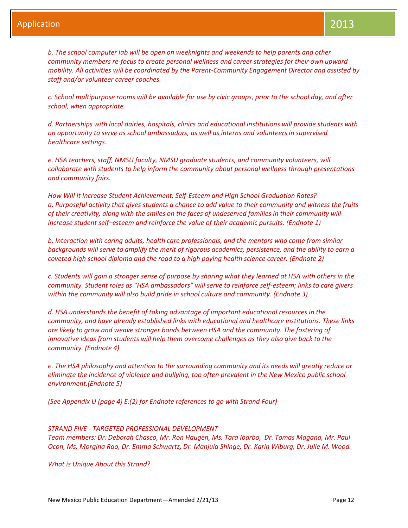*b. The school computer lab will be open on weeknights and weekends to help parents and other community members re-focus to create personal wellness and career strategies for their own upward mobility. All activities will be coordinated by the Parent-Community Engagement Director and assisted by staff and/or volunteer career coaches.*

*c. School multipurpose rooms will be available for use by civic groups, prior to the school day, and after school, when appropriate.*

*d. Partnerships with local dairies, hospitals, clinics and educational institutions will provide students with an opportunity to serve as school ambassadors, as well as interns and volunteers in supervised healthcare settings.*

*e. HSA teachers, staff, NMSU faculty, NMSU graduate students, and community volunteers, will collaborate with students to help inform the community about personal wellness through presentations and community fairs.*

*How Will it Increase Student Achievement, Self-Esteem and High School Graduation Rates? a. Purposeful activity that gives students a chance to add value to their community and witness the fruits of their creativity, along with the smiles on the faces of undeserved families in their community will increase student self–esteem and reinforce the value of their academic pursuits. (Endnote 1)*

*b. Interaction with caring adults, health care professionals, and the mentors who come from similar backgrounds will serve to amplify the merit of rigorous academics, persistence, and the ability to earn a coveted high school diploma and the road to a high paying health science career. (Endnote 2)*

*c. Students will gain a stronger sense of purpose by sharing what they learned at HSA with others in the community. Student roles as "HSA ambassadors" will serve to reinforce self-esteem; links to care givers within the community will also build pride in school culture and community. (Endnote 3)*

*d. HSA understands the benefit of taking advantage of important educational resources in the community, and have already established links with educational and healthcare institutions. These links are likely to grow and weave stronger bonds between HSA and the community. The fostering of innovative ideas from students will help them overcome challenges as they also give back to the community. (Endnote 4)*

*e. The HSA philosophy and attention to the surrounding community and its needs will greatly reduce or eliminate the incidence of violence and bullying, too often prevalent in the New Mexico public school environment.(Endnote 5)*

*(See Appendix U (page 4) E.(2) for Endnote references to go with Strand Four)*

## *STRAND FIVE - TARGETED PROFESSIONAL DEVELOPMENT*

*Team members: Dr. Deborah Chasco, Mr. Ron Haugen, Ms. Tara Ibarbo, Dr. Tomas Magana, Mr. Paul Ocon, Ms. Morgina Rao, Dr. Emma Schwartz, Dr. Manjula Shinge, Dr. Karin Wiburg, Dr. Julie M. Wood.* 

*What is Unique About this Strand?*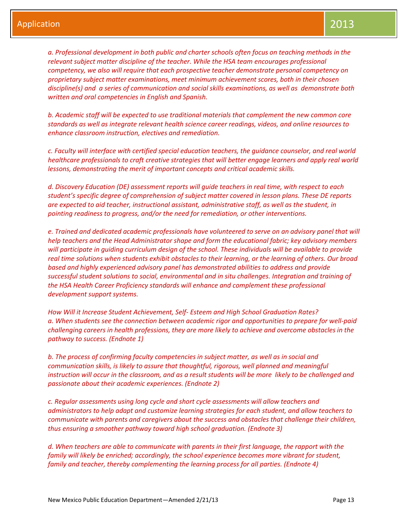*a. Professional development in both public and charter schools often focus on teaching methods in the relevant subject matter discipline of the teacher. While the HSA team encourages professional competency, we also will require that each prospective teacher demonstrate personal competency on proprietary subject matter examinations, meet minimum achievement scores, both in their chosen discipline(s) and a series of communication and social skills examinations, as well as demonstrate both written and oral competencies in English and Spanish.*

*b. Academic staff will be expected to use traditional materials that complement the new common core standards as well as integrate relevant health science career readings, videos, and online resources to enhance classroom instruction, electives and remediation.*

*c. Faculty will interface with certified special education teachers, the guidance counselor, and real world healthcare professionals to craft creative strategies that will better engage learners and apply real world lessons, demonstrating the merit of important concepts and critical academic skills.*

*d. Discovery Education (DE) assessment reports will guide teachers in real time, with respect to each student's specific degree of comprehension of subject matter covered in lesson plans. These DE reports are expected to aid teacher, instructional assistant, administrative staff, as well as the student, in pointing readiness to progress, and/or the need for remediation, or other interventions.*

*e. Trained and dedicated academic professionals have volunteered to serve on an advisory panel that will help teachers and the Head Administrator shape and form the educational fabric; key advisory members will participate in guiding curriculum design of the school. These individuals will be available to provide real time solutions when students exhibit obstacles to their learning, or the learning of others. Our broad based and highly experienced advisory panel has demonstrated abilities to address and provide successful student solutions to social, environmental and in situ challenges. Integration and training of the HSA Health Career Proficiency standards will enhance and complement these professional development support systems.* 

*How Will it Increase Student Achievement, Self- Esteem and High School Graduation Rates? a. When students see the connection between academic rigor and opportunities to prepare for well-paid challenging careers in health professions, they are more likely to achieve and overcome obstacles in the pathway to success. (Endnote 1)*

*b. The process of confirming faculty competencies in subject matter, as well as in social and communication skills, is likely to assure that thoughtful, rigorous, well planned and meaningful instruction will occur in the classroom, and as a result students will be more likely to be challenged and passionate about their academic experiences. (Endnote 2)*

*c. Regular assessments using long cycle and short cycle assessments will allow teachers and administrators to help adapt and customize learning strategies for each student, and allow teachers to communicate with parents and caregivers about the success and obstacles that challenge their children, thus ensuring a smoother pathway toward high school graduation. (Endnote 3)*

*d. When teachers are able to communicate with parents in their first language, the rapport with the family will likely be enriched; accordingly, the school experience becomes more vibrant for student, family and teacher, thereby complementing the learning process for all parties. (Endnote 4)*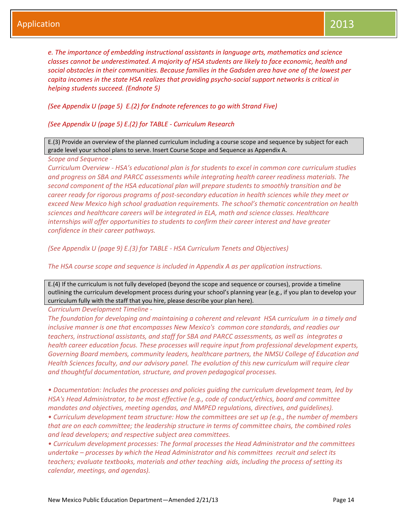*e. The importance of embedding instructional assistants in language arts, mathematics and science classes cannot be underestimated. A majority of HSA students are likely to face economic, health and social obstacles in their communities. Because families in the Gadsden area have one of the lowest per capita incomes in the state HSA realizes that providing psycho-social support networks is critical in helping students succeed. (Endnote 5)*

*(See Appendix U (page 5) E.(2) for Endnote references to go with Strand Five)*

*(See Appendix U (page 5) E.(2) for TABLE - Curriculum Research*

E.(3) Provide an overview of the planned curriculum including a course scope and sequence by subject for each grade level your school plans to serve. Insert Course Scope and Sequence as Appendix A.

*Scope and Sequence -*

*Curriculum Overview - HSA's educational plan is for students to excel in common core curriculum studies and progress on SBA and PARCC assessments while integrating health career readiness materials. The second component of the HSA educational plan will prepare students to smoothly transition and be career ready for rigorous programs of post-secondary education in health sciences while they meet or exceed New Mexico high school graduation requirements. The school's thematic concentration on health sciences and healthcare careers will be integrated in ELA, math and science classes. Healthcare internships will offer opportunities to students to confirm their career interest and have greater confidence in their career pathways.*

*(See Appendix U (page 9) E.(3) for TABLE - HSA Curriculum Tenets and Objectives)*

*The HSA course scope and sequence is included in Appendix A as per application instructions.*

E.(4) If the curriculum is not fully developed (beyond the scope and sequence or courses), provide a timeline outlining the curriculum development process during your school's planning year (e.g., if you plan to develop your curriculum fully with the staff that you hire, please describe your plan here).

*Curriculum Development Timeline -*

*The foundation for developing and maintaining a coherent and relevant HSA curriculum in a timely and inclusive manner is one that encompasses New Mexico's common core standards, and readies our teachers, instructional assistants, and staff for SBA and PARCC assessments, as well as integrates a health career education focus. These processes will require input from professional development experts, Governing Board members, community leaders, healthcare partners, the NMSU College of Education and Health Sciences faculty, and our advisory panel. The evolution of this new curriculum will require clear and thoughtful documentation, structure, and proven pedagogical processes.* 

*• Documentation: Includes the processes and policies guiding the curriculum development team, led by HSA's Head Administrator, to be most effective (e.g., code of conduct/ethics, board and committee mandates and objectives, meeting agendas, and NMPED regulations, directives, and guidelines). • Curriculum development team structure: How the committees are set up (e.g., the number of members that are on each committee; the leadership structure in terms of committee chairs, the combined roles and lead developers; and respective subject area committees.*

*• Curriculum development processes: The formal processes the Head Administrator and the committees undertake – processes by which the Head Administrator and his committees recruit and select its teachers; evaluate textbooks, materials and other teaching aids, including the process of setting its calendar, meetings, and agendas).*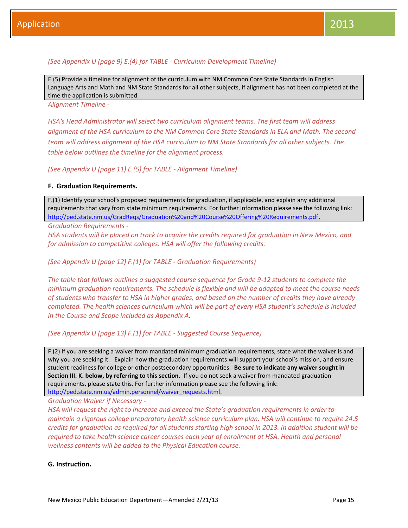*(See Appendix U (page 9) E.(4) for TABLE - Curriculum Development Timeline)*

E.(5) Provide a timeline for alignment of the curriculum with NM Common Core State Standards in English Language Arts and Math and NM State Standards for all other subjects, if alignment has not been completed at the time the application is submitted.

*Alignment Timeline -*

*HSA's Head Administrator will select two curriculum alignment teams. The first team will address alignment of the HSA curriculum to the NM Common Core State Standards in ELA and Math. The second team will address alignment of the HSA curriculum to NM State Standards for all other subjects. The table below outlines the timeline for the alignment process.*

*(See Appendix U (page 11) E.(5) for TABLE - Alignment Timeline)*

## **F. Graduation Requirements.**

F.(1) Identify your school's proposed requirements for graduation, if applicable, and explain any additional requirements that vary from state minimum requirements. For further information please see the following link: <http://ped.state.nm.us/GradReqs/Graduation%20and%20Course%20Offering%20Requirements.pdf>.

*Graduation Requirements -*

*HSA students will be placed on track to acquire the credits required for graduation in New Mexico, and for admission to competitive colleges. HSA will offer the following credits.*

*(See Appendix U (page 12) F.(1) for TABLE - Graduation Requirements)*

*The table that follows outlines a suggested course sequence for Grade 9-12 students to complete the minimum graduation requirements. The schedule is flexible and will be adapted to meet the course needs of students who transfer to HSA in higher grades, and based on the number of credits they have already completed. The health sciences curriculum which will be part of every HSA student's schedule is included in the Course and Scope included as Appendix A.*

*(See Appendix U (page 13) F.(1) for TABLE - Suggested Course Sequence)*

F.(2) If you are seeking a waiver from mandated minimum graduation requirements, state what the waiver is and why you are seeking it. Explain how the graduation requirements will support your school's mission, and ensure student readiness for college or other postsecondary opportunities. **Be sure to indicate any waiver sought in Section III. K. below, by referring to this section.** If you do not seek a waiver from mandated graduation requirements, please state this. For further information please see the following link: [http://ped.state.nm.us/admin.personnel/waiver\\_requests.html.](http://ped.state.nm.us/admin.personnel/waiver_requests.html)

*Graduation Waiver if Necessary -*

*HSA will request the right to increase and exceed the State's graduation requirements in order to maintain a rigorous college preparatory health science curriculum plan. HSA will continue to require 24.5 credits for graduation as required for all students starting high school in 2013. In addition student will be required to take health science career courses each year of enrollment at HSA. Health and personal wellness contents will be added to the Physical Education course.*

## **G. Instruction.**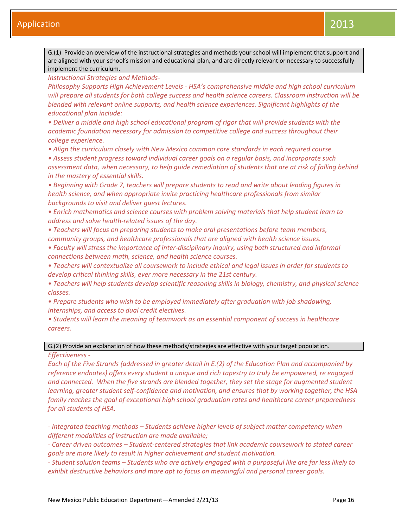G.(1) Provide an overview of the instructional strategies and methods your school will implement that support and are aligned with your school's mission and educational plan, and are directly relevant or necessary to successfully implement the curriculum.

*Instructional Strategies and Methods-*

*Philosophy Supports High Achievement Levels - HSA's comprehensive middle and high school curriculum will prepare all students for both college success and health science careers. Classroom instruction will be blended with relevant online supports, and health science experiences. Significant highlights of the educational plan include:*

*• Deliver a middle and high school educational program of rigor that will provide students with the academic foundation necessary for admission to competitive college and success throughout their college experience.*

*• Align the curriculum closely with New Mexico common core standards in each required course.*

*• Assess student progress toward individual career goals on a regular basis, and incorporate such assessment data, when necessary, to help guide remediation of students that are at risk of falling behind in the mastery of essential skills.*

*• Beginning with Grade 7, teachers will prepare students to read and write about leading figures in health science, and when appropriate invite practicing healthcare professionals from similar backgrounds to visit and deliver guest lectures.*

*• Enrich mathematics and science courses with problem solving materials that help student learn to address and solve health-related issues of the day.*

*• Teachers will focus on preparing students to make oral presentations before team members, community groups, and healthcare professionals that are aligned with health science issues.*

*• Faculty will stress the importance of inter-disciplinary inquiry, using both structured and informal connections between math, science, and health science courses.*

*• Teachers will contextualize all coursework to include ethical and legal issues in order for students to develop critical thinking skills, ever more necessary in the 21st century.*

*• Teachers will help students develop scientific reasoning skills in biology, chemistry, and physical science classes.*

*• Prepare students who wish to be employed immediately after graduation with job shadowing, internships, and access to dual credit electives.*

*• Students will learn the meaning of teamwork as an essential component of success in healthcare careers.*

## G.(2) Provide an explanation of how these methods/strategies are effective with your target population.

*Effectiveness -*

*Each of the Five Strands (addressed in greater detail in E.(2) of the Education Plan and accompanied by reference endnotes) offers every student a unique and rich tapestry to truly be empowered, re engaged and connected. When the five strands are blended together, they set the stage for augmented student learning, greater student self-confidence and motivation, and ensures that by working together, the HSA family reaches the goal of exceptional high school graduation rates and healthcare career preparedness for all students of HSA.* 

*- Integrated teaching methods – Students achieve higher levels of subject matter competency when different modalities of instruction are made available;* 

*- Career driven outcomes – Student-centered strategies that link academic coursework to stated career goals are more likely to result in higher achievement and student motivation.*

*- Student solution teams – Students who are actively engaged with a purposeful like are far less likely to exhibit destructive behaviors and more apt to focus on meaningful and personal career goals.*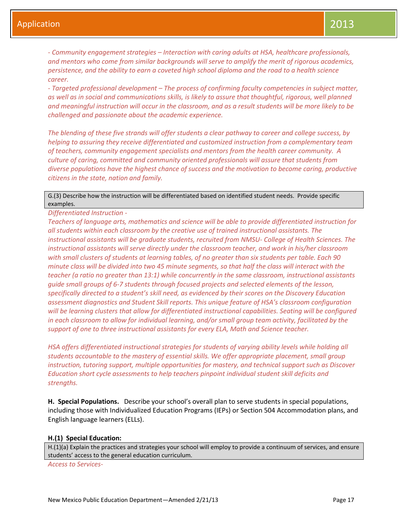*- Community engagement strategies – Interaction with caring adults at HSA, healthcare professionals, and mentors who come from similar backgrounds will serve to amplify the merit of rigorous academics, persistence, and the ability to earn a coveted high school diploma and the road to a health science career.*

*- Targeted professional development – The process of confirming faculty competencies in subject matter, as well as in social and communications skills, is likely to assure that thoughtful, rigorous, well planned and meaningful instruction will occur in the classroom, and as a result students will be more likely to be challenged and passionate about the academic experience.*

*The blending of these five strands will offer students a clear pathway to career and college success, by helping to assuring they receive differentiated and customized instruction from a complementary team of teachers, community engagement specialists and mentors from the health career community. A culture of caring, committed and community oriented professionals will assure that students from diverse populations have the highest chance of success and the motivation to become caring, productive citizens in the state, nation and family.*

## G.(3) Describe how the instruction will be differentiated based on identified student needs. Provide specific examples.

*Differentiated Instruction -*

*Teachers of language arts, mathematics and science will be able to provide differentiated instruction for all students within each classroom by the creative use of trained instructional assistants. The instructional assistants will be graduate students, recruited from NMSU- College of Health Sciences. The instructional assistants will serve directly under the classroom teacher, and work in his/her classroom with small clusters of students at learning tables, of no greater than six students per table. Each 90 minute class will be divided into two 45 minute segments, so that half the class will interact with the teacher (a ratio no greater than 13:1) while concurrently in the same classroom, instructional assistants guide small groups of 6-7 students through focused projects and selected elements of the lesson, specifically directed to a student's skill need, as evidenced by their scores on the Discovery Education assessment diagnostics and Student Skill reports. This unique feature of HSA's classroom configuration*  will be learning clusters that allow for differentiated instructional capabilities. Seating will be configured *in each classroom to allow for individual learning, and/or small group team activity, facilitated by the support of one to three instructional assistants for every ELA, Math and Science teacher.*

*HSA offers differentiated instructional strategies for students of varying ability levels while holding all students accountable to the mastery of essential skills. We offer appropriate placement, small group instruction, tutoring support, multiple opportunities for mastery, and technical support such as Discover Education short cycle assessments to help teachers pinpoint individual student skill deficits and strengths.*

**H. Special Populations.** Describe your school's overall plan to serve students in special populations, including those with Individualized Education Programs (IEPs) or Section 504 Accommodation plans, and English language learners (ELLs).

#### **H.(1) Special Education:**

H.(1)(a) Explain the practices and strategies your school will employ to provide a continuum of services, and ensure students' access to the general education curriculum.

*Access to Services-*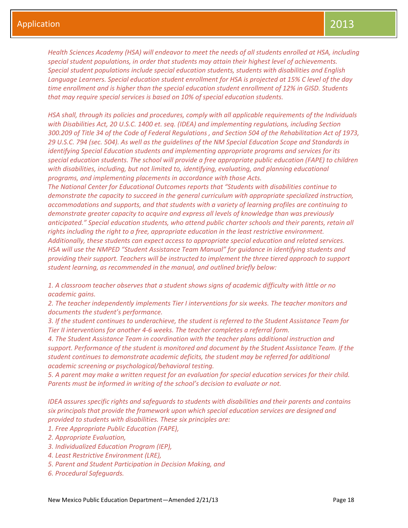*Health Sciences Academy (HSA) will endeavor to meet the needs of all students enrolled at HSA, including special student populations, in order that students may attain their highest level of achievements. Special student populations include special education students, students with disabilities and English Language Learners. Special education student enrollment for HSA is projected at 15% C level of the day time enrollment and is higher than the special education student enrollment of 12% in GISD. Students that may require special services is based on 10% of special education students.* 

*HSA shall, through its policies and procedures, comply with all applicable requirements of the Individuals with Disabilities Act, 20 U.S.C. 1400 et. seq. (IDEA) and implementing regulations, including Section 300.209 of Title 34 of the Code of Federal Regulations , and Section 504 of the Rehabilitation Act of 1973, 29 U.S.C. 794 (sec. 504). As well as the guidelines of the NM Special Education Scope and Standards in identifying Special Education students and implementing appropriate programs and services for its special education students. The school will provide a free appropriate public education (FAPE) to children*  with disabilities, including, but not limited to, identifying, evaluating, and planning educational *programs, and implementing placements in accordance with those Acts.*

*The National Center for Educational Outcomes reports that "Students with disabilities continue to demonstrate the capacity to succeed in the general curriculum with appropriate specialized instruction, accommodations and supports, and that students with a variety of learning profiles are continuing to demonstrate greater capacity to acquire and express all levels of knowledge than was previously anticipated." Special education students, who attend public charter schools and their parents, retain all rights including the right to a free, appropriate education in the least restrictive environment. Additionally, these students can expect access to appropriate special education and related services. HSA will use the NMPED "Student Assistance Team Manual" for guidance in identifying students and providing their support. Teachers will be instructed to implement the three tiered approach to support student learning, as recommended in the manual, and outlined briefly below:*

*1. A classroom teacher observes that a student shows signs of academic difficulty with little or no academic gains.*

*2. The teacher independently implements Tier I interventions for six weeks. The teacher monitors and documents the student's performance.*

*3. If the student continues to underachieve, the student is referred to the Student Assistance Team for Tier II interventions for another 4-6 weeks. The teacher completes a referral form.*

*4. The Student Assistance Team in coordination with the teacher plans additional instruction and support. Performance of the student is monitored and document by the Student Assistance Team. If the student continues to demonstrate academic deficits, the student may be referred for additional academic screening or psychological/behavioral testing.* 

*5. A parent may make a written request for an evaluation for special education services for their child. Parents must be informed in writing of the school's decision to evaluate or not.*

*IDEA assures specific rights and safeguards to students with disabilities and their parents and contains six principals that provide the framework upon which special education services are designed and provided to students with disabilities. These six principles are:* 

- *1. Free Appropriate Public Education (FAPE),*
- *2. Appropriate Evaluation,*
- *3. Individualized Education Program (IEP),*
- *4. Least Restrictive Environment (LRE),*
- *5. Parent and Student Participation in Decision Making, and*
- *6. Procedural Safeguards.*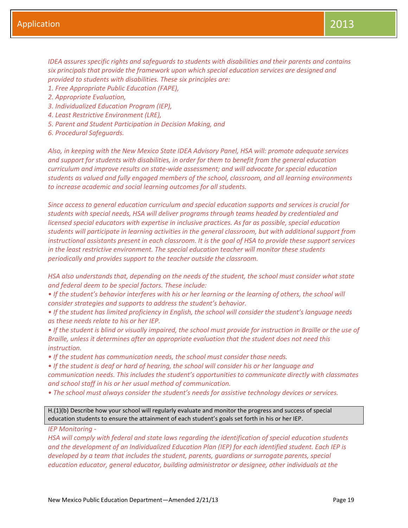*IDEA assures specific rights and safeguards to students with disabilities and their parents and contains six principals that provide the framework upon which special education services are designed and provided to students with disabilities. These six principles are:* 

- *1. Free Appropriate Public Education (FAPE),*
- *2. Appropriate Evaluation,*
- *3. Individualized Education Program (IEP),*
- *4. Least Restrictive Environment (LRE),*
- *5. Parent and Student Participation in Decision Making, and*
- *6. Procedural Safeguards.*

*Also, in keeping with the New Mexico State IDEA Advisory Panel, HSA will: promote adequate services and support for students with disabilities, in order for them to benefit from the general education curriculum and improve results on state-wide assessment; and will advocate for special education students as valued and fully engaged members of the school, classroom, and all learning environments to increase academic and social learning outcomes for all students.*

*Since access to general education curriculum and special education supports and services is crucial for students with special needs, HSA will deliver programs through teams headed by credentialed and licensed special educators with expertise in inclusive practices. As far as possible, special education students will participate in learning activities in the general classroom, but with additional support from instructional assistants present in each classroom. It is the goal of HSA to provide these support services in the least restrictive environment. The special education teacher will monitor these students periodically and provides support to the teacher outside the classroom.*

*HSA also understands that, depending on the needs of the student, the school must consider what state and federal deem to be special factors. These include:* 

*• If the student's behavior interferes with his or her learning or the learning of others, the school will consider strategies and supports to address the student's behavior.* 

*• If the student has limited proficiency in English, the school will consider the student's language needs as these needs relate to his or her IEP.* 

*• If the student is blind or visually impaired, the school must provide for instruction in Braille or the use of Braille, unless it determines after an appropriate evaluation that the student does not need this instruction.* 

*• If the student has communication needs, the school must consider those needs.* 

*• If the student is deaf or hard of hearing, the school will consider his or her language and communication needs. This includes the student's opportunities to communicate directly with classmates and school staff in his or her usual method of communication.* 

*• The school must always consider the student's needs for assistive technology devices or services.*

H.(1)(b) Describe how your school will regularly evaluate and monitor the progress and success of special education students to ensure the attainment of each student's goals set forth in his or her IEP.

*IEP Monitoring -*

*HSA will comply with federal and state laws regarding the identification of special education students and the development of an Individualized Education Plan (IEP) for each identified student. Each IEP is developed by a team that includes the student, parents, guardians or surrogate parents, special education educator, general educator, building administrator or designee, other individuals at the*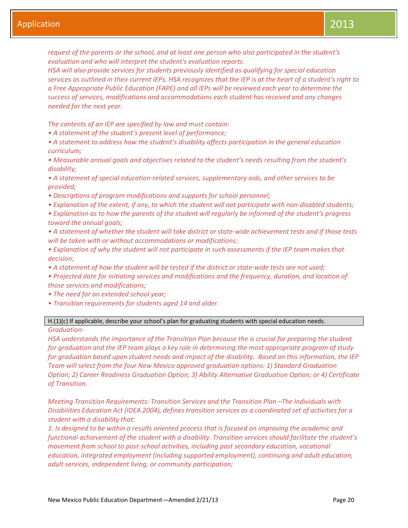*request of the parents or the school, and at least one person who also participated in the student's evaluation and who will interpret the student's evaluation reports.*

*HSA will also provide services for students previously identified as qualifying for special education services as outlined in their current IEPs. HSA recognizes that the IEP is at the heart of a student's right to a Free Appropriate Public Education (FAPE) and all IEPs will be reviewed each year to determine the success of services, modifications and accommodations each student has received and any changes needed for the next year.* 

*The contents of an IEP are specified by law and must contain:*

- *• A statement of the student's present level of performance;*
- *• A statement to address how the student's disability affects participation in the general education curriculum;*
- *• Measurable annual goals and objectives related to the student's needs resulting from the student's disability;*
- *• A statement of special education-related services, supplementary aids, and other services to be provided;*
- *• Descriptions of program modifications and supports for school personnel;*
- *• Explanation of the extent, if any, to which the student will not participate with non-disabled students;*
- *• Explanation as to how the parents of the student will regularly be informed of the student's progress toward the annual goals;*
- *• A statement of whether the student will take district or state-wide achievement tests and if those tests will be taken with or without accommodations or modifications;*
- *• Explanation of why the student will not participate in such assessments if the IEP team makes that decision;*
- *• A statement of how the student will be tested if the district or state-wide tests are not used;*
- *• Projected date for initiating services and modifications and the frequency, duration, and location of those services and modifications;*
- *• The need for an extended school year;*
- *• Transition requirements for students aged 14 and older.*

#### H.(1)(c) If applicable, describe your school's plan for graduating students with special education needs.

#### *Graduation-*

*HSA understands the importance of the Transition Plan because the is crucial for preparing the student for graduation and the IEP team plays a key role in determining the most appropriate program of study for graduation based upon student needs and impact of the disability. Based on this information, the IEP Team will select from the four New Mexico approved graduation options: 1) Standard Graduation Option; 2) Career Readiness Graduation Option; 3) Ability Alternative Graduation Option; or 4) Certificate of Transition.*

*Meeting Transition Requirements: Transition Services and the Transition Plan -The Individuals with Disabilities Education Act (IDEA 2004), defines transition services as a coordinated set of activities for a student with a disability that:*

*1. Is designed to be within a results oriented process that is focused on improving the academic and functional achievement of the student with a disability. Transition services should facilitate the student's movement from school to post-school activities, including post secondary education, vocational education, integrated employment (including supported employment), continuing and adult education, adult services, independent living, or community participation;*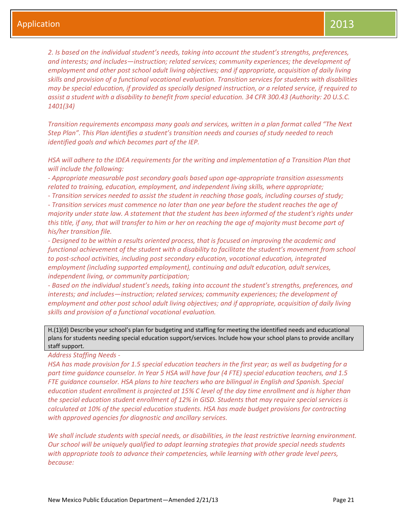*2. Is based on the individual student's needs, taking into account the student's strengths, preferences, and interests; and includes—instruction; related services; community experiences; the development of employment and other post school adult living objectives; and if appropriate, acquisition of daily living skills and provision of a functional vocational evaluation. Transition services for students with disabilities may be special education, if provided as specially designed instruction, or a related service, if required to assist a student with a disability to benefit from special education. 34 CFR 300.43 (Authority: 20 U.S.C. 1401(34)*

*Transition requirements encompass many goals and services, written in a plan format called "The Next Step Plan". This Plan identifies a student's transition needs and courses of study needed to reach identified goals and which becomes part of the IEP.*

*HSA will adhere to the IDEA requirements for the writing and implementation of a Transition Plan that will include the following:*

*- Appropriate measurable post secondary goals based upon age-appropriate transition assessments related to training, education, employment, and independent living skills, where appropriate;*

*- Transition services needed to assist the student in reaching those goals, including courses of study;*

*- Transition services must commence no later than one year before the student reaches the age of majority under state law. A statement that the student has been informed of the student's rights under this title, if any, that will transfer to him or her on reaching the age of majority must become part of his/her transition file.*

*- Designed to be within a results oriented process, that is focused on improving the academic and functional achievement of the student with a disability to facilitate the student's movement from school to post-school activities, including post secondary education, vocational education, integrated employment (including supported employment), continuing and adult education, adult services, independent living, or community participation;*

*- Based on the individual student's needs, taking into account the student's strengths, preferences, and interests; and includes—instruction; related services; community experiences; the development of employment and other post school adult living objectives; and if appropriate, acquisition of daily living skills and provision of a functional vocational evaluation.*

H.(1)(d) Describe your school's plan for budgeting and staffing for meeting the identified needs and educational plans for students needing special education support/services. Include how your school plans to provide ancillary staff support.

*Address Staffing Needs -*

*HSA has made provision for 1.5 special education teachers in the first year; as well as budgeting for a part time guidance counselor. In Year 5 HSA will have four (4 FTE) special education teachers, and 1.5 FTE guidance counselor. HSA plans to hire teachers who are bilingual in English and Spanish. Special education student enrollment is projected at 15% C level of the day time enrollment and is higher than the special education student enrollment of 12% in GISD. Students that may require special services is calculated at 10% of the special education students. HSA has made budget provisions for contracting with approved agencies for diagnostic and ancillary services.*

*We shall include students with special needs, or disabilities, in the least restrictive learning environment. Our school will be uniquely qualified to adapt learning strategies that provide special needs students with appropriate tools to advance their competencies, while learning with other grade level peers, because:*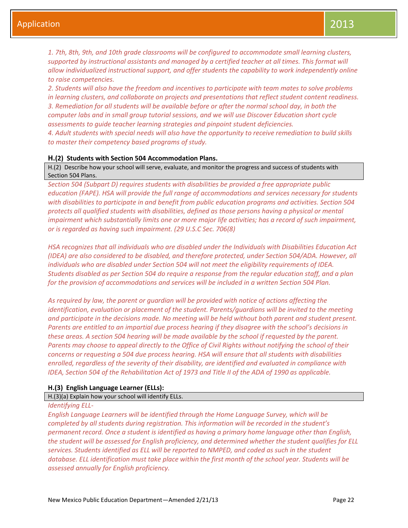*1. 7th, 8th, 9th, and 10th grade classrooms will be configured to accommodate small learning clusters, supported by instructional assistants and managed by a certified teacher at all times. This format will allow individualized instructional support, and offer students the capability to work independently online to raise competencies.* 

*2. Students will also have the freedom and incentives to participate with team mates to solve problems in learning clusters, and collaborate on projects and presentations that reflect student content readiness. 3. Remediation for all students will be available before or after the normal school day, in both the computer labs and in small group tutorial sessions, and we will use Discover Education short cycle assessments to guide teacher learning strategies and pinpoint student deficiencies.*

*4. Adult students with special needs will also have the opportunity to receive remediation to build skills to master their competency based programs of study.* 

#### **H.(2) Students with Section 504 Accommodation Plans.**

H.(2) Describe how your school will serve, evaluate, and monitor the progress and success of students with Section 504 Plans.

*Section 504 (Subpart D) requires students with disabilities be provided a free appropriate public education (FAPE). HSA will provide the full range of accommodations and services necessary for students with disabilities to participate in and benefit from public education programs and activities. Section 504 protects all qualified students with disabilities, defined as those persons having a physical or mental impairment which substantially limits one or more major life activities; has a record of such impairment, or is regarded as having such impairment. (29 U.S.C Sec. 706(8)*

*HSA recognizes that all individuals who are disabled under the Individuals with Disabilities Education Act (IDEA) are also considered to be disabled, and therefore protected, under Section 504/ADA. However, all individuals who are disabled under Section 504 will not meet the eligibility requirements of IDEA. Students disabled as per Section 504 do require a response from the regular education staff, and a plan for the provision of accommodations and services will be included in a written Section 504 Plan.*

*As required by law, the parent or guardian will be provided with notice of actions affecting the identification, evaluation or placement of the student. Parents/guardians will be invited to the meeting and participate in the decisions made. No meeting will be held without both parent and student present. Parents are entitled to an impartial due process hearing if they disagree with the school's decisions in these areas. A section 504 hearing will be made available by the school if requested by the parent. Parents may choose to appeal directly to the Office of Civil Rights without notifying the school of their concerns or requesting a 504 due process hearing. HSA will ensure that all students with disabilities enrolled, regardless of the severity of their disability, are identified and evaluated in compliance with IDEA, Section 504 of the Rehabilitation Act of 1973 and Title II of the ADA of 1990 as applicable.*

#### **H.(3) English Language Learner (ELLs):**

## H.(3)(a) Explain how your school will identify ELLs.

#### *Identifying ELL-*

*English Language Learners will be identified through the Home Language Survey, which will be completed by all students during registration. This information will be recorded in the student's permanent record. Once a student is identified as having a primary home language other than English, the student will be assessed for English proficiency, and determined whether the student qualifies for ELL services. Students identified as ELL will be reported to NMPED, and coded as such in the student database. ELL identification must take place within the first month of the school year. Students will be assessed annually for English proficiency.*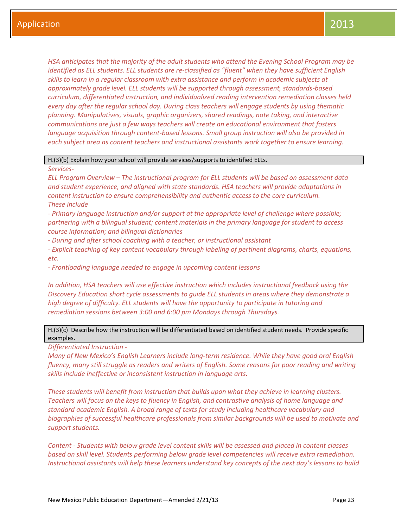*HSA anticipates that the majority of the adult students who attend the Evening School Program may be identified as ELL students. ELL students are re-classified as "fluent" when they have sufficient English skills to learn in a regular classroom with extra assistance and perform in academic subjects at approximately grade level. ELL students will be supported through assessment, standards-based curriculum, differentiated instruction, and individualized reading intervention remediation classes held every day after the regular school day. During class teachers will engage students by using thematic planning. Manipulatives, visuals, graphic organizers, shared readings, note taking, and interactive communications are just a few ways teachers will create an educational environment that fosters language acquisition through content-based lessons. Small group instruction will also be provided in each subject area as content teachers and instructional assistants work together to ensure learning.*

#### H.(3)(b) Explain how your school will provide services/supports to identified ELLs.

#### *Services-*

*ELL Program Overview – The instructional program for ELL students will be based on assessment data and student experience, and aligned with state standards. HSA teachers will provide adaptations in content instruction to ensure comprehensibility and authentic access to the core curriculum. These include*

*- Primary language instruction and/or support at the appropriate level of challenge where possible; partnering with a bilingual student; content materials in the primary language for student to access course information; and bilingual dictionaries*

*- During and after school coaching with a teacher, or instructional assistant*

*- Explicit teaching of key content vocabulary through labeling of pertinent diagrams, charts, equations, etc.*

*- Frontloading language needed to engage in upcoming content lessons*

*In addition, HSA teachers will use effective instruction which includes instructional feedback using the Discovery Education short cycle assessments to guide ELL students in areas where they demonstrate a high degree of difficulty. ELL students will have the opportunity to participate in tutoring and remediation sessions between 3:00 and 6:00 pm Mondays through Thursdays.* 

## H.(3)(c) Describe how the instruction will be differentiated based on identified student needs. Provide specific examples.

*Differentiated Instruction -*

*Many of New Mexico's English Learners include long-term residence. While they have good oral English fluency, many still struggle as readers and writers of English. Some reasons for poor reading and writing skills include ineffective or inconsistent instruction in language arts.* 

*These students will benefit from instruction that builds upon what they achieve in learning clusters. Teachers will focus on the keys to fluency in English, and contrastive analysis of home language and standard academic English. A broad range of texts for study including healthcare vocabulary and biographies of successful healthcare professionals from similar backgrounds will be used to motivate and support students.* 

*Content - Students with below grade level content skills will be assessed and placed in content classes based on skill level. Students performing below grade level competencies will receive extra remediation. Instructional assistants will help these learners understand key concepts of the next day's lessons to build*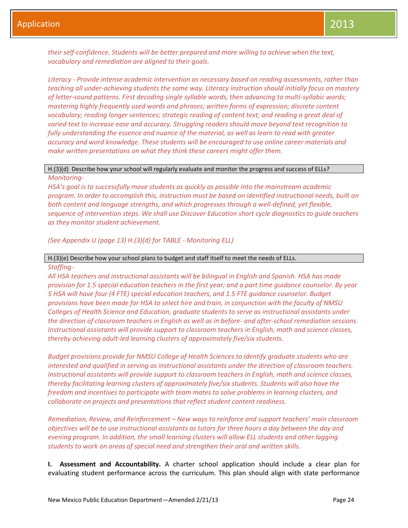*their self-confidence. Students will be better prepared and more willing to achieve when the text, vocabulary and remediation are aligned to their goals.*

*Literacy - Provide intense academic intervention as necessary based on reading assessments, rather than teaching all under-achieving students the same way. Literacy instruction should initially focus on mastery of letter-sound patterns. First decoding single syllable words, then advancing to multi-syllabic words; mastering highly frequently used words and phrases; written forms of expression; discrete content vocabulary; reading longer sentences; strategic reading of content text; and reading a great deal of varied text to increase ease and accuracy. Struggling readers should move beyond text recognition to fully understanding the essence and nuance of the material, as well as learn to read with greater accuracy and word knowledge. These students will be encouraged to use online career materials and make written presentations on what they think these careers might offer them.*

## H.(3)(d) Describe how your school will regularly evaluate and monitor the progress and success of ELLs? *Monitoring-*

*HSA's goal is to successfully move students as quickly as possible into the mainstream academic program. In order to accomplish this, instruction must be based on identified instructional needs, built on both content and language strengths, and which progresses through a well-defined, yet flexible, sequence of intervention steps. We shall use Discover Education short cycle diagnostics to guide teachers as they monitor student achievement.*

*(See Appendix U (page 13) H.(3)(d) for TABLE - Monitoring ELL)*

#### H.(3)(e) Describe how your school plans to budget and staff itself to meet the needs of ELLs.

#### *Staffing-*

*All HSA teachers and instructional assistants will be bilingual in English and Spanish. HSA has made provision for 1.5 special education teachers in the first year; and a part time guidance counselor. By year 5 HSA will have four (4 FTE) special education teachers, and 1.5 FTE guidance counselor. Budget provisions have been made for HSA to select hire and train, in conjunction with the faculty of NMSU Colleges of Health Science and Education, graduate students to serve as instructional assistants under the direction of classroom teachers in English as well as in before- and after-school remediation sessions. Instructional assistants will provide support to classroom teachers in English, math and science classes, thereby achieving adult-led learning clusters of approximately five/six students.*

*Budget provisions provide for NMSU College of Health Sciences to identify graduate students who are interested and qualified in serving as instructional assistants under the direction of classroom teachers. Instructional assistants will provide support to classroom teachers in English, math and science classes, thereby facilitating learning clusters of approximately five/six students. Students will also have the freedom and incentives to participate with team mates to solve problems in learning clusters, and collaborate on projects and presentations that reflect student content readiness.*

*Remediation, Review, and Reinforcement – New ways to reinforce and support teachers' main classroom objectives will be to use instructional assistants as tutors for three hours a day between the day and evening program. In addition, the small learning clusters will allow ELL students and other lagging students to work on areas of special need and strengthen their oral and written skills.* 

**I. Assessment and Accountability.** A charter school application should include a clear plan for evaluating student performance across the curriculum. This plan should align with state performance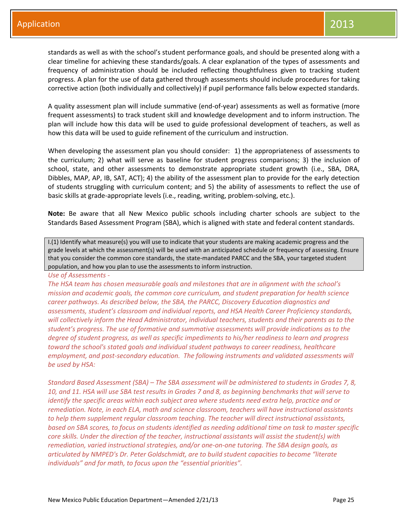standards as well as with the school's student performance goals, and should be presented along with a clear timeline for achieving these standards/goals. A clear explanation of the types of assessments and frequency of administration should be included reflecting thoughtfulness given to tracking student progress. A plan for the use of data gathered through assessments should include procedures for taking corrective action (both individually and collectively) if pupil performance falls below expected standards.

A quality assessment plan will include summative (end-of-year) assessments as well as formative (more frequent assessments) to track student skill and knowledge development and to inform instruction. The plan will include how this data will be used to guide professional development of teachers, as well as how this data will be used to guide refinement of the curriculum and instruction.

When developing the assessment plan you should consider: 1) the appropriateness of assessments to the curriculum; 2) what will serve as baseline for student progress comparisons; 3) the inclusion of school, state, and other assessments to demonstrate appropriate student growth (i.e., SBA, DRA, Dibbles, MAP, AP, IB, SAT, ACT); 4) the ability of the assessment plan to provide for the early detection of students struggling with curriculum content; and 5) the ability of assessments to reflect the use of basic skills at grade-appropriate levels (i.e., reading, writing, problem-solving, etc.).

**Note:** Be aware that all New Mexico public schools including charter schools are subject to the Standards Based Assessment Program (SBA), which is aligned with state and federal content standards.

I.(1) Identify what measure(s) you will use to indicate that your students are making academic progress and the grade levels at which the assessment(s) will be used with an anticipated schedule or frequency of assessing. Ensure that you consider the common core standards, the state-mandated PARCC and the SBA, your targeted student population, and how you plan to use the assessments to inform instruction.

#### *Use of Assessments -*

*The HSA team has chosen measurable goals and milestones that are in alignment with the school's mission and academic goals, the common core curriculum, and student preparation for health science career pathways. As described below, the SBA, the PARCC, Discovery Education diagnostics and assessments, student's classroom and individual reports, and HSA Health Career Proficiency standards, will collectively inform the Head Administrator, individual teachers, students and their parents as to the student's progress. The use of formative and summative assessments will provide indications as to the degree of student progress, as well as specific impediments to his/her readiness to learn and progress toward the school's stated goals and individual student pathways to career readiness, healthcare employment, and post-secondary education. The following instruments and validated assessments will be used by HSA:*

*Standard Based Assessment (SBA) – The SBA assessment will be administered to students in Grades 7, 8, 10, and 11. HSA will use SBA test results in Grades 7 and 8, as beginning benchmarks that will serve to identify the specific areas within each subject area where students need extra help, practice and or remediation. Note, in each ELA, math and science classroom, teachers will have instructional assistants to help them supplement regular classroom teaching. The teacher will direct instructional assistants, based on SBA scores, to focus on students identified as needing additional time on task to master specific core skills. Under the direction of the teacher, instructional assistants will assist the student(s) with remediation, varied instructional strategies, and/or one-on-one tutoring. The SBA design goals, as articulated by NMPED's Dr. Peter Goldschmidt, are to build student capacities to become "literate individuals" and for math, to focus upon the "essential priorities".*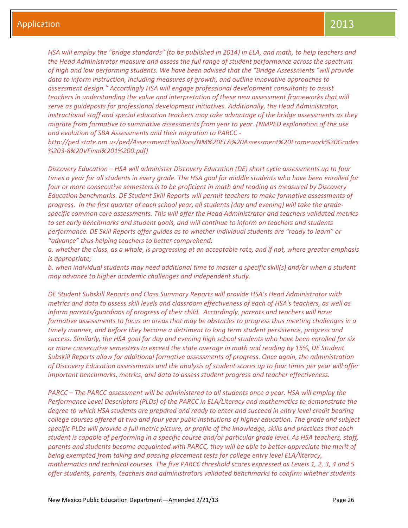*HSA will employ the "bridge standards" (to be published in 2014) in ELA, and math, to help teachers and the Head Administrator measure and assess the full range of student performance across the spectrum of high and low performing students. We have been advised that the "Bridge Assessments "will provide data to inform instruction, including measures of growth, and outline innovative approaches to assessment design." Accordingly HSA will engage professional development consultants to assist teachers in understanding the value and interpretation of these new assessment frameworks that will serve as guideposts for professional development initiatives. Additionally, the Head Administrator, instructional staff and special education teachers may take advantage of the bridge assessments as they migrate from formative to summative assessments from year to year. (NMPED explanation of the use and evolution of SBA Assessments and their migration to PARCC -*

*http://ped.state.nm.us/ped/AssessmentEvalDocs/NM%20ELA%20Assessment%20Framework%20Grades %203-8%20VFinal%201%200.pdf)*

*Discovery Education – HSA will administer Discovery Education (DE) short cycle assessments up to four times a year for all students in every grade. The HSA goal for middle students who have been enrolled for four or more consecutive semesters is to be proficient in math and reading as measured by Discovery Education benchmarks. DE Student Skill Reports will permit teachers to make formative assessments of progress. In the first quarter of each school year, all students (day and evening) will take the gradespecific common core assessments. This will offer the Head Administrator and teachers validated metrics to set early benchmarks and student goals, and will continue to inform on teachers and students performance. DE Skill Reports offer guides as to whether individual students are "ready to learn" or "advance" thus helping teachers to better comprehend:*

*a. whether the class, as a whole, is progressing at an acceptable rate, and if not, where greater emphasis is appropriate;*

*b. when individual students may need additional time to master a specific skill(s) and/or when a student may advance to higher academic challenges and independent study.*

*DE Student Subskill Reports and Class Summary Reports will provide HSA's Head Administrator with metrics and data to assess skill levels and classroom effectiveness of each of HSA's teachers, as well as inform parents/guardians of progress of their child. Accordingly, parents and teachers will have formative assessments to focus on areas that may be obstacles to progress thus meeting challenges in a timely manner, and before they become a detriment to long term student persistence, progress and success. Similarly, the HSA goal for day and evening high school students who have been enrolled for six or more consecutive semesters to exceed the state average in math and reading by 15%, DE Student Subskill Reports allow for additional formative assessments of progress. Once again, the administration of Discovery Education assessments and the analysis of student scores up to four times per year will offer important benchmarks, metrics, and data to assess student progress and teacher effectiveness.* 

*PARCC – The PARCC assessment will be administered to all students once a year. HSA will employ the Performance Level Descriptors (PLDs) of the PARCC in ELA/Literacy and mathematics to demonstrate the degree to which HSA students are prepared and ready to enter and succeed in entry level credit bearing college courses offered at two and four year pubic institutions of higher education. The grade and subject specific PLDs will provide a full metric picture, or profile of the knowledge, skills and practices that each student is capable of performing in a specific course and/or particular grade level. As HSA teachers, staff, parents and students become acquainted with PARCC, they will be able to better appreciate the merit of being exempted from taking and passing placement tests for college entry level ELA/literacy, mathematics and technical courses. The five PARCC threshold scores expressed as Levels 1, 2, 3, 4 and 5 offer students, parents, teachers and administrators validated benchmarks to confirm whether students*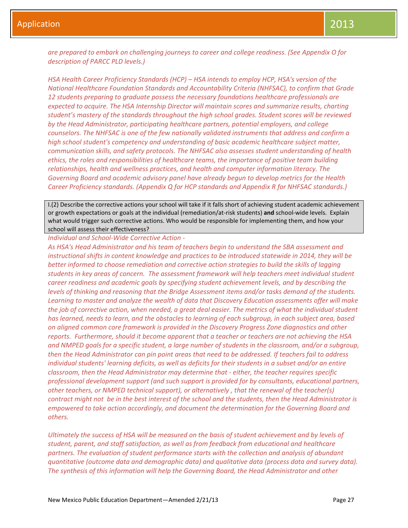*are prepared to embark on challenging journeys to career and college readiness. (See Appendix O for description of PARCC PLD levels.)*

*HSA Health Career Proficiency Standards (HCP) – HSA intends to employ HCP, HSA's version of the National Healthcare Foundation Standards and Accountability Criteria (NHFSAC), to confirm that Grade 12 students preparing to graduate possess the necessary foundations healthcare professionals are expected to acquire. The HSA Internship Director will maintain scores and summarize results, charting student's mastery of the standards throughout the high school grades. Student scores will be reviewed by the Head Administrator, participating healthcare partners, potential employers, and college counselors. The NHFSAC is one of the few nationally validated instruments that address and confirm a high school student's competency and understanding of basic academic healthcare subject matter, communication skills, and safety protocols. The NHFSAC also assesses student understanding of health ethics, the roles and responsibilities of healthcare teams, the importance of positive team building relationships, health and wellness practices, and health and computer information literacy. The Governing Board and academic advisory panel have already begun to develop metrics for the Health Career Proficiency standards. (Appendix Q for HCP standards and Appendix R for NHFSAC standards.)*

I.(2) Describe the corrective actions your school will take if it falls short of achieving student academic achievement or growth expectations or goals at the individual (remediation/at-risk students) **and** school-wide levels. Explain what would trigger such corrective actions. Who would be responsible for implementing them, and how your school will assess their effectiveness?

*Individual and School-Wide Corrective Action -*

*As HSA's Head Administrator and his team of teachers begin to understand the SBA assessment and instructional shifts in content knowledge and practices to be introduced statewide in 2014, they will be better informed to choose remediation and corrective action strategies to build the skills of lagging students in key areas of concern. The assessment framework will help teachers meet individual student career readiness and academic goals by specifying student achievement levels, and by describing the levels of thinking and reasoning that the Bridge Assessment items and/or tasks demand of the students. Learning to master and analyze the wealth of data that Discovery Education assessments offer will make the job of corrective action, when needed, a great deal easier. The metrics of what the individual student has learned, needs to learn, and the obstacles to learning of each subgroup, in each subject area, based on aligned common core framework is provided in the Discovery Progress Zone diagnostics and other reports. Furthermore, should it become apparent that a teacher or teachers are not achieving the HSA and NMPED goals for a specific student, a large number of students in the classroom, and/or a subgroup, then the Head Administrator can pin point areas that need to be addressed. If teachers fail to address individual students' learning deficits, as well as deficits for their students in a subset and/or an entire classroom, then the Head Administrator may determine that - either, the teacher requires specific professional development support (and such support is provided for by consultants, educational partners, other teachers, or NMPED technical support), or alternatively , that the renewal of the teacher(s) contract might not be in the best interest of the school and the students, then the Head Administrator is empowered to take action accordingly, and document the determination for the Governing Board and others.* 

*Ultimately the success of HSA will be measured on the basis of student achievement and by levels of student, parent, and staff satisfaction, as well as from feedback from educational and healthcare partners. The evaluation of student performance starts with the collection and analysis of abundant quantitative (outcome data and demographic data) and qualitative data (process data and survey data). The synthesis of this information will help the Governing Board, the Head Administrator and other*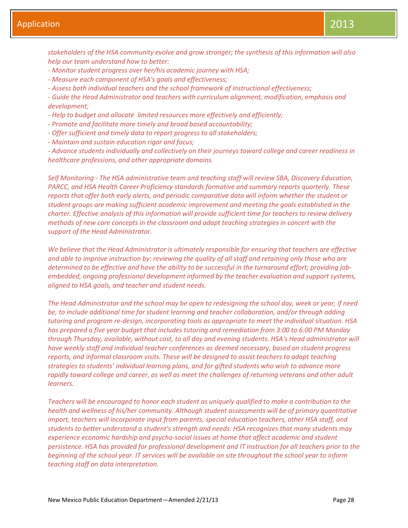*stakeholders of the HSA community evolve and grow stronger; the synthesis of this information will also help our team understand how to better:*

- *- Monitor student progress over her/his academic journey with HSA;*
- *- Measure each component of HSA's goals and effectiveness;*

*- Assess both individual teachers and the school framework of instructional effectiveness;*

*- Guide the Head Administrator and teachers with curriculum alignment, modification, emphasis and development;*

- *- Help to budget and allocate limited resources more effectively and efficiently;*
- *- Promote and facilitate more timely and broad based accountability;*
- *- Offer sufficient and timely data to report progress to all stakeholders;*
- *- Maintain and sustain education rigor and focus;*

*- Advance students individually and collectively on their journeys toward college and career readiness in healthcare professions, and other appropriate domains.* 

*Self Monitoring - The HSA administrative team and teaching staff will review SBA, Discovery Education, PARCC, and HSA Health Career Proficiency standards formative and summary reports quarterly. These reports that offer both early alerts, and periodic comparative data will inform whether the student or student groups are making sufficient academic improvement and meeting the goals established in the charter. Effective analysis of this information will provide sufficient time for teachers to review delivery methods of new core concepts in the classroom and adapt teaching strategies in concert with the support of the Head Administrator.*

*We believe that the Head Administrator is ultimately responsible for ensuring that teachers are effective and able to improve instruction by: reviewing the quality of all staff and retaining only those who are determined to be effective and have the ability to be successful in the turnaround effort; providing jobembedded, ongoing professional development informed by the teacher evaluation and support systems, aligned to HSA goals, and teacher and student needs.* 

*The Head Administrator and the school may be open to redesigning the school day, week or year, if need be, to include additional time for student learning and teacher collaboration, and/or through adding tutoring and program re-design, incorporating tools as appropriate to meet the individual situation. HSA has prepared a five year budget that includes tutoring and remediation from 3:00 to 6:00 PM Monday through Thursday, available, without cost, to all day and evening students. HSA's Head administrator will have weekly staff and individual teacher conferences as deemed necessary, based on student progress reports, and informal classroom visits. These will be designed to assist teachers to adapt teaching strategies to students' individual learning plans, and for gifted students who wish to advance more rapidly toward college and career, as well as meet the challenges of returning veterans and other adult learners.* 

*Teachers will be encouraged to honor each student as uniquely qualified to make a contribution to the health and wellness of his/her community. Although student assessments will be of primary quantitative import, teachers will incorporate input from parents, special education teachers, other HSA staff, and students to better understand a student's strength and needs. HSA recognizes that many students may experience economic hardship and psycho-social issues at home that affect academic and student persistence. HSA has provided for professional development and IT instruction for all teachers prior to the beginning of the school year. IT services will be available on site throughout the school year to inform teaching staff on data interpretation.*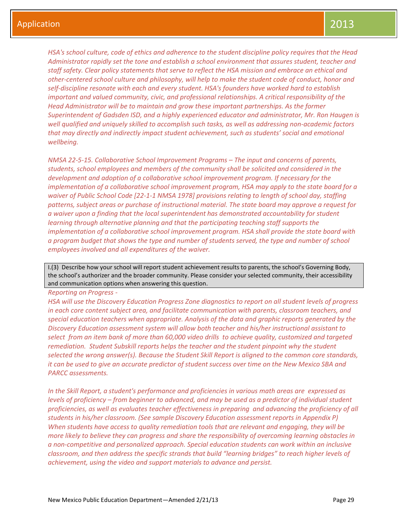*HSA's school culture, code of ethics and adherence to the student discipline policy requires that the Head Administrator rapidly set the tone and establish a school environment that assures student, teacher and staff safety. Clear policy statements that serve to reflect the HSA mission and embrace an ethical and other-centered school culture and philosophy, will help to make the student code of conduct, honor and self-discipline resonate with each and every student. HSA's founders have worked hard to establish important and valued community, civic, and professional relationships. A critical responsibility of the Head Administrator will be to maintain and grow these important partnerships. As the former Superintendent of Gadsden ISD, and a highly experienced educator and administrator, Mr. Ron Haugen is well qualified and uniquely skilled to accomplish such tasks, as well as addressing non-academic factors that may directly and indirectly impact student achievement, such as students' social and emotional wellbeing.*

*NMSA 22-5-15. Collaborative School Improvement Programs – The input and concerns of parents, students, school employees and members of the community shall be solicited and considered in the development and adoption of a collaborative school improvement program. If necessary for the implementation of a collaborative school improvement program, HSA may apply to the state board for a waiver of Public School Code [22-1-1 NMSA 1978] provisions relating to length of school day, staffing patterns, subject areas or purchase of instructional material. The state board may approve a request for a waiver upon a finding that the local superintendent has demonstrated accountability for student learning through alternative planning and that the participating teaching staff supports the implementation of a collaborative school improvement program. HSA shall provide the state board with a program budget that shows the type and number of students served, the type and number of school employees involved and all expenditures of the waiver.*

I.(3) Describe how your school will report student achievement results to parents, the school's Governing Body, the school's authorizer and the broader community. Please consider your selected community, their accessibility and communication options when answering this question.

#### *Reporting on Progress -*

*HSA will use the Discovery Education Progress Zone diagnostics to report on all student levels of progress in each core content subject area, and facilitate communication with parents, classroom teachers, and special education teachers when appropriate. Analysis of the data and graphic reports generated by the Discovery Education assessment system will allow both teacher and his/her instructional assistant to select from an item bank of more than 60,000 video drills to achieve quality, customized and targeted remediation. Student Subskill reports helps the teacher and the student pinpoint why the student selected the wrong answer(s). Because the Student Skill Report is aligned to the common core standards, it can be used to give an accurate predictor of student success over time on the New Mexico SBA and PARCC assessments.* 

*In the Skill Report, a student's performance and proficiencies in various math areas are expressed as levels of proficiency – from beginner to advanced, and may be used as a predictor of individual student proficiencies, as well as evaluates teacher effectiveness in preparing and advancing the proficiency of all students in his/her classroom. (See sample Discovery Education assessment reports in Appendix P) When students have access to quality remediation tools that are relevant and engaging, they will be more likely to believe they can progress and share the responsibility of overcoming learning obstacles in a non-competitive and personalized approach. Special education students can work within an inclusive classroom, and then address the specific strands that build "learning bridges" to reach higher levels of achievement, using the video and support materials to advance and persist.*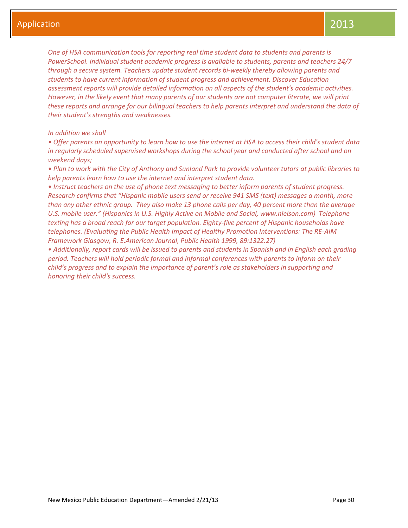*One of HSA communication tools for reporting real time student data to students and parents is PowerSchool. Individual student academic progress is available to students, parents and teachers 24/7 through a secure system. Teachers update student records bi-weekly thereby allowing parents and students to have current information of student progress and achievement. Discover Education assessment reports will provide detailed information on all aspects of the student's academic activities. However, in the likely event that many parents of our students are not computer literate, we will print these reports and arrange for our bilingual teachers to help parents interpret and understand the data of their student's strengths and weaknesses.*

## *In addition we shall*

*• Offer parents an opportunity to learn how to use the internet at HSA to access their child's student data in regularly scheduled supervised workshops during the school year and conducted after school and on weekend days;*

*• Plan to work with the City of Anthony and Sunland Park to provide volunteer tutors at public libraries to help parents learn how to use the internet and interpret student data.*

*• Instruct teachers on the use of phone text messaging to better inform parents of student progress. Research confirms that "Hispanic mobile users send or receive 941 SMS (text) messages a month, more than any other ethnic group. They also make 13 phone calls per day, 40 percent more than the average U.S. mobile user." (Hispanics in U.S. Highly Active on Mobile and Social, www.nielson.com) Telephone texting has a broad reach for our target population. Eighty-five percent of Hispanic households have telephones. (Evaluating the Public Health Impact of Healthy Promotion Interventions: The RE-AIM Framework Glasgow, R. E.American Journal, Public Health 1999, 89:1322.27)*

*• Additionally, report cards will be issued to parents and students in Spanish and in English each grading period. Teachers will hold periodic formal and informal conferences with parents to inform on their child's progress and to explain the importance of parent's role as stakeholders in supporting and honoring their child's success.*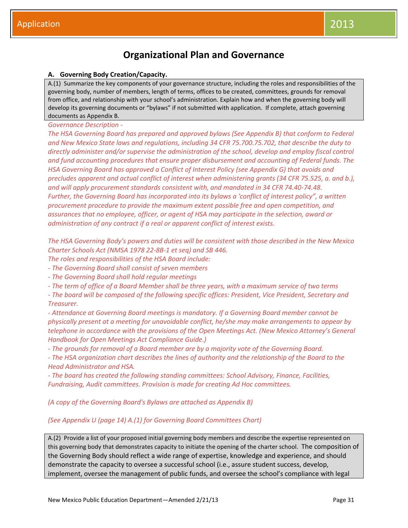## **Organizational Plan and Governance**

## **A. Governing Body Creation/Capacity.**

A.(1) Summarize the key components of your governance structure, including the roles and responsibilities of the governing body, number of members, length of terms, offices to be created, committees, grounds for removal from office, and relationship with your school's administration. Explain how and when the governing body will develop its governing documents or "bylaws" if not submitted with application. If complete, attach governing documents as Appendix B.

## *Governance Description -*

*The HSA Governing Board has prepared and approved bylaws (See Appendix B) that conform to Federal and New Mexico State laws and regulations, including 34 CFR 75.700.75.702, that describe the duty to directly administer and/or supervise the administration of the school, develop and employ fiscal control and fund accounting procedures that ensure proper disbursement and accounting of Federal funds. The HSA Governing Board has approved a Conflict of Interest Policy (see Appendix G) that avoids and precludes apparent and actual conflict of interest when administering grants (34 CFR 75.525, a. and b.), and will apply procurement standards consistent with, and mandated in 34 CFR 74.40-74.48. Further, the Governing Board has incorporated into its bylaws a 'conflict of interest policy", a written procurement procedure to provide the maximum extent possible free and open competition, and assurances that no employee, officer, or agent of HSA may participate in the selection, award or administration of any contract if a real or apparent conflict of interest exists.* 

*The HSA Governing Body's powers and duties will be consistent with those described in the New Mexico Charter Schools Act (NMSA 1978 22-8B-1 et seq) and SB 446.* 

*The roles and responsibilities of the HSA Board include:*

*- The Governing Board shall consist of seven members*

*- The Governing Board shall hold regular meetings*

*- The term of office of a Board Member shall be three years, with a maximum service of two terms*

*- The board will be composed of the following specific offices: President, Vice President, Secretary and Treasurer.* 

*- Attendance at Governing Board meetings is mandatory. If a Governing Board member cannot be physically present at a meeting for unavoidable conflict, he/she may make arrangements to appear by telephone in accordance with the provisions of the Open Meetings Act. (New Mexico Attorney's General Handbook for Open Meetings Act Compliance Guide.)*

*- The grounds for removal of a Board member are by a majority vote of the Governing Board.*

*- The HSA organization chart describes the lines of authority and the relationship of the Board to the Head Administrator and HSA.* 

*- The board has created the following standing committees: School Advisory, Finance, Facilities, Fundraising, Audit committees. Provision is made for creating Ad Hoc committees.*

*(A copy of the Governing Board's Bylaws are attached as Appendix B)*

## *(See Appendix U (page 14) A.(1) for Governing Board Committees Chart)*

A.(2) Provide a list of your proposed initial governing body members and describe the expertise represented on this governing body that demonstrates capacity to initiate the opening of the charter school. The composition of the Governing Body should reflect a wide range of expertise, knowledge and experience, and should demonstrate the capacity to oversee a successful school (i.e., assure student success, develop, implement, oversee the management of public funds, and oversee the school's compliance with legal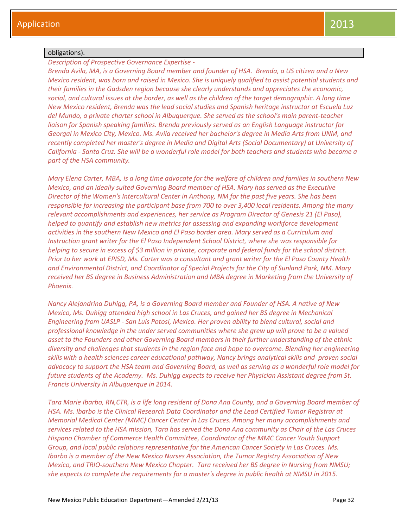## obligations).

*Description of Prospective Governance Expertise -*

*Brenda Avila, MA, is a Governing Board member and founder of HSA. Brenda, a US citizen and a New Mexico resident, was born and raised in Mexico. She is uniquely qualified to assist potential students and their families in the Gadsden region because she clearly understands and appreciates the economic, social, and cultural issues at the border, as well as the children of the target demographic. A long time New Mexico resident, Brenda was the lead social studies and Spanish heritage instructor at Escuela Luz del Mundo, a private charter school in Albuquerque. She served as the school's main parent-teacher liaison for Spanish speaking families. Brenda previously served as an English Language instructor for Georgal in Mexico City, Mexico. Ms. Avila received her bachelor's degree in Media Arts from UNM, and recently completed her master's degree in Media and Digital Arts (Social Documentary) at University of California - Santa Cruz. She will be a wonderful role model for both teachers and students who become a part of the HSA community.* 

*Mary Elena Carter, MBA, is a long time advocate for the welfare of children and families in southern New Mexico, and an ideally suited Governing Board member of HSA. Mary has served as the Executive Director of the Women's Intercultural Center in Anthony, NM for the past five years. She has been responsible for increasing the participant base from 700 to over 3,400 local residents. Among the many relevant accomplishments and experiences, her service as Program Director of Genesis 21 (El Paso), helped to quantify and establish new metrics for assessing and expanding workforce development activities in the southern New Mexico and El Paso border area. Mary served as a Curriculum and Instruction grant writer for the El Paso Independent School District, where she was responsible for helping to secure in excess of \$3 million in private, corporate and federal funds for the school district. Prior to her work at EPISD, Ms. Carter was a consultant and grant writer for the El Paso County Health and Environmental District, and Coordinator of Special Projects for the City of Sunland Park, NM. Mary received her BS degree in Business Administration and MBA degree in Marketing from the University of Phoenix.*

*Nancy Alejandrina Duhigg, PA, is a Governing Board member and Founder of HSA. A native of New Mexico, Ms. Duhigg attended high school in Las Cruces, and gained her BS degree in Mechanical Engineering from UASLP - San Luis Potosi, Mexico. Her proven ability to blend cultural, social and professional knowledge in the under served communities where she grew up will prove to be a valued asset to the Founders and other Governing Board members in their further understanding of the ethnic diversity and challenges that students in the region face and hope to overcome. Blending her engineering skills with a health sciences career educational pathway, Nancy brings analytical skills and proven social advocacy to support the HSA team and Governing Board, as well as serving as a wonderful role model for future students of the Academy. Ms. Duhigg expects to receive her Physician Assistant degree from St. Francis University in Albuquerque in 2014.*

*Tara Marie Ibarbo, RN,CTR, is a life long resident of Dona Ana County, and a Governing Board member of HSA. Ms. Ibarbo is the Clinical Research Data Coordinator and the Lead Certified Tumor Registrar at Memorial Medical Center (MMC) Cancer Center in Las Cruces. Among her many accomplishments and services related to the HSA mission, Tara has served the Dona Ana community as Chair of the Las Cruces Hispano Chamber of Commerce Health Committee, Coordinator of the MMC Cancer Youth Support Group, and local public relations representative for the American Cancer Society in Las Cruces. Ms. Ibarbo is a member of the New Mexico Nurses Association, the Tumor Registry Association of New Mexico, and TRIO-southern New Mexico Chapter. Tara received her BS degree in Nursing from NMSU; she expects to complete the requirements for a master's degree in public health at NMSU in 2015.*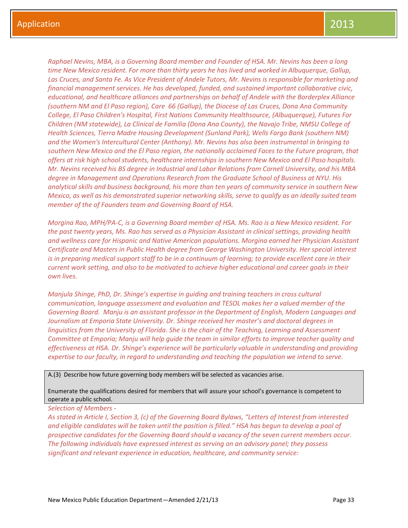*Raphael Nevins, MBA, is a Governing Board member and Founder of HSA. Mr. Nevins has been a long time New Mexico resident. For more than thirty years he has lived and worked in Albuquerque, Gallup, Las Cruces, and Santa Fe. As Vice President of Andele Tutors, Mr. Nevins is responsible for marketing and financial management services. He has developed, funded, and sustained important collaborative civic, educational, and healthcare alliances and partnerships on behalf of Andele with the Borderplex Alliance (southern NM and El Paso region), Care 66 (Gallup), the Diocese of Las Cruces, Dona Ana Community College, El Paso Children's Hospital, First Nations Community Healthsource, (Albuquerque), Futures For Children (NM statewide), La Clinical de Familia (Dona Ana County), the Navajo Tribe, NMSU College of Health Sciences, Tierra Madre Housing Development (Sunland Park), Wells Fargo Bank (southern NM) and the Women's Intercultural Center (Anthony). Mr. Nevins has also been instrumental in bringing to southern New Mexico and the El Paso region, the nationally acclaimed Faces to the Future program, that offers at risk high school students, healthcare internships in southern New Mexico and El Paso hospitals. Mr. Nevins received his BS degree in Industrial and Labor Relations from Cornell University, and his MBA degree in Management and Operations Research from the Graduate School of Business at NYU. His analytical skills and business background, his more than ten years of community service in southern New Mexico, as well as his demonstrated superior networking skills, serve to qualify as an ideally suited team member of the of Founders team and Governing Board of HSA.* 

*Morgina Rao, MPH/PA-C, is a Governing Board member of HSA. Ms. Rao is a New Mexico resident. For the past twenty years, Ms. Rao has served as a Physician Assistant in clinical settings, providing health and wellness care for Hispanic and Native American populations. Morgina earned her Physician Assistant Certificate and Masters in Public Health degree from George Washington University. Her special interest is in preparing medical support staff to be in a continuum of learning; to provide excellent care in their current work setting, and also to be motivated to achieve higher educational and career goals in their own lives.*

*Manjula Shinge, PhD, Dr. Shinge's expertise in guiding and training teachers in cross cultural communication, language assessment and evaluation and TESOL makes her a valued member of the Governing Board. Manju is an assistant professor in the Department of English, Modern Languages and Journalism at Emporia State University. Dr. Shinge received her master's and doctoral degrees in linguistics from the University of Florida. She is the chair of the Teaching, Learning and Assessment Committee at Emporia; Manju will help guide the team in similar efforts to improve teacher quality and effectiveness at HSA. Dr. Shinge's experience will be particularly valuable in understanding and providing expertise to our faculty, in regard to understanding and teaching the population we intend to serve.*

A.(3) Describe how future governing body members will be selected as vacancies arise.

Enumerate the qualifications desired for members that will assure your school's governance is competent to operate a public school.

#### *Selection of Members -*

As stated in Article I, Section 3, (c) of the Governing Board Bylaws, "Letters of Interest from interested *and eligible candidates will be taken until the position is filled." HSA has begun to develop a pool of prospective candidates for the Governing Board should a vacancy of the seven current members occur. The following individuals have expressed interest as serving on an advisory panel; they possess significant and relevant experience in education, healthcare, and community service:*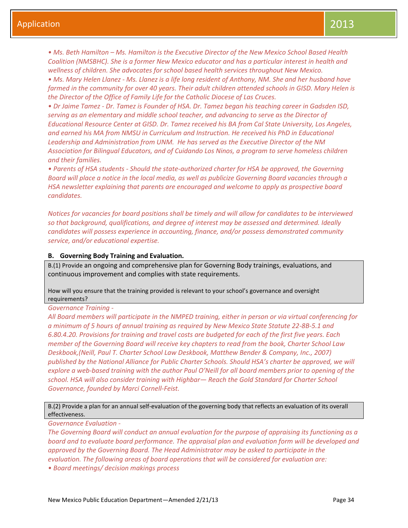• Ms. Beth Hamilton – Ms. Hamilton is the Executive Director of the New Mexico School Based Health *Coalition (NMSBHC). She is a former New Mexico educator and has a particular interest in health and wellness of children. She advocates for school based health services throughout New Mexico.* 

*• Ms. Mary Helen Llanez - Ms. Llanez is a life long resident of Anthony, NM. She and her husband have farmed in the community for over 40 years. Their adult children attended schools in GISD. Mary Helen is the Director of the Office of Family Life for the Catholic Diocese of Las Cruces.* 

*• Dr Jaime Tamez - Dr. Tamez is Founder of HSA. Dr. Tamez began his teaching career in Gadsden ISD, serving as an elementary and middle school teacher, and advancing to serve as the Director of Educational Resource Center at GISD. Dr. Tamez received his BA from Cal State University, Los Angeles, and earned his MA from NMSU in Curriculum and Instruction. He received his PhD in Educational Leadership and Administration from UNM. He has served as the Executive Director of the NM Association for Bilingual Educators, and of Cuidando Los Ninos, a program to serve homeless children and their families.* 

*• Parents of HSA students - Should the state-authorized charter for HSA be approved, the Governing Board will place a notice in the local media, as well as publicize Governing Board vacancies through a HSA newsletter explaining that parents are encouraged and welcome to apply as prospective board candidates.* 

*Notices for vacancies for board positions shall be timely and will allow for candidates to be interviewed so that background, qualifications, and degree of interest may be assessed and determined. Ideally candidates will possess experience in accounting, finance, and/or possess demonstrated community service, and/or educational expertise.*

## **B. Governing Body Training and Evaluation.**

B.(1) Provide an ongoing and comprehensive plan for Governing Body trainings, evaluations, and continuous improvement and complies with state requirements.

How will you ensure that the training provided is relevant to your school's governance and oversight requirements?

## *Governance Training -*

*All Board members will participate in the NMPED training, either in person or via virtual conferencing for a minimum of 5 hours of annual training as required by New Mexico State Statute 22-8B-5.1 and 6.80.4.20. Provisions for training and travel costs are budgeted for each of the first five years. Each member of the Governing Board will receive key chapters to read from the book, Charter School Law Deskbook,(Neill, Paul T. Charter School Law Deskbook, Matthew Bender & Company, Inc., 2007) published by the National Alliance for Public Charter Schools. Should HSA's charter be approved, we will explore a web-based training with the author Paul O'Neill for all board members prior to opening of the school. HSA will also consider training with Highbar— Reach the Gold Standard for Charter School Governance, founded by Marci Cornell-Feist.*

## B.(2) Provide a plan for an annual self-evaluation of the governing body that reflects an evaluation of its overall effectiveness.

*Governance Evaluation -*

*The Governing Board will conduct an annual evaluation for the purpose of appraising its functioning as a board and to evaluate board performance. The appraisal plan and evaluation form will be developed and approved by the Governing Board. The Head Administrator may be asked to participate in the evaluation. The following areas of board operations that will be considered for evaluation are:* 

*• Board meetings/ decision makings process*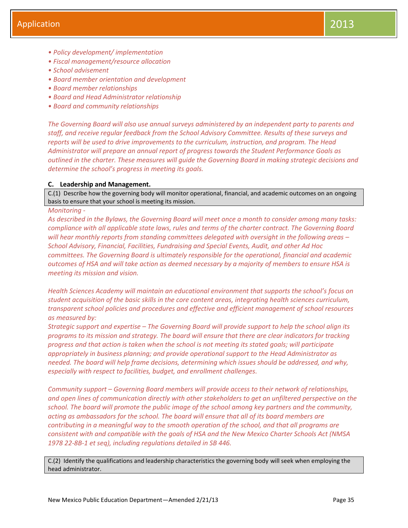- *• Policy development/ implementation*
- *• Fiscal management/resource allocation*
- *• School advisement*
- *• Board member orientation and development*
- *• Board member relationships*
- *• Board and Head Administrator relationship*
- *• Board and community relationships*

*The Governing Board will also use annual surveys administered by an independent party to parents and staff, and receive regular feedback from the School Advisory Committee. Results of these surveys and reports will be used to drive improvements to the curriculum, instruction, and program. The Head Administrator will prepare an annual report of progress towards the Student Performance Goals as outlined in the charter. These measures will guide the Governing Board in making strategic decisions and determine the school's progress in meeting its goals.*

## **C. Leadership and Management.**

C.(1) Describe how the governing body will monitor operational, financial, and academic outcomes on an ongoing basis to ensure that your school is meeting its mission.

#### *Monitoring -*

*As described in the Bylaws, the Governing Board will meet once a month to consider among many tasks: compliance with all applicable state laws, rules and terms of the charter contract. The Governing Board will hear monthly reports from standing committees delegated with oversight in the following areas – School Advisory, Financial, Facilities, Fundraising and Special Events, Audit, and other Ad Hoc committees. The Governing Board is ultimately responsible for the operational, financial and academic outcomes of HSA and will take action as deemed necessary by a majority of members to ensure HSA is meeting its mission and vision.*

*Health Sciences Academy will maintain an educational environment that supports the school's focus on student acquisition of the basic skills in the core content areas, integrating health sciences curriculum, transparent school policies and procedures and effective and efficient management of school resources as measured by:*

*Strategic support and expertise – The Governing Board will provide support to help the school align its programs to its mission and strategy. The board will ensure that there are clear indicators for tracking progress and that action is taken when the school is not meeting its stated goals; will participate appropriately in business planning; and provide operational support to the Head Administrator as needed. The board will help frame decisions, determining which issues should be addressed, and why, especially with respect to facilities, budget, and enrollment challenges.*

*Community support – Governing Board members will provide access to their network of relationships, and open lines of communication directly with other stakeholders to get an unfiltered perspective on the school. The board will promote the public image of the school among key partners and the community, acting as ambassadors for the school. The board will ensure that all of its board members are contributing in a meaningful way to the smooth operation of the school, and that all programs are consistent with and compatible with the goals of HSA and the New Mexico Charter Schools Act (NMSA 1978 22-8B-1 et seq), including regulations detailed in SB 446.*

C.(2) Identify the qualifications and leadership characteristics the governing body will seek when employing the head administrator.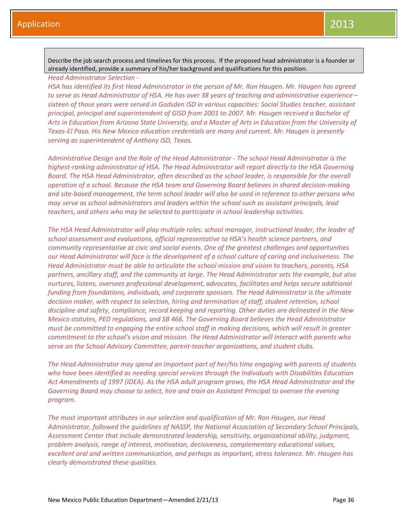Describe the job search process and timelines for this process. If the proposed head administrator is a founder or already identified, provide a summary of his/her background and qualifications for this position.

*Head Administrator Selection -*

*HSA has identified its first Head Administrator in the person of Mr. Ron Haugen. Mr. Haugen has agreed to serve as Head Administrator of HSA. He has over 38 years of teaching and administrative experience – sixteen of those years were served in Gadsden ISD in various capacities: Social Studies teacher, assistant principal, principal and superintendent of GISD from 2001 to 2007. Mr. Haugen received a Bachelor of Arts in Education from Arizona State University, and a Master of Arts in Education from the University of Texas-El Paso. His New Mexico education credentials are many and current. Mr. Haugen is presently serving as superintendent of Anthony ISD, Texas.*

*Administrative Design and the Role of the Head Administrator - The school Head Administrator is the highest-ranking administrator of HSA. The Head Administrator will report directly to the HSA Governing Board. The HSA Head Administrator, often described as the school leader, is responsible for the overall operation of a school. Because the HSA team and Governing Board believes in shared decision-making and site-based management, the term school leader will also be used in reference to other persons who may serve as school administrators and leaders within the school such as assistant principals, lead teachers, and others who may be selected to participate in school leadership activities.*

*The HSA Head Administrator will play multiple roles: school manager, instructional leader, the leader of school assessment and evaluations, official representative to HSA's health science partners, and community representative at civic and social events. One of the greatest challenges and opportunities our Head Administrator will face is the development of a school culture of caring and inclusiveness. The Head Administrator must be able to articulate the school mission and vision to teachers, parents, HSA partners, ancillary staff, and the community at large. The Head Administrator sets the example, but also nurtures, listens, oversees professional development, advocates, facilitates and helps secure additional funding from foundations, individuals, and corporate sponsors. The Head Administrator is the ultimate decision maker, with respect to selection, hiring and termination of staff, student retention, school discipline and safety, compliance, record keeping and reporting. Other duties are delineated in the New Mexico statutes, PED regulations, and SB 466. The Governing Board believes the Head Administrator must be committed to engaging the entire school staff in making decisions, which will result in greater commitment to the school's vision and mission. The Head Administrator will interact with parents who serve on the School Advisory Committee, parent-teacher organizations, and student clubs.*

*The Head Administrator may spend an important part of her/his time engaging with parents of students who have been identified as needing special services through the Individuals with Disabilities Education Act Amendments of 1997 (IDEA). As the HSA adult program grows, the HSA Head Administrator and the Governing Board may choose to select, hire and train an Assistant Principal to oversee the evening program.*

*The most important attributes in our selection and qualification of Mr. Ron Haugen, our Head Administrator, followed the guidelines of NASSP, the National Association of Secondary School Principals, Assessment Center that include demonstrated leadership, sensitivity, organizational ability, judgment, problem analysis, range of interest, motivation, decisiveness, complementary educational values, excellent oral and written communication, and perhaps as important, stress tolerance. Mr. Haugen has clearly demonstrated these qualities.*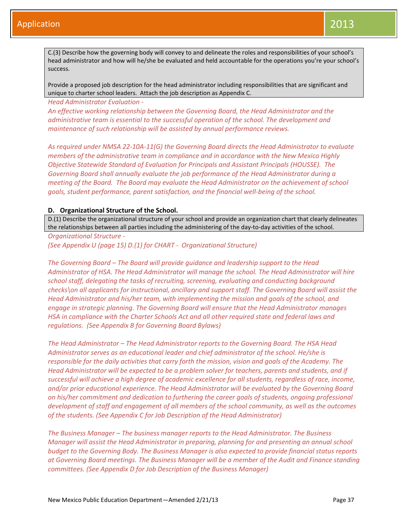C.(3) Describe how the governing body will convey to and delineate the roles and responsibilities of your school's head administrator and how will he/she be evaluated and held accountable for the operations you're your school's success.

Provide a proposed job description for the head administrator including responsibilities that are significant and unique to charter school leaders. Attach the job description as Appendix C.

*Head Administrator Evaluation -*

*An effective working relationship between the Governing Board, the Head Administrator and the administrative team is essential to the successful operation of the school. The development and maintenance of such relationship will be assisted by annual performance reviews.*

*As required under NMSA 22-10A-11(G) the Governing Board directs the Head Administrator to evaluate members of the administrative team in compliance and in accordance with the New Mexico Highly Objective Statewide Standard of Evaluation for Principals and Assistant Principals (HOUSSE). The Governing Board shall annually evaluate the job performance of the Head Administrator during a meeting of the Board. The Board may evaluate the Head Administrator on the achievement of school goals, student performance, parent satisfaction, and the financial well-being of the school.*

## **D. Organizational Structure of the School.**

D.(1) Describe the organizational structure of your school and provide an organization chart that clearly delineates the relationships between all parties including the administering of the day-to-day activities of the school.

*Organizational Structure -*

*(See Appendix U (page 15) D.(1) for CHART - Organizational Structure)*

*The Governing Board – The Board will provide guidance and leadership support to the Head Administrator of HSA. The Head Administrator will manage the school. The Head Administrator will hire school staff, delegating the tasks of recruiting, screening, evaluating and conducting background checks\on all applicants for instructional, ancillary and support staff. The Governing Board will assist the Head Administrator and his/her team, with implementing the mission and goals of the school, and engage in strategic planning. The Governing Board will ensure that the Head Administrator manages HSA in compliance with the Charter Schools Act and all other required state and federal laws and regulations. (See Appendix B for Governing Board Bylaws)*

*The Head Administrator – The Head Administrator reports to the Governing Board. The HSA Head Administrator serves as an educational leader and chief administrator of the school. He/she is responsible for the daily activities that carry forth the mission, vision and goals of the Academy. The Head Administrator will be expected to be a problem solver for teachers, parents and students, and if successful will achieve a high degree of academic excellence for all students, regardless of race, income, and/or prior educational experience. The Head Administrator will be evaluated by the Governing Board on his/her commitment and dedication to furthering the career goals of students, ongoing professional development of staff and engagement of all members of the school community, as well as the outcomes of the students. (See Appendix C for Job Description of the Head Administrator)*

*The Business Manager – The business manager reports to the Head Administrator. The Business Manager will assist the Head Administrator in preparing, planning for and presenting an annual school budget to the Governing Body. The Business Manager is also expected to provide financial status reports at Governing Board meetings. The Business Manager will be a member of the Audit and Finance standing committees. (See Appendix D for Job Description of the Business Manager)*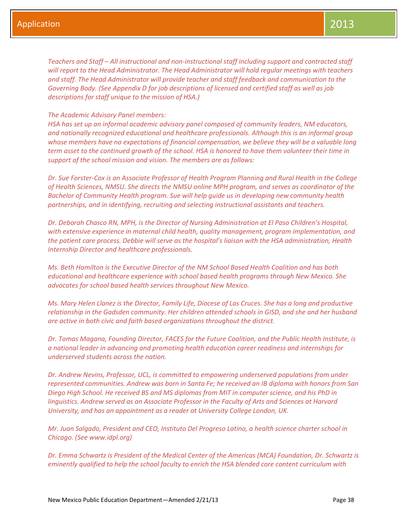*Teachers and Staff – All instructional and non-instructional staff including support and contracted staff will report to the Head Administrator. The Head Administrator will hold regular meetings with teachers and staff. The Head Administrator will provide teacher and staff feedback and communication to the Governing Body. (See Appendix D for job descriptions of licensed and certified staff as well as job descriptions for staff unique to the mission of HSA.)*

## *The Academic Advisory Panel members:*

*HSA has set up an informal academic advisory panel composed of community leaders, NM educators, and nationally recognized educational and healthcare professionals. Although this is an informal group whose members have no expectations of financial compensation, we believe they will be a valuable long term asset to the continued growth of the school. HSA is honored to have them volunteer their time in support of the school mission and vision. The members are as follows:*

*Dr. Sue Forster-Cox is an Associate Professor of Health Program Planning and Rural Health in the College of Health Sciences, NMSU. She directs the NMSU online MPH program, and serves as coordinator of the Bachelor of Community Health program. Sue will help guide us in developing new community health partnerships, and in identifying, recruiting and selecting instructional assistants and teachers.* 

*Dr. Deborah Chasco RN, MPH, is the Director of Nursing Administration at El Paso Children's Hospital, with extensive experience in maternal child health, quality management, program implementation, and the patient care process. Debbie will serve as the hospital's liaison with the HSA administration, Health Internship Director and healthcare professionals.* 

*Ms. Beth Hamilton is the Executive Director of the NM School Based Health Coalition and has both educational and healthcare experience with school based health programs through New Mexico. She advocates for school based health services throughout New Mexico.* 

*Ms. Mary Helen Llanez is the Director, Family Life, Diocese of Las Cruces. She has a long and productive relationship in the Gadsden community. Her children attended schools in GISD, and she and her husband are active in both civic and faith based organizations throughout the district.* 

*Dr. Tomas Magana, Founding Director, FACES for the Future Coalition, and the Public Health Institute, is a national leader in advancing and promoting health education career readiness and internships for underserved students across the nation.* 

*Dr. Andrew Nevins, Professor, UCL, is committed to empowering underserved populations from under represented communities. Andrew was born in Santa Fe; he received an IB diploma with honors from San Diego High School. He received BS and MS diplomas from MIT in computer science, and his PhD in linguistics. Andrew served as an Associate Professor in the Faculty of Arts and Sciences at Harvard University, and has an appointment as a reader at University College London, UK.* 

*Mr. Juan Salgado, President and CEO, Instituto Del Progreso Latino, a health science charter school in Chicago. (See www.idpl.org)*

*Dr. Emma Schwartz is President of the Medical Center of the Americas (MCA) Foundation, Dr. Schwartz is eminently qualified to help the school faculty to enrich the HSA blended core content curriculum with*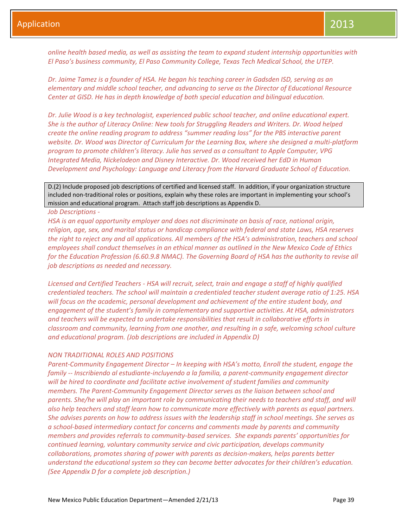*online health based media, as well as assisting the team to expand student internship opportunities with El Paso's business community, El Paso Community College, Texas Tech Medical School, the UTEP.* 

*Dr. Jaime Tamez is a founder of HSA. He began his teaching career in Gadsden ISD, serving as an elementary and middle school teacher, and advancing to serve as the Director of Educational Resource Center at GISD. He has in depth knowledge of both special education and bilingual education.* 

*Dr. Julie Wood is a key technologist, experienced public school teacher, and online educational expert. She is the author of Literacy Online: New tools for Struggling Readers and Writers. Dr. Wood helped create the online reading program to address "summer reading loss" for the PBS interactive parent website. Dr. Wood was Director of Curriculum for the Learning Box, where she designed a multi-platform program to promote children's literacy. Julie has served as a consultant to Apple Computer, VPG Integrated Media, Nickelodeon and Disney Interactive. Dr. Wood received her EdD in Human Development and Psychology: Language and Literacy from the Harvard Graduate School of Education.*

D.(2) Include proposed job descriptions of certified and licensed staff. In addition, if your organization structure included non-traditional roles or positions, explain why these roles are important in implementing your school's mission and educational program. Attach staff job descriptions as Appendix D.

#### *Job Descriptions -*

*HSA is an equal opportunity employer and does not discriminate on basis of race, national origin, religion, age, sex, and marital status or handicap compliance with federal and state Laws, HSA reserves the right to reject any and all applications. All members of the HSA's administration, teachers and school employees shall conduct themselves in an ethical manner as outlined in the New Mexico Code of Ethics for the Education Profession (6.60.9.8 NMAC). The Governing Board of HSA has the authority to revise all job descriptions as needed and necessary.*

*Licensed and Certified Teachers - HSA will recruit, select, train and engage a staff of highly qualified credentialed teachers. The school will maintain a credentialed teacher student average ratio of 1:25. HSA will focus on the academic, personal development and achievement of the entire student body, and engagement of the student's family in complementary and supportive activities. At HSA, administrators and teachers will be expected to undertake responsibilities that result in collaborative efforts in classroom and community, learning from one another, and resulting in a safe, welcoming school culture and educational program. (Job descriptions are included in Appendix D)*

#### *NON TRADITIONAL ROLES AND POSITIONS*

*Parent-Community Engagement Director – In keeping with HSA's motto, Enroll the student, engage the family -- Inscribiendo al estudiante-incluyendo a la familia, a parent-community engagement director will be hired to coordinate and facilitate active involvement of student families and community members. The Parent-Community Engagement Director serves as the liaison between school and parents. She/he will play an important role by communicating their needs to teachers and staff, and will also help teachers and staff learn how to communicate more effectively with parents as equal partners. She advises parents on how to address issues with the leadership staff in school meetings. She serves as a school-based intermediary contact for concerns and comments made by parents and community members and provides referrals to community-based services. She expands parents' opportunities for continued learning, voluntary community service and civic participation, develops community collaborations, promotes sharing of power with parents as decision-makers, helps parents better understand the educational system so they can become better advocates for their children's education. (See Appendix D for a complete job description.)*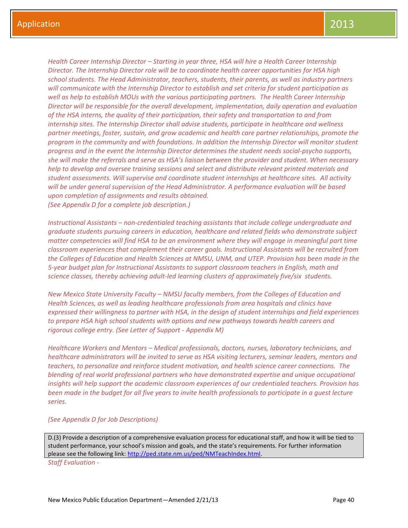*Health Career Internship Director – Starting in year three, HSA will hire a Health Career Internship Director. The Internship Director role will be to coordinate health career opportunities for HSA high school students. The Head Administrator, teachers, students, their parents, as well as industry partners will communicate with the Internship Director to establish and set criteria for student participation as well as help to establish MOUs with the various participating partners. The Health Career Internship Director will be responsible for the overall development, implementation, daily operation and evaluation of the HSA interns, the quality of their participation, their safety and transportation to and from internship sites. The Internship Director shall advise students, participate in healthcare and wellness partner meetings, foster, sustain, and grow academic and health care partner relationships, promote the program in the community and with foundations. In addition the Internship Director will monitor student progress and in the event the Internship Director determines the student needs social-psycho supports, she will make the referrals and serve as HSA's liaison between the provider and student. When necessary help to develop and oversee training sessions and select and distribute relevant printed materials and student assessments. Will supervise and coordinate student internships at healthcare sites. All activity will be under general supervision of the Head Administrator. A performance evaluation will be based upon completion of assignments and results obtained. (See Appendix D for a complete job description.)*

*Instructional Assistants – non-credentialed teaching assistants that include college undergraduate and graduate students pursuing careers in education, healthcare and related fields who demonstrate subject matter competencies will find HSA to be an environment where they will engage in meaningful part time classroom experiences that complement their career goals. Instructional Assistants will be recruited from the Colleges of Education and Health Sciences at NMSU, UNM, and UTEP. Provision has been made in the 5-year budget plan for Instructional Assistants to support classroom teachers in English, math and science classes, thereby achieving adult-led learning clusters of approximately five/six students.*

*New Mexico State University Faculty – NMSU faculty members, from the Colleges of Education and Health Sciences, as well as leading healthcare professionals from area hospitals and clinics have expressed their willingness to partner with HSA, in the design of student internships and field experiences to prepare HSA high school students with options and new pathways towards health careers and rigorous college entry. (See Letter of Support - Appendix M)*

*Healthcare Workers and Mentors – Medical professionals, doctors, nurses, laboratory technicians, and healthcare administrators will be invited to serve as HSA visiting lecturers, seminar leaders, mentors and teachers, to personalize and reinforce student motivation, and health science career connections. The blending of real world professional partners who have demonstrated expertise and unique occupational insights will help support the academic classroom experiences of our credentialed teachers. Provision has been made in the budget for all five years to invite health professionals to participate in a guest lecture series.*

#### *(See Appendix D for Job Descriptions)*

D.(3) Provide a description of a comprehensive evaluation process for educational staff, and how it will be tied to student performance, your school's mission and goals, and the state's requirements. For further information please see the following link[: http://ped.state.nm.us/ped/NMTeachIndex.html.](http://ped.state.nm.us/ped/NMTeachIndex.html)

*Staff Evaluation -*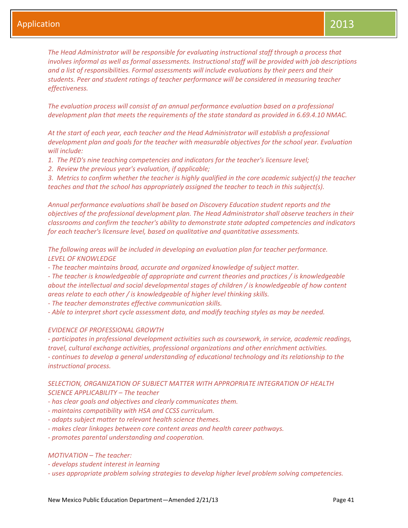*The Head Administrator will be responsible for evaluating instructional staff through a process that involves informal as well as formal assessments. Instructional staff will be provided with job descriptions and a list of responsibilities. Formal assessments will include evaluations by their peers and their students. Peer and student ratings of teacher performance will be considered in measuring teacher effectiveness.* 

*The evaluation process will consist of an annual performance evaluation based on a professional development plan that meets the requirements of the state standard as provided in 6.69.4.10 NMAC.* 

*At the start of each year, each teacher and the Head Administrator will establish a professional development plan and goals for the teacher with measurable objectives for the school year. Evaluation will include:* 

- *1. The PED's nine teaching competencies and indicators for the teacher's licensure level;*
- *2. Review the previous year's evaluation, if applicable;*

*3. Metrics to confirm whether the teacher is highly qualified in the core academic subject(s) the teacher teaches and that the school has appropriately assigned the teacher to teach in this subject(s).* 

*Annual performance evaluations shall be based on Discovery Education student reports and the objectives of the professional development plan. The Head Administrator shall observe teachers in their classrooms and confirm the teacher's ability to demonstrate state adopted competencies and indicators for each teacher's licensure level, based on qualitative and quantitative assessments.*

*The following areas will be included in developing an evaluation plan for teacher performance. LEVEL OF KNOWLEDGE*

*- The teacher maintains broad, accurate and organized knowledge of subject matter.*

*- The teacher is knowledgeable of appropriate and current theories and practices / is knowledgeable about the intellectual and social developmental stages of children / is knowledgeable of how content areas relate to each other / is knowledgeable of higher level thinking skills.*

*- The teacher demonstrates effective communication skills.*

*- Able to interpret short cycle assessment data, and modify teaching styles as may be needed.*

#### *EVIDENCE OF PROFESSIONAL GROWTH*

*- participates in professional development activities such as coursework, in service, academic readings, travel, cultural exchange activities, professional organizations and other enrichment activities. - continues to develop a general understanding of educational technology and its relationship to the instructional process.*

*SELECTION, ORGANIZATION OF SUBJECT MATTER WITH APPROPRIATE INTEGRATION OF HEALTH SCIENCE APPLICABILITY – The teacher*

- *- has clear goals and objectives and clearly communicates them.*
- *- maintains compatibility with HSA and CCSS curriculum.*
- *- adapts subject matter to relevant health science themes.*
- *- makes clear linkages between core content areas and health career pathways.*
- *- promotes parental understanding and cooperation.*

## *MOTIVATION – The teacher:*

- *- develops student interest in learning*
- *- uses appropriate problem solving strategies to develop higher level problem solving competencies.*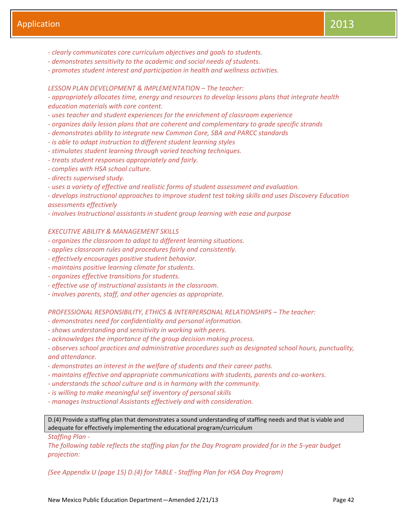- *- clearly communicates core curriculum objectives and goals to students.*
- *- demonstrates sensitivity to the academic and social needs of students.*
- *- promotes student interest and participation in health and wellness activities.*

## *LESSON PLAN DEVELOPMENT & IMPLEMENTATION – The teacher:*

*- appropriately allocates time, energy and resources to develop lessons plans that integrate health education materials with core content.*

- *- uses teacher and student experiences for the enrichment of classroom experience*
- *- organizes daily lesson plans that are coherent and complementary to grade specific strands*
- *- demonstrates ability to integrate new Common Core, SBA and PARCC standards*
- *- is able to adapt instruction to different student learning styles*
- *- stimulates student learning through varied teaching techniques.*
- *- treats student responses appropriately and fairly.*
- *- complies with HSA school culture.*
- *- directs supervised study.*

*- uses a variety of effective and realistic forms of student assessment and evaluation.*

*- develops instructional approaches to improve student test taking skills and uses Discovery Education assessments effectively*

*- involves Instructional assistants in student group learning with ease and purpose*

## *EXECUTIVE ABILITY & MANAGEMENT SKILLS*

- *- organizes the classroom to adapt to different learning situations.*
- *- applies classroom rules and procedures fairly and consistently.*
- *- effectively encourages positive student behavior.*
- *- maintains positive learning climate for students.*
- *- organizes effective transitions for students.*
- *- effective use of instructional assistants in the classroom.*
- *- involves parents, staff, and other agencies as appropriate.*

**PROFESSIONAL RESPONSIBILITY, ETHICS & INTERPERSONAL RELATIONSHIPS - The teacher:** 

- *- demonstrates need for confidentiality and personal information.*
- *- shows understanding and sensitivity in working with peers.*
- *- acknowledges the importance of the group decision making process.*
- *- observes school practices and administrative procedures such as designated school hours, punctuality, and attendance.*
- *- demonstrates an interest in the welfare of students and their career paths.*
- *- maintains effective and appropriate communications with students, parents and co-workers.*
- *- understands the school culture and is in harmony with the community.*
- *- is willing to make meaningful self inventory of personal skills*
- *- manages Instructional Assistants effectively and with consideration.*

D.(4) Provide a staffing plan that demonstrates a sound understanding of staffing needs and that is viable and adequate for effectively implementing the educational program/curriculum

*Staffing Plan -*

*The following table reflects the staffing plan for the Day Program provided for in the 5-year budget projection:*

*(See Appendix U (page 15) D.(4) for TABLE - Staffing Plan for HSA Day Program)*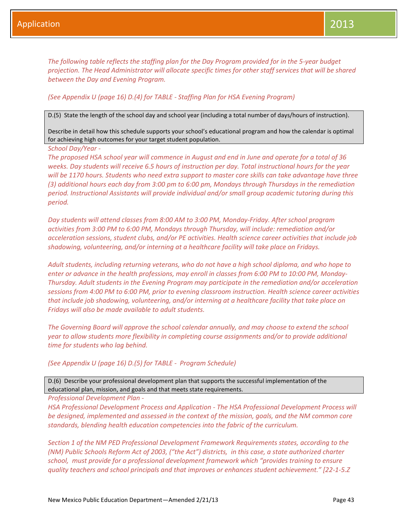*The following table reflects the staffing plan for the Day Program provided for in the 5-year budget projection. The Head Administrator will allocate specific times for other staff services that will be shared between the Day and Evening Program.*

## *(See Appendix U (page 16) D.(4) for TABLE - Staffing Plan for HSA Evening Program)*

D.(5) State the length of the school day and school year (including a total number of days/hours of instruction).

Describe in detail how this schedule supports your school's educational program and how the calendar is optimal for achieving high outcomes for your target student population.

*School Day/Year -*

*The proposed HSA school year will commence in August and end in June and operate for a total of 36 weeks. Day students will receive 6.5 hours of instruction per day. Total instructional hours for the year will be 1170 hours. Students who need extra support to master core skills can take advantage have three (3) additional hours each day from 3:00 pm to 6:00 pm, Mondays through Thursdays in the remediation period. Instructional Assistants will provide individual and/or small group academic tutoring during this period.*

*Day students will attend classes from 8:00 AM to 3:00 PM, Monday-Friday. After school program activities from 3:00 PM to 6:00 PM, Mondays through Thursday, will include: remediation and/or acceleration sessions, student clubs, and/or PE activities. Health science career activities that include job shadowing, volunteering, and/or interning at a healthcare facility will take place on Fridays.* 

*Adult students, including returning veterans, who do not have a high school diploma, and who hope to enter or advance in the health professions, may enroll in classes from 6:00 PM to 10:00 PM, Monday-Thursday. Adult students in the Evening Program may participate in the remediation and/or acceleration sessions from 4:00 PM to 6:00 PM, prior to evening classroom instruction. Health science career activities that include job shadowing, volunteering, and/or interning at a healthcare facility that take place on Fridays will also be made available to adult students.* 

*The Governing Board will approve the school calendar annually, and may choose to extend the school year to allow students more flexibility in completing course assignments and/or to provide additional time for students who lag behind.*

*(See Appendix U (page 16) D.(5) for TABLE - Program Schedule)*

D.(6) Describe your professional development plan that supports the successful implementation of the educational plan, mission, and goals and that meets state requirements.

*Professional Development Plan -*

*HSA Professional Development Process and Application - The HSA Professional Development Process will be designed, implemented and assessed in the context of the mission, goals, and the NM common core standards, blending health education competencies into the fabric of the curriculum.* 

*Section 1 of the NM PED Professional Development Framework Requirements states, according to the (NM) Public Schools Reform Act of 2003, ("the Act") districts, in this case, a state authorized charter school, must provide for a professional development framework which "provides training to ensure quality teachers and school principals and that improves or enhances student achievement." [22-1-5.Z*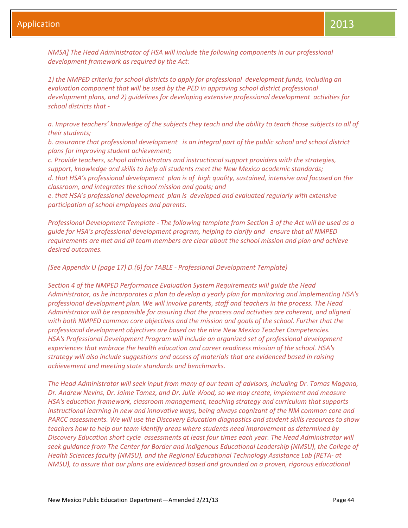*NMSA] The Head Administrator of HSA will include the following components in our professional development framework as required by the Act:*

*1) the NMPED criteria for school districts to apply for professional development funds, including an evaluation component that will be used by the PED in approving school district professional development plans, and 2) guidelines for developing extensive professional development activities for school districts that -*

*a. Improve teachers' knowledge of the subjects they teach and the ability to teach those subjects to all of their students;* 

*b. assurance that professional development is an integral part of the public school and school district plans for improving student achievement;* 

*c. Provide teachers, school administrators and instructional support providers with the strategies, support, knowledge and skills to help all students meet the New Mexico academic standards; d. that HSA's professional development plan is of high quality, sustained, intensive and focused on the classroom, and integrates the school mission and goals; and* 

*e. that HSA's professional development plan is developed and evaluated regularly with extensive participation of school employees and parents.* 

*Professional Development Template - The following template from Section 3 of the Act will be used as a guide for HSA's professional development program, helping to clarify and ensure that all NMPED requirements are met and all team members are clear about the school mission and plan and achieve desired outcomes.*

## *(See Appendix U (page 17) D.(6) for TABLE - Professional Development Template)*

*Section 4 of the NMPED Performance Evaluation System Requirements will guide the Head Administrator, as he incorporates a plan to develop a yearly plan for monitoring and implementing HSA's professional development plan. We will involve parents, staff and teachers in the process. The Head Administrator will be responsible for assuring that the process and activities are coherent, and aligned with both NMPED common core objectives and the mission and goals of the school. Further that the professional development objectives are based on the nine New Mexico Teacher Competencies. HSA's Professional Development Program will include an organized set of professional development experiences that embrace the health education and career readiness mission of the school. HSA's strategy will also include suggestions and access of materials that are evidenced based in raising achievement and meeting state standards and benchmarks.* 

*The Head Administrator will seek input from many of our team of advisors, including Dr. Tomas Magana, Dr. Andrew Nevins, Dr. Jaime Tamez, and Dr. Julie Wood, so we may create, implement and measure HSA's education framework, classroom management, teaching strategy and curriculum that supports instructional learning in new and innovative ways, being always cognizant of the NM common core and PARCC assessments. We will use the Discovery Education diagnostics and student skills resources to show teachers how to help our team identify areas where students need improvement as determined by Discovery Education short cycle assessments at least four times each year. The Head Administrator will seek guidance from The Center for Border and Indigenous Educational Leadership (NMSU), the College of Health Sciences faculty (NMSU), and the Regional Educational Technology Assistance Lab (RETA- at NMSU), to assure that our plans are evidenced based and grounded on a proven, rigorous educational*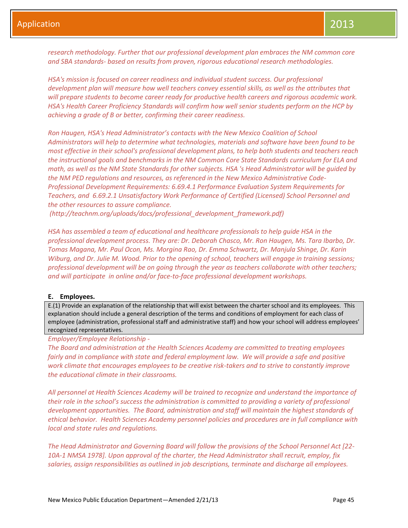*research methodology. Further that our professional development plan embraces the NM common core and SBA standards- based on results from proven, rigorous educational research methodologies.* 

*HSA's mission is focused on career readiness and individual student success. Our professional development plan will measure how well teachers convey essential skills, as well as the attributes that will prepare students to become career ready for productive health careers and rigorous academic work. HSA's Health Career Proficiency Standards will confirm how well senior students perform on the HCP by achieving a grade of B or better, confirming their career readiness.*

*Ron Haugen, HSA's Head Administrator's contacts with the New Mexico Coalition of School Administrators will help to determine what technologies, materials and software have been found to be most effective in their school's professional development plans, to help both students and teachers reach the instructional goals and benchmarks in the NM Common Core State Standards curriculum for ELA and math, as well as the NM State Standards for other subjects. HSA 's Head Administrator will be guided by the NM PED regulations and resources, as referenced in the New Mexico Administrative Code-Professional Development Requirements: 6.69.4.1 Performance Evaluation System Requirements for Teachers, and 6.69.2.1 Unsatisfactory Work Performance of Certified (Licensed) School Personnel and the other resources to assure compliance.*

*(http://teachnm.org/uploads/docs/professional\_development\_framework.pdf)*

*HSA has assembled a team of educational and healthcare professionals to help guide HSA in the professional development process. They are: Dr. Deborah Chasco, Mr. Ron Haugen, Ms. Tara Ibarbo, Dr. Tomas Magana, Mr. Paul Ocon, Ms. Morgina Rao, Dr. Emma Schwartz, Dr. Manjula Shinge, Dr. Karin Wiburg, and Dr. Julie M. Wood. Prior to the opening of school, teachers will engage in training sessions; professional development will be on going through the year as teachers collaborate with other teachers; and will participate in online and/or face-to-face professional development workshops.*

#### **E. Employees.**

E.(1) Provide an explanation of the relationship that will exist between the charter school and its employees. This explanation should include a general description of the terms and conditions of employment for each class of employee (administration, professional staff and administrative staff) and how your school will address employees' recognized representatives.

*Employer/Employee Relationship -*

*The Board and administration at the Health Sciences Academy are committed to treating employees fairly and in compliance with state and federal employment law. We will provide a safe and positive work climate that encourages employees to be creative risk-takers and to strive to constantly improve the educational climate in their classrooms.* 

*All personnel at Health Sciences Academy will be trained to recognize and understand the importance of their role in the school's success the administration is committed to providing a variety of professional development opportunities. The Board, administration and staff will maintain the highest standards of ethical behavior. Health Sciences Academy personnel policies and procedures are in full compliance with local and state rules and regulations.* 

*The Head Administrator and Governing Board will follow the provisions of the School Personnel Act [22- 10A-1 NMSA 1978]. Upon approval of the charter, the Head Administrator shall recruit, employ, fix salaries, assign responsibilities as outlined in job descriptions, terminate and discharge all employees.*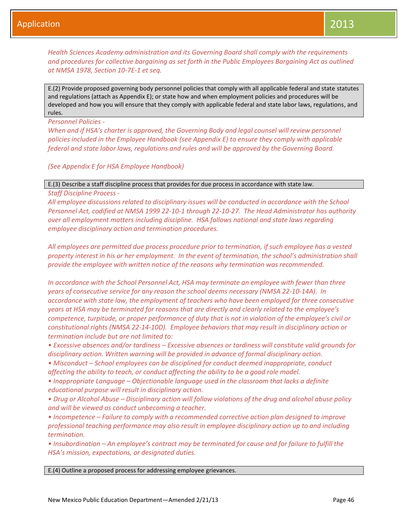*Health Sciences Academy administration and its Governing Board shall comply with the requirements and procedures for collective bargaining as set forth in the Public Employees Bargaining Act as outlined at NMSA 1978, Section 10-7E-1 et seq.*

E.(2) Provide proposed governing body personnel policies that comply with all applicable federal and state statutes and regulations (attach as Appendix E); or state how and when employment policies and procedures will be developed and how you will ensure that they comply with applicable federal and state labor laws, regulations, and rules.

*Personnel Policies -*

*When and if HSA's charter is approved, the Governing Body and legal counsel will review personnel policies included in the Employee Handbook (see Appendix E) to ensure they comply with applicable federal and state labor laws, regulations and rules and will be approved by the Governing Board.* 

*(See Appendix E for HSA Employee Handbook)*

E.(3) Describe a staff discipline process that provides for due process in accordance with state law.

*Staff Discipline Process -*

*All employee discussions related to disciplinary issues will be conducted in accordance with the School Personnel Act, codified at NMSA 1999 22-10-1 through 22-10-27. The Head Administrator has authority over all employment matters including discipline. HSA follows national and state laws regarding employee disciplinary action and termination procedures.* 

*All employees are permitted due process procedure prior to termination, if such employee has a vested property interest in his or her employment. In the event of termination, the school's administration shall provide the employee with written notice of the reasons why termination was recommended.*

*In accordance with the School Personnel Act, HSA may terminate an employee with fewer than three years of consecutive service for any reason the school deems necessary (NMSA 22-10-14A). In accordance with state law, the employment of teachers who have been employed for three consecutive years at HSA may be terminated for reasons that are directly and clearly related to the employee's competence, turpitude, or proper performance of duty that is not in violation of the employee's civil or constitutional rights (NMSA 22-14-10D). Employee behaviors that may result in disciplinary action or termination include but are not limited to:*

*• Excessive absences and/or tardiness – Excessive absences or tardiness will constitute valid grounds for disciplinary action. Written warning will be provided in advance of formal disciplinary action.*

• *Misconduct – School employees can be disciplined for conduct deemed inappropriate, conduct affecting the ability to teach, or conduct affecting the ability to be a good role model.*

*• Inappropriate Language – Objectionable language used in the classroom that lacks a definite educational purpose will result in disciplinary action.*

*• Drug or Alcohol Abuse – Disciplinary action will follow violations of the drug and alcohol abuse policy and will be viewed as conduct unbecoming a teacher.*

*• Incompetence – Failure to comply with a recommended corrective action plan designed to improve professional teaching performance may also result in employee disciplinary action up to and including termination.*

*• Insubordination – An employee's contract may be terminated for cause and for failure to fulfill the HSA's mission, expectations, or designated duties.*

E.(4) Outline a proposed process for addressing employee grievances.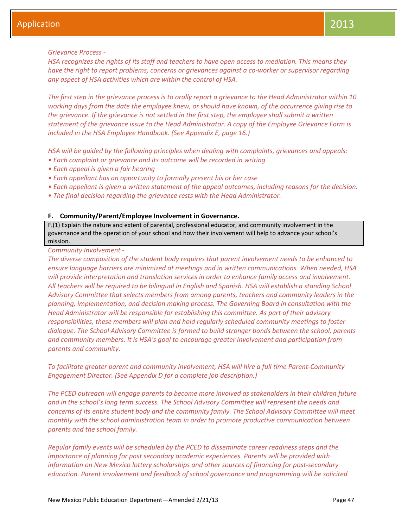## *Grievance Process -*

*HSA recognizes the rights of its staff and teachers to have open access to mediation. This means they have the right to report problems, concerns or grievances against a co-worker or supervisor regarding any aspect of HSA activities which are within the control of HSA.* 

*The first step in the grievance process is to orally report a grievance to the Head Administrator within 10 working days from the date the employee knew, or should have known, of the occurrence giving rise to the grievance. If the grievance is not settled in the first step, the employee shall submit a written statement of the grievance issue to the Head Administrator. A copy of the Employee Grievance Form is included in the HSA Employee Handbook. (See Appendix E, page 16.)* 

*HSA will be guided by the following principles when dealing with complaints, grievances and appeals:*

- *• Each complaint or grievance and its outcome will be recorded in writing*
- *• Each appeal is given a fair hearing*
- *• Each appellant has an opportunity to formally present his or her case*
- *• Each appellant is given a written statement of the appeal outcomes, including reasons for the decision.*
- *• The final decision regarding the grievance rests with the Head Administrator.*

## **F. Community/Parent/Employee Involvement in Governance.**

F.(1) Explain the nature and extent of parental, professional educator, and community involvement in the governance and the operation of your school and how their involvement will help to advance your school's mission.

## *Community Involvement -*

*The diverse composition of the student body requires that parent involvement needs to be enhanced to ensure language barriers are minimized at meetings and in written communications. When needed, HSA will provide interpretation and translation services in order to enhance family access and involvement. All teachers will be required to be bilingual in English and Spanish. HSA will establish a standing School Advisory Committee that selects members from among parents, teachers and community leaders in the planning, implementation, and decision making process. The Governing Board in consultation with the Head Administrator will be responsible for establishing this committee. As part of their advisory responsibilities, these members will plan and hold regularly scheduled community meetings to foster dialogue. The School Advisory Committee is formed to build stronger bonds between the school, parents and community members. It is HSA's goal to encourage greater involvement and participation from parents and community.*

*To facilitate greater parent and community involvement, HSA will hire a full time Parent-Community Engagement Director. (See Appendix D for a complete job description.)*

*The PCED outreach will engage parents to become more involved as stakeholders in their children future and in the school's long term success. The School Advisory Committee will represent the needs and concerns of its entire student body and the community family. The School Advisory Committee will meet monthly with the school administration team in order to promote productive communication between parents and the school family.* 

*Regular family events will be scheduled by the PCED to disseminate career readiness steps and the importance of planning for post secondary academic experiences. Parents will be provided with information on New Mexico lottery scholarships and other sources of financing for post-secondary education. Parent involvement and feedback of school governance and programming will be solicited*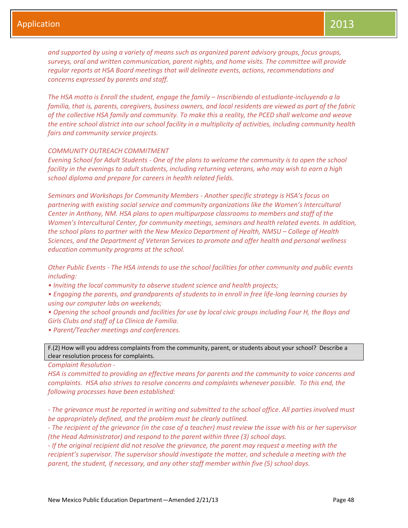*and supported by using a variety of means such as organized parent advisory groups, focus groups, surveys, oral and written communication, parent nights, and home visits. The committee will provide regular reports at HSA Board meetings that will delineate events, actions, recommendations and concerns expressed by parents and staff.* 

*The HSA motto is Enroll the student, engage the family – Inscribiendo al estudiante-incluyendo a la familia, that is, parents, caregivers, business owners, and local residents are viewed as part of the fabric of the collective HSA family and community. To make this a reality, the PCED shall welcome and weave the entire school district into our school facility in a multiplicity of activities, including community health fairs and community service projects.* 

#### *COMMUNITY OUTREACH COMMITMENT*

*Evening School for Adult Students - One of the plans to welcome the community is to open the school facility in the evenings to adult students, including returning veterans, who may wish to earn a high school diploma and prepare for careers in health related fields.*

*Seminars and Workshops for Community Members - Another specific strategy is HSA's focus on partnering with existing social service and community organizations like the Women's Intercultural Center in Anthony, NM. HSA plans to open multipurpose classrooms to members and staff of the Women's Intercultural Center, for community meetings, seminars and health related events. In addition, the school plans to partner with the New Mexico Department of Health, NMSU – College of Health Sciences, and the Department of Veteran Services to promote and offer health and personal wellness education community programs at the school.*

*Other Public Events - The HSA intends to use the school facilities for other community and public events including:*

*• Inviting the local community to observe student science and health projects;*

*• Engaging the parents, and grandparents of students to in enroll in free life-long learning courses by using our computer labs on weekends;*

*• Opening the school grounds and facilities for use by local civic groups including Four H, the Boys and Girls Clubs and staff of La Clinica de Familia.*

*• Parent/Teacher meetings and conferences.*

F.(2) How will you address complaints from the community, parent, or students about your school? Describe a clear resolution process for complaints.

*Complaint Resolution -*

*HSA is committed to providing an effective means for parents and the community to voice concerns and complaints. HSA also strives to resolve concerns and complaints whenever possible. To this end, the following processes have been established:*

*- The grievance must be reported in writing and submitted to the school office. All parties involved must be appropriately defined, and the problem must be clearly outlined.* 

*- The recipient of the grievance (in the case of a teacher) must review the issue with his or her supervisor (the Head Administrator) and respond to the parent within three (3) school days.* 

*- If the original recipient did not resolve the grievance, the parent may request a meeting with the recipient's supervisor. The supervisor should investigate the matter, and schedule a meeting with the parent, the student, if necessary, and any other staff member within five (5) school days.*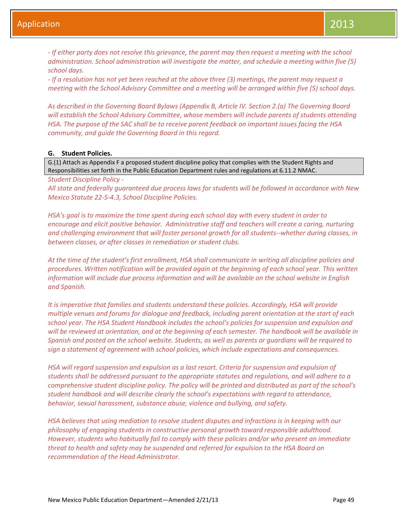*- If either party does not resolve this grievance, the parent may then request a meeting with the school administration. School administration will investigate the matter, and schedule a meeting within five (5) school days.* 

*- If a resolution has not yet been reached at the above three (3) meetings, the parent may request a meeting with the School Advisory Committee and a meeting will be arranged within five (5) school days.* 

*As described in the Governing Board Bylaws (Appendix B, Article IV. Section 2.(a) The Governing Board will establish the School Advisory Committee, whose members will include parents of students attending HSA. The purpose of the SAC shall be to receive parent feedback on important issues facing the HSA community, and guide the Governing Board in this regard.*

### **G. Student Policies.**

G.(1) Attach as Appendix F a proposed student discipline policy that complies with the Student Rights and Responsibilities set forth in the Public Education Department rules and regulations at 6.11.2 NMAC.

*Student Discipline Policy -*

*All state and federally guaranteed due process laws for students will be followed in accordance with New Mexico Statute 22-5-4.3, School Discipline Policies.*

*HSA's goal is to maximize the time spent during each school day with every student in order to encourage and elicit positive behavior. Administrative staff and teachers will create a caring, nurturing and challenging environment that will foster personal growth for all students--whether during classes, in between classes, or after classes in remediation or student clubs.* 

*At the time of the student's first enrollment, HSA shall communicate in writing all discipline policies and procedures. Written notification will be provided again at the beginning of each school year. This written information will include due process information and will be available on the school website in English and Spanish.* 

*It is imperative that families and students understand these policies. Accordingly, HSA will provide multiple venues and forums for dialogue and feedback, including parent orientation at the start of each school year. The HSA Student Handbook includes the school's policies for suspension and expulsion and will be reviewed at orientation, and at the beginning of each semester. The handbook will be available in Spanish and posted on the school website. Students, as well as parents or guardians will be required to sign a statement of agreement with school policies, which include expectations and consequences.* 

*HSA will regard suspension and expulsion as a last resort. Criteria for suspension and expulsion of students shall be addressed pursuant to the appropriate statutes and regulations, and will adhere to a comprehensive student discipline policy. The policy will be printed and distributed as part of the school's student handbook and will describe clearly the school's expectations with regard to attendance, behavior, sexual harassment, substance abuse, violence and bullying, and safety.* 

*HSA believes that using mediation to resolve student disputes and infractions is in keeping with our philosophy of engaging students in constructive personal growth toward responsible adulthood. However, students who habitually fail to comply with these policies and/or who present an immediate threat to health and safety may be suspended and referred for expulsion to the HSA Board on recommendation of the Head Administrator.*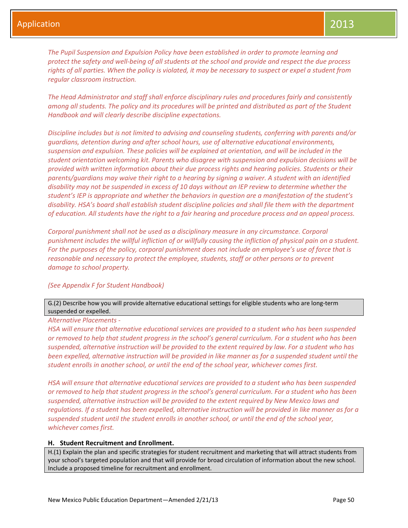*The Pupil Suspension and Expulsion Policy have been established in order to promote learning and protect the safety and well-being of all students at the school and provide and respect the due process rights of all parties. When the policy is violated, it may be necessary to suspect or expel a student from regular classroom instruction.* 

*The Head Administrator and staff shall enforce disciplinary rules and procedures fairly and consistently among all students. The policy and its procedures will be printed and distributed as part of the Student Handbook and will clearly describe discipline expectations.*

*Discipline includes but is not limited to advising and counseling students, conferring with parents and/or guardians, detention during and after school hours, use of alternative educational environments, suspension and expulsion. These policies will be explained at orientation, and will be included in the student orientation welcoming kit. Parents who disagree with suspension and expulsion decisions will be provided with written information about their due process rights and hearing policies. Students or their parents/guardians may waive their right to a hearing by signing a waiver. A student with an identified disability may not be suspended in excess of 10 days without an IEP review to determine whether the student's IEP is appropriate and whether the behaviors in question are a manifestation of the student's disability. HSA's board shall establish student discipline policies and shall file them with the department of education. All students have the right to a fair hearing and procedure process and an appeal process.*

*Corporal punishment shall not be used as a disciplinary measure in any circumstance. Corporal punishment includes the willful infliction of or willfully causing the infliction of physical pain on a student. For the purposes of the policy, corporal punishment does not include an employee's use of force that is reasonable and necessary to protect the employee, students, staff or other persons or to prevent damage to school property.*

## *(See Appendix F for Student Handbook)*

G.(2) Describe how you will provide alternative educational settings for eligible students who are long-term suspended or expelled.

## *Alternative Placements -*

*HSA will ensure that alternative educational services are provided to a student who has been suspended or removed to help that student progress in the school's general curriculum. For a student who has been suspended, alternative instruction will be provided to the extent required by law. For a student who has been expelled, alternative instruction will be provided in like manner as for a suspended student until the student enrolls in another school, or until the end of the school year, whichever comes first.*

*HSA will ensure that alternative educational services are provided to a student who has been suspended or removed to help that student progress in the school's general curriculum. For a student who has been suspended, alternative instruction will be provided to the extent required by New Mexico laws and regulations. If a student has been expelled, alternative instruction will be provided in like manner as for a suspended student until the student enrolls in another school, or until the end of the school year, whichever comes first.*

### **H. Student Recruitment and Enrollment.**

H.(1) Explain the plan and specific strategies for student recruitment and marketing that will attract students from your school's targeted population and that will provide for broad circulation of information about the new school. Include a proposed timeline for recruitment and enrollment.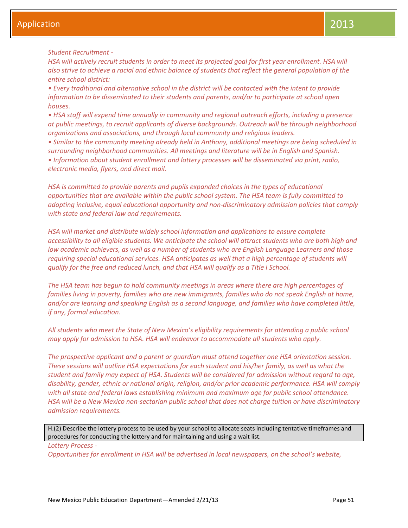*Student Recruitment -*

*HSA will actively recruit students in order to meet its projected goal for first year enrollment. HSA will also strive to achieve a racial and ethnic balance of students that reflect the general population of the entire school district:*

*• Every traditional and alternative school in the district will be contacted with the intent to provide information to be disseminated to their students and parents, and/or to participate at school open houses.* 

*• HSA staff will expend time annually in community and regional outreach efforts, including a presence at public meetings, to recruit applicants of diverse backgrounds. Outreach will be through neighborhood organizations and associations, and through local community and religious leaders.* 

*• Similar to the community meeting already held in Anthony, additional meetings are being scheduled in surrounding neighborhood communities. All meetings and literature will be in English and Spanish. • Information about student enrollment and lottery processes will be disseminated via print, radio, electronic media, flyers, and direct mail.*

*HSA is committed to provide parents and pupils expanded choices in the types of educational opportunities that are available within the public school system. The HSA team is fully committed to adopting inclusive, equal educational opportunity and non-discriminatory admission policies that comply with state and federal law and requirements.* 

*HSA will market and distribute widely school information and applications to ensure complete accessibility to all eligible students. We anticipate the school will attract students who are both high and low academic achievers, as well as a number of students who are English Language Learners and those requiring special educational services. HSA anticipates as well that a high percentage of students will qualify for the free and reduced lunch, and that HSA will qualify as a Title I School.* 

*The HSA team has begun to hold community meetings in areas where there are high percentages of*  families living in poverty, families who are new immigrants, families who do not speak English at home, *and/or are learning and speaking English as a second language, and families who have completed little, if any, formal education.* 

*All students who meet the State of New Mexico's eligibility requirements for attending a public school may apply for admission to HSA. HSA will endeavor to accommodate all students who apply.*

*The prospective applicant and a parent or guardian must attend together one HSA orientation session. These sessions will outline HSA expectations for each student and his/her family, as well as what the student and family may expect of HSA. Students will be considered for admission without regard to age, disability, gender, ethnic or national origin, religion, and/or prior academic performance. HSA will comply with all state and federal laws establishing minimum and maximum age for public school attendance. HSA will be a New Mexico non-sectarian public school that does not charge tuition or have discriminatory admission requirements.*

H.(2) Describe the lottery process to be used by your school to allocate seats including tentative timeframes and procedures for conducting the lottery and for maintaining and using a wait list.

*Lottery Process -*

*Opportunities for enrollment in HSA will be advertised in local newspapers, on the school's website,*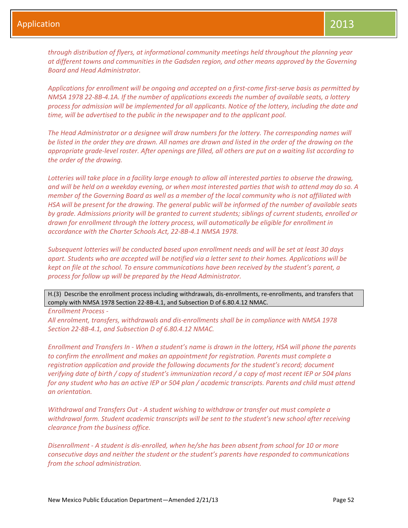*through distribution of flyers, at informational community meetings held throughout the planning year at different towns and communities in the Gadsden region, and other means approved by the Governing Board and Head Administrator.* 

*Applications for enrollment will be ongoing and accepted on a first-come first-serve basis as permitted by NMSA 1978 22-8B-4.1A. If the number of applications exceeds the number of available seats, a lottery process for admission will be implemented for all applicants. Notice of the lottery, including the date and time, will be advertised to the public in the newspaper and to the applicant pool.* 

*The Head Administrator or a designee will draw numbers for the lottery. The corresponding names will be listed in the order they are drawn. All names are drawn and listed in the order of the drawing on the appropriate grade-level roster. After openings are filled, all others are put on a waiting list according to the order of the drawing.* 

*Lotteries will take place in a facility large enough to allow all interested parties to observe the drawing, and will be held on a weekday evening, or when most interested parties that wish to attend may do so. A member of the Governing Board as well as a member of the local community who is not affiliated with HSA will be present for the drawing. The general public will be informed of the number of available seats by grade. Admissions priority will be granted to current students; siblings of current students, enrolled or drawn for enrollment through the lottery process, will automatically be eligible for enrollment in accordance with the Charter Schools Act, 22-8B-4.1 NMSA 1978.*

*Subsequent lotteries will be conducted based upon enrollment needs and will be set at least 30 days apart. Students who are accepted will be notified via a letter sent to their homes. Applications will be kept on file at the school. To ensure communications have been received by the student's parent, a process for follow up will be prepared by the Head Administrator.*

H.(3) Describe the enrollment process including withdrawals, dis-enrollments, re-enrollments, and transfers that comply with NMSA 1978 Section 22-8B-4.1, and Subsection D of 6.80.4.12 NMAC.

*Enrollment Process -*

*All enrolment, transfers, withdrawals and dis-enrollments shall be in compliance with NMSA 1978 Section 22-8B-4.1, and Subsection D of 6.80.4.12 NMAC.*

*Enrollment and Transfers In - When a student's name is drawn in the lottery, HSA will phone the parents to confirm the enrollment and makes an appointment for registration. Parents must complete a registration application and provide the following documents for the student's record; document verifying date of birth / copy of student's immunization record / a copy of most recent IEP or 504 plans for any student who has an active IEP or 504 plan / academic transcripts. Parents and child must attend an orientation.*

*Withdrawal and Transfers Out - A student wishing to withdraw or transfer out must complete a withdrawal form. Student academic transcripts will be sent to the student's new school after receiving clearance from the business office.*

*Disenrollment - A student is dis-enrolled, when he/she has been absent from school for 10 or more consecutive days and neither the student or the student's parents have responded to communications from the school administration.*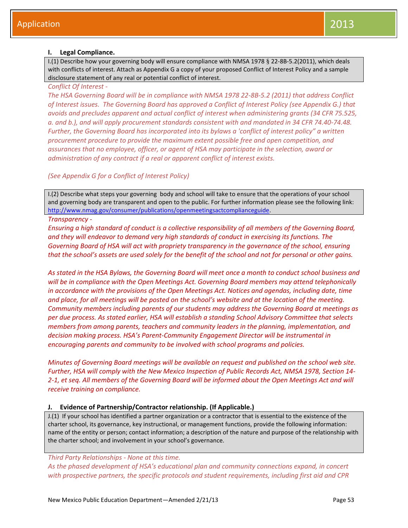## **I. Legal Compliance.**

I.(1) Describe how your governing body will ensure compliance with NMSA 1978 § 22-8B-5.2(2011), which deals with conflicts of interest. Attach as Appendix G a copy of your proposed Conflict of Interest Policy and a sample disclosure statement of any real or potential conflict of interest.

## *Conflict Of Interest -*

*The HSA Governing Board will be in compliance with NMSA 1978 22-8B-5.2 (2011) that address Conflict of Interest issues. The Governing Board has approved a Conflict of Interest Policy (see Appendix G.) that avoids and precludes apparent and actual conflict of interest when administering grants (34 CFR 75.525, a. and b.), and will apply procurement standards consistent with and mandated in 34 CFR 74.40-74.48. Further, the Governing Board has incorporated into its bylaws a 'conflict of interest policy" a written procurement procedure to provide the maximum extent possible free and open competition, and assurances that no employee, officer, or agent of HSA may participate in the selection, award or administration of any contract if a real or apparent conflict of interest exists.*

## *(See Appendix G for a Conflict of Interest Policy)*

I.(2) Describe what steps your governing body and school will take to ensure that the operations of your school and governing body are transparent and open to the public. For further information please see the following link: [http://www.nmag.gov/consumer/publications/openmeetingsactcomplianceguide.](http://www.nmag.gov/consumer/publications/openmeetingsactcomplianceguide)

## *Transparency -*

*Ensuring a high standard of conduct is a collective responsibility of all members of the Governing Board, and they will endeavor to demand very high standards of conduct in exercising its functions. The Governing Board of HSA will act with propriety transparency in the governance of the school, ensuring that the school's assets are used solely for the benefit of the school and not for personal or other gains.*

*As stated in the HSA Bylaws, the Governing Board will meet once a month to conduct school business and will be in compliance with the Open Meetings Act. Governing Board members may attend telephonically in accordance with the provisions of the Open Meetings Act. Notices and agendas, including date, time and place, for all meetings will be posted on the school's website and at the location of the meeting. Community members including parents of our students may address the Governing Board at meetings as per due process. As stated earlier, HSA will establish a standing School Advisory Committee that selects members from among parents, teachers and community leaders in the planning, implementation, and decision making process. HSA's Parent-Community Engagement Director will be instrumental in encouraging parents and community to be involved with school programs and policies.*

*Minutes of Governing Board meetings will be available on request and published on the school web site. Further, HSA will comply with the New Mexico Inspection of Public Records Act, NMSA 1978, Section 14- 2-1, et seq. All members of the Governing Board will be informed about the Open Meetings Act and will receive training on compliance.*

## **J. Evidence of Partnership/Contractor relationship. (If Applicable.)**

J.(1) If your school has identified a partner organization or a contractor that is essential to the existence of the charter school, its governance, key instructional, or management functions, provide the following information: name of the entity or person; contact information; a description of the nature and purpose of the relationship with the charter school; and involvement in your school's governance.

## *Third Party Relationships - None at this time.*

*As the phased development of HSA's educational plan and community connections expand, in concert with prospective partners, the specific protocols and student requirements, including first aid and CPR*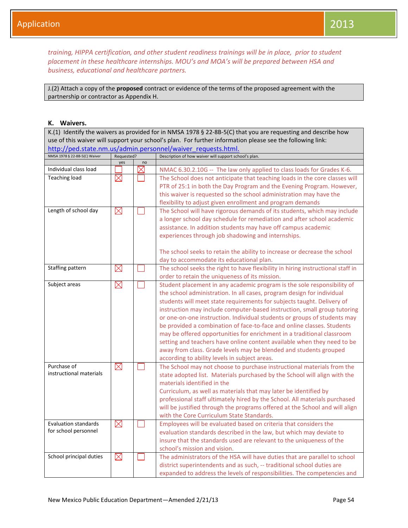*training, HIPPA certification, and other student readiness trainings will be in place, prior to student placement in these healthcare internships. MOU's and MOA's will be prepared between HSA and business, educational and healthcare partners.*

J.(2) Attach a copy of the **proposed** contract or evidence of the terms of the proposed agreement with the partnership or contractor as Appendix H.

## **K. Waivers.**

K.(1) Identify the waivers as provided for in NMSA 1978 § 22-8B-5(C) that you are requesting and describe how use of this waiver will support your school's plan. For further information please see the following link: http://ped.state.nm.us/admin.personnel/waiver\_requests.html.

| NMSA 1978 § 22-8B-5(C) Waiver | Requested?  |          | Description of how waiver will support school's plan.                           |
|-------------------------------|-------------|----------|---------------------------------------------------------------------------------|
|                               | yes         | no       |                                                                                 |
| Individual class load         |             | $\times$ | NMAC 6.30.2.10G -- The law only applied to class loads for Grades K-6.          |
| <b>Teaching load</b>          | $\times$    |          | The School does not anticipate that teaching loads in the core classes will     |
|                               |             |          | PTR of 25:1 in both the Day Program and the Evening Program. However,           |
|                               |             |          | this waiver is requested so the school administration may have the              |
|                               |             |          | flexibility to adjust given enrollment and program demands                      |
| Length of school day          | $\boxtimes$ |          | The School will have rigorous demands of its students, which may include        |
|                               |             |          | a longer school day schedule for remediation and after school academic          |
|                               |             |          | assistance. In addition students may have off campus academic                   |
|                               |             |          | experiences through job shadowing and internships.                              |
|                               |             |          |                                                                                 |
|                               |             |          | The school seeks to retain the ability to increase or decrease the school       |
|                               |             |          | day to accommodate its educational plan.                                        |
| Staffing pattern              | $\boxtimes$ |          | The school seeks the right to have flexibility in hiring instructional staff in |
|                               |             |          | order to retain the uniqueness of its mission.                                  |
| Subject areas                 | $\boxtimes$ |          | Student placement in any academic program is the sole responsibility of         |
|                               |             |          | the school administration. In all cases, program design for individual          |
|                               |             |          | students will meet state requirements for subjects taught. Delivery of          |
|                               |             |          | instruction may include computer-based instruction, small group tutoring        |
|                               |             |          |                                                                                 |
|                               |             |          | or one-on-one instruction. Individual students or groups of students may        |
|                               |             |          | be provided a combination of face-to-face and online classes. Students          |
|                               |             |          | may be offered opportunities for enrichment in a traditional classroom          |
|                               |             |          | setting and teachers have online content available when they need to be         |
|                               |             |          | away from class. Grade levels may be blended and students grouped               |
|                               |             |          | according to ability levels in subject areas.                                   |
| Purchase of                   | $\boxtimes$ |          | The School may not choose to purchase instructional materials from the          |
| instructional materials       |             |          | state adopted list. Materials purchased by the School will align with the       |
|                               |             |          | materials identified in the                                                     |
|                               |             |          | Curriculum, as well as materials that may later be identified by                |
|                               |             |          | professional staff ultimately hired by the School. All materials purchased      |
|                               |             |          | will be justified through the programs offered at the School and will align     |
|                               |             |          | with the Core Curriculum State Standards.                                       |
| <b>Evaluation standards</b>   | $\boxtimes$ |          | Employees will be evaluated based on criteria that considers the                |
| for school personnel          |             |          | evaluation standards described in the law, but which may deviate to             |
|                               |             |          | insure that the standards used are relevant to the uniqueness of the            |
|                               |             |          | school's mission and vision.                                                    |
| School principal duties       | $\boxtimes$ |          | The administrators of the HSA will have duties that are parallel to school      |
|                               |             |          | district superintendents and as such, -- traditional school duties are          |
|                               |             |          |                                                                                 |
|                               |             |          | expanded to address the levels of responsibilities. The competencies and        |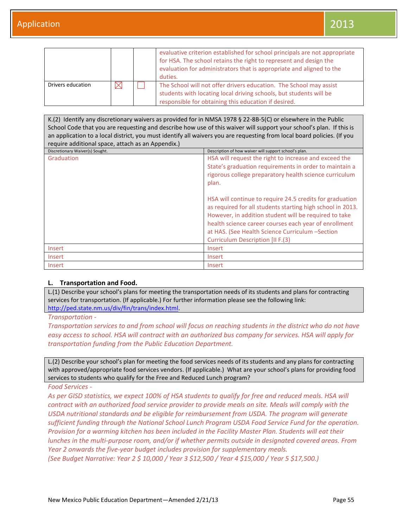|                   |  | evaluative criterion established for school principals are not appropriate<br>for HSA. The school retains the right to represent and design the<br>evaluation for administrators that is appropriate and aligned to the<br>duties. |
|-------------------|--|------------------------------------------------------------------------------------------------------------------------------------------------------------------------------------------------------------------------------------|
| Drivers education |  | The School will not offer drivers education. The School may assist<br>students with locating local driving schools, but students will be<br>responsible for obtaining this education if desired.                                   |

K.(2) Identify any discretionary waivers as provided for in NMSA 1978 § 22-8B-5(C) or elsewhere in the Public School Code that you are requesting and describe how use of this waiver will support your school's plan. If this is an application to a local district, you must identify all waivers you are requesting from local board policies. (If you require additional space, attach as an Appendix.) Discretionary Waiver(s) Sought. Description of how waiver will support school's plan.

| Discretionary waiver(3) Sought. | <b>DESCRIPTION OF HOW WATER WILL SUPPORT SCHOOLS DIGHT.</b>                                                                                                                                                                                                                                                                            |  |
|---------------------------------|----------------------------------------------------------------------------------------------------------------------------------------------------------------------------------------------------------------------------------------------------------------------------------------------------------------------------------------|--|
| Graduation                      | HSA will request the right to increase and exceed the<br>State's graduation requirements in order to maintain a<br>rigorous college preparatory health science curriculum<br>plan.                                                                                                                                                     |  |
|                                 | HSA will continue to require 24.5 credits for graduation<br>as required for all students starting high school in 2013.<br>However, in addition student will be required to take<br>health science career courses each year of enrollment<br>at HAS. (See Health Science Curriculum -Section<br><b>Curriculum Description [II F.(3)</b> |  |
| Insert                          | <b>Insert</b>                                                                                                                                                                                                                                                                                                                          |  |
| Insert                          | Insert                                                                                                                                                                                                                                                                                                                                 |  |
| Insert                          | Insert                                                                                                                                                                                                                                                                                                                                 |  |

## **L. Transportation and Food.**

L.(1) Describe your school's plans for meeting the transportation needs of its students and plans for contracting services for transportation. (If applicable.) For further information please see the following link: [http://ped.state.nm.us/div/fin/trans/index.html.](http://ped.state.nm.us/div/fin/trans/index.html)

*Transportation -*

*Transportation services to and from school will focus on reaching students in the district who do not have easy access to school. HSA will contract with an authorized bus company for services. HSA will apply for transportation funding from the Public Education Department.*

L.(2) Describe your school's plan for meeting the food services needs of its students and any plans for contracting with approved/appropriate food services vendors. (If applicable.) What are your school's plans for providing food services to students who qualify for the Free and Reduced Lunch program?

*Food Services -*

As per GISD statistics, we expect 100% of HSA students to qualify for free and reduced meals. HSA will *contract with an authorized food service provider to provide meals on site. Meals will comply with the USDA nutritional standards and be eligible for reimbursement from USDA. The program will generate sufficient funding through the National School Lunch Program USDA Food Service Fund for the operation. Provision for a warming kitchen has been included in the Facility Master Plan. Students will eat their lunches in the multi-purpose room, and/or if whether permits outside in designated covered areas. From Year 2 onwards the five-year budget includes provision for supplementary meals.*

*(See Budget Narrative: Year 2 \$ 10,000 / Year 3 \$12,500 / Year 4 \$15,000 / Year 5 \$17,500.)*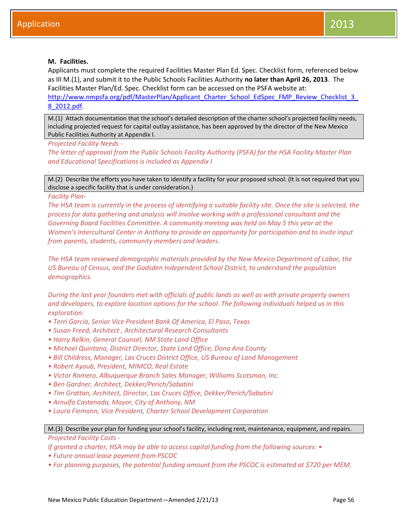## **M. Facilities.**

Applicants must complete the required Facilities Master Plan Ed. Spec. Checklist form, referenced below as III M.(1), and submit it to the Public Schools Facilities Authority **no later than April 26, 2013**. The Facilities Master Plan/Ed. Spec. Checklist form can be accessed on the PSFA website at:

[http://www.nmpsfa.org/pdf/MasterPlan/Applicant\\_Charter\\_School\\_EdSpec\\_FMP\\_Review\\_Checklist\\_3\\_](http://www.nmpsfa.org/pdf/MasterPlan/Applicant_Charter_School_EdSpec_FMP_Review_Checklist_3_8_2012.pdf) [8\\_2012.pdf.](http://www.nmpsfa.org/pdf/MasterPlan/Applicant_Charter_School_EdSpec_FMP_Review_Checklist_3_8_2012.pdf)

M.(1) Attach documentation that the school's detailed description of the charter school's projected facility needs, including projected request for capital outlay assistance, has been approved by the director of the New Mexico Public Facilities Authority at Appendix I.

*Projected Facility Needs -*

*The letter of approval from the Public Schools Facility Authority (PSFA) for the HSA Facility Master Plan and Educational Specifications is included as Appendix I*

M.(2) Describe the efforts you have taken to identify a facility for your proposed school. (It is not required that you disclose a specific facility that is under consideration.)

*Facility Plan-*

*.*

*The HSA team is currently in the process of identifying a suitable facility site. Once the site is selected, the process for data gathering and analysis will involve working with a professional consultant and the Governing Board Facilities Committee. A community meeting was held on May 5 this year at the Women's Intercultural Center in Anthony to provide an opportunity for participation and to invite input from parents, students, community members and leaders.*

*The HSA team reviewed demographic materials provided by the New Mexico Department of Labor, the US Bureau of Census, and the Gadsden Independent School District, to understand the population demographics.*

*During the last year founders met with officials of public lands as well as with private property owners and developers, to explore location options for the school. The following individuals helped us in this exploration:*

- *• Terri Garcia, Senior Vice President Bank Of America, El Paso, Texas*
- *• Susan Freed, Architect , Architectural Research Consultants*
- *• Harry Relkin, General Counsel, NM State Land Office*
- *• Michael Quintana, District Director, State Land Office, Dona Ana County*
- *• Bill Childress, Manager, Las Cruces District Office, US Bureau of Land Management*
- *• Robert Ayoub, President, MIMCO, Real Estate*
- *• Victor Romero, Albuquerque Branch Sales Manager, Williams Scotsman, Inc.*
- *• Ben Gardner, Architect, Dekker/Perich/Sabatini*
- *• Tim Grattan, Architect, Director, Las Cruces Office, Dekker/Perich/Sabatini*
- *• Arnulfo Castenada, Mayor, City of Anthony, NM*
- *• Laura Fiemann, Vice President, Charter School Development Corporation*

## M.(3) Describe your plan for funding your school's facility, including rent, maintenance, equipment, and repairs. *Projected Facility Costs -*

*If granted a charter, HSA may be able to access capital funding from the following sources: •* 

- *• Future annual lease payment from PSCOC*
- *• For planning purposes, the potential funding amount from the PSCOC is estimated at \$720 per MEM.*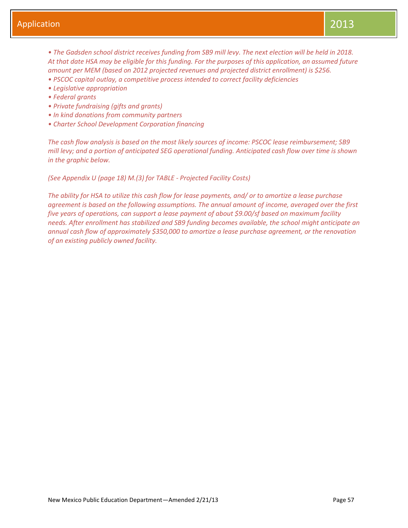*• The Gadsden school district receives funding from SB9 mill levy. The next election will be held in 2018. At that date HSA may be eligible for this funding. For the purposes of this application, an assumed future amount per MEM (based on 2012 projected revenues and projected district enrollment) is \$256.* 

- *• PSCOC capital outlay, a competitive process intended to correct facility deficiencies*
- *• Legislative appropriation*
- *• Federal grants*
- *• Private fundraising (gifts and grants)*
- *• In kind donations from community partners*
- *• Charter School Development Corporation financing*

*The cash flow analysis is based on the most likely sources of income: PSCOC lease reimbursement; SB9 mill levy; and a portion of anticipated SEG operational funding. Anticipated cash flow over time is shown in the graphic below.*

*(See Appendix U (page 18) M.(3) for TABLE - Projected Facility Costs)*

*The ability for HSA to utilize this cash flow for lease payments, and/ or to amortize a lease purchase agreement is based on the following assumptions. The annual amount of income, averaged over the first five years of operations, can support a lease payment of about \$9.00/sf based on maximum facility needs. After enrollment has stabilized and SB9 funding becomes available, the school might anticipate an annual cash flow of approximately \$350,000 to amortize a lease purchase agreement, or the renovation of an existing publicly owned facility.*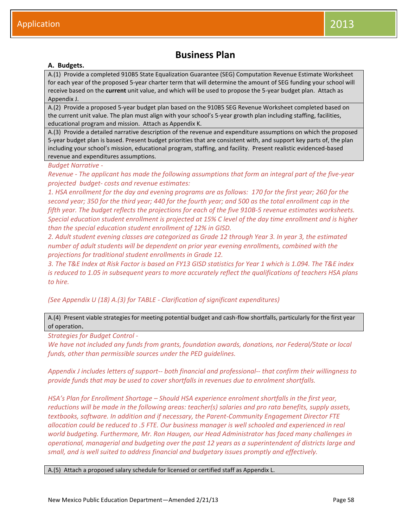## **Business Plan**

## **A. Budgets.**

A.(1) Provide a completed 910B5 State Equalization Guarantee (SEG) Computation Revenue Estimate Worksheet for each year of the proposed 5-year charter term that will determine the amount of SEG funding your school will receive based on the **current** unit value, and which will be used to propose the 5-year budget plan. Attach as Appendix J.

A.(2) Provide a proposed 5-year budget plan based on the 910B5 SEG Revenue Worksheet completed based on the current unit value. The plan must align with your school's 5-year growth plan including staffing, facilities, educational program and mission. Attach as Appendix K.

A.(3) Provide a detailed narrative description of the revenue and expenditure assumptions on which the proposed 5-year budget plan is based. Present budget priorities that are consistent with, and support key parts of, the plan including your school's mission, educational program, staffing, and facility. Present realistic evidenced-based revenue and expenditures assumptions.

#### *Budget Narrative -*

*Revenue - The applicant has made the following assumptions that form an integral part of the five-year projected budget- costs and revenue estimates:*

*1. HSA enrollment for the day and evening programs are as follows: 170 for the first year; 260 for the second year; 350 for the third year; 440 for the fourth year; and 500 as the total enrollment cap in the fifth year. The budget reflects the projections for each of the five 910B-5 revenue estimates worksheets. Special education student enrollment is projected at 15% C level of the day time enrollment and is higher than the special education student enrollment of 12% in GISD.* 

*2. Adult student evening classes are categorized as Grade 12 through Year 3. In year 3, the estimated number of adult students will be dependent on prior year evening enrollments, combined with the projections for traditional student enrollments in Grade 12.*

*3. The T&E Index at Risk Factor is based on FY13 GISD statistics for Year 1 which is 1.094. The T&E index is reduced to 1.05 in subsequent years to more accurately reflect the qualifications of teachers HSA plans to hire.* 

*(See Appendix U (18) A.(3) for TABLE - Clarification of significant expenditures)*

A.(4) Present viable strategies for meeting potential budget and cash-flow shortfalls, particularly for the first year of operation.

*Strategies for Budget Control -*

*We have not included any funds from grants, foundation awards, donations, nor Federal/State or local funds, other than permissible sources under the PED guidelines.*

*Appendix J includes letters of support-- both financial and professional-- that confirm their willingness to provide funds that may be used to cover shortfalls in revenues due to enrolment shortfalls.* 

*HSA's Plan for Enrollment Shortage – Should HSA experience enrolment shortfalls in the first year, reductions will be made in the following areas: teacher(s) salaries and pro rata benefits, supply assets, textbooks, software. In addition and if necessary, the Parent-Community Engagement Director FTE allocation could be reduced to .5 FTE. Our business manager is well schooled and experienced in real world budgeting. Furthermore, Mr. Ron Haugen, our Head Administrator has faced many challenges in operational, managerial and budgeting over the past 12 years as a superintendent of districts large and small, and is well suited to address financial and budgetary issues promptly and effectively.*

A.(5) Attach a proposed salary schedule for licensed or certified staff as Appendix L.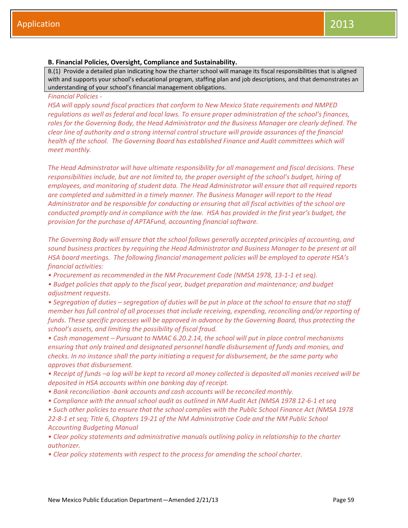## **B. Financial Policies, Oversight, Compliance and Sustainability.**

B.(1) Provide a detailed plan indicating how the charter school will manage its fiscal responsibilities that is aligned with and supports your school's educational program, staffing plan and job descriptions, and that demonstrates an understanding of your school's financial management obligations.

## *Financial Policies -*

*HSA will apply sound fiscal practices that conform to New Mexico State requirements and NMPED regulations as well as federal and local laws. To ensure proper administration of the school's finances, roles for the Governing Body, the Head Administrator and the Business Manager are clearly defined. The clear line of authority and a strong internal control structure will provide assurances of the financial*  health of the school. The Governing Board has established Finance and Audit committees which will *meet monthly.*

*The Head Administrator will have ultimate responsibility for all management and fiscal decisions. These responsibilities include, but are not limited to, the proper oversight of the school's budget, hiring of employees, and monitoring of student data. The Head Administrator will ensure that all required reports are completed and submitted in a timely manner. The Business Manager will report to the Head Administrator and be responsible for conducting or ensuring that all fiscal activities of the school are conducted promptly and in compliance with the law. HSA has provided in the first year's budget, the provision for the purchase of APTAFund, accounting financial software.*

*The Governing Body will ensure that the school follows generally accepted principles of accounting, and sound business practices by requiring the Head Administrator and Business Manager to be present at all HSA board meetings. The following financial management policies will be employed to operate HSA's financial activities:*

*• Procurement as recommended in the NM Procurement Code (NMSA 1978, 13-1-1 et seq).*

*• Budget policies that apply to the fiscal year, budget preparation and maintenance; and budget adjustment requests.*

*• Segregation of duties – segregation of duties will be put in place at the school to ensure that no staff member has full control of all processes that include receiving, expending, reconciling and/or reporting of funds. These specific processes will be approved in advance by the Governing Board, thus protecting the school's assets, and limiting the possibility of fiscal fraud.*

*• Cash management – Pursuant to NMAC 6.20.2.14, the school will put in place control mechanisms ensuring that only trained and designated personnel handle disbursement of funds and monies, and checks. In no instance shall the party initiating a request for disbursement, be the same party who approves that disbursement.*

*• Receipt of funds –a log will be kept to record all money collected is deposited all monies received will be deposited in HSA accounts within one banking day of receipt.*

- *• Bank reconciliation -bank accounts and cash accounts will be reconciled monthly.*
- *• Compliance with the annual school audit as outlined in NM Audit Act (NMSA 1978 12-6-1 et seq*

*• Such other policies to ensure that the school complies with the Public School Finance Act (NMSA 1978 22-8-1 et seq; Title 6, Chapters 19-21 of the NM Administrative Code and the NM Public School Accounting Budgeting Manual*

*• Clear policy statements and administrative manuals outlining policy in relationship to the charter authorizer.*

*• Clear policy statements with respect to the process for amending the school charter.*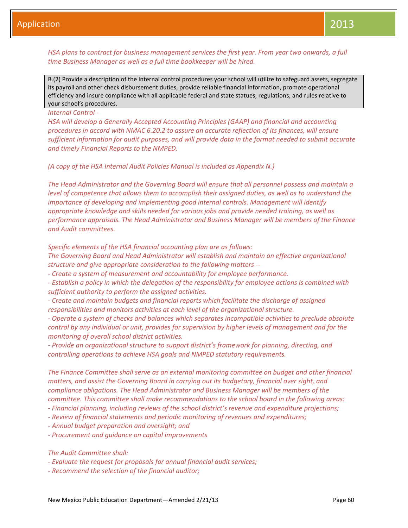## *HSA plans to contract for business management services the first year. From year two onwards, a full time Business Manager as well as a full time bookkeeper will be hired.*

B.(2) Provide a description of the internal control procedures your school will utilize to safeguard assets, segregate its payroll and other check disbursement duties, provide reliable financial information, promote operational efficiency and insure compliance with all applicable federal and state statues, regulations, and rules relative to your school's procedures.

#### *Internal Control -*

*HSA will develop a Generally Accepted Accounting Principles (GAAP) and financial and accounting procedures in accord with NMAC 6.20.2 to assure an accurate reflection of its finances, will ensure sufficient information for audit purposes, and will provide data in the format needed to submit accurate and timely Financial Reports to the NMPED.* 

*(A copy of the HSA Internal Audit Policies Manual is included as Appendix N.)*

*The Head Administrator and the Governing Board will ensure that all personnel possess and maintain a level of competence that allows them to accomplish their assigned duties, as well as to understand the importance of developing and implementing good internal controls. Management will identify appropriate knowledge and skills needed for various jobs and provide needed training, as well as performance appraisals. The Head Administrator and Business Manager will be members of the Finance and Audit committees.*

*Specific elements of the HSA financial accounting plan are as follows:*

*The Governing Board and Head Administrator will establish and maintain an effective organizational structure and give appropriate consideration to the following matters --* 

*- Create a system of measurement and accountability for employee performance.* 

*- Establish a policy in which the delegation of the responsibility for employee actions is combined with sufficient authority to perform the assigned activities.* 

*- Create and maintain budgets and financial reports which facilitate the discharge of assigned responsibilities and monitors activities at each level of the organizational structure.* 

*- Operate a system of checks and balances which separates incompatible activities to preclude absolute control by any individual or unit, provides for supervision by higher levels of management and for the monitoring of overall school district activities.* 

*- Provide an organizational structure to support district's framework for planning, directing, and controlling operations to achieve HSA goals and NMPED statutory requirements.*

*The Finance Committee shall serve as an external monitoring committee on budget and other financial matters, and assist the Governing Board in carrying out its budgetary, financial over sight, and compliance obligations. The Head Administrator and Business Manager will be members of the committee. This committee shall make recommendations to the school board in the following areas:* 

- *- Financial planning, including reviews of the school district's revenue and expenditure projections;*
- *- Review of financial statements and periodic monitoring of revenues and expenditures;*
- *- Annual budget preparation and oversight; and*
- *- Procurement and guidance on capital improvements*

*The Audit Committee shall:* 

- *- Evaluate the request for proposals for annual financial audit services;*
- *- Recommend the selection of the financial auditor;*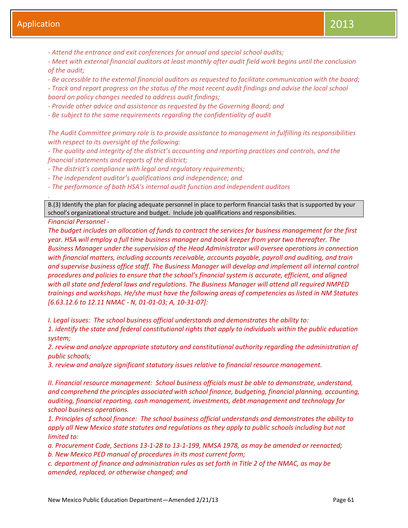*- Attend the entrance and exit conferences for annual and special school audits;* 

*- Meet with external financial auditors at least monthly after audit field work begins until the conclusion of the audit;* 

*- Be accessible to the external financial auditors as requested to facilitate communication with the board; - Track and report progress on the status of the most recent audit findings and advise the local school board on policy changes needed to address audit findings;* 

*- Provide other advice and assistance as requested by the Governing Board; and* 

*- Be subject to the same requirements regarding the confidentiality of audit* 

*The Audit Committee primary role is to provide assistance to management in fulfilling its responsibilities with respect to its oversight of the following:* 

*- The quality and integrity of the district's accounting and reporting practices and controls, and the financial statements and reports of the district;* 

*- The district's compliance with legal and regulatory requirements;* 

*- The independent auditor's qualifications and independence; and* 

*- The performance of both HSA's internal audit function and independent auditors*

B.(3) Identify the plan for placing adequate personnel in place to perform financial tasks that is supported by your school's organizational structure and budget. Include job qualifications and responsibilities.

*Financial Personnel -*

*.*

*The budget includes an allocation of funds to contract the services for business management for the first year. HSA will employ a full time business manager and book keeper from year two thereafter. The Business Manager under the supervision of the Head Administrator will oversee operations in connection with financial matters, including accounts receivable, accounts payable, payroll and auditing, and train and supervise business office staff. The Business Manager will develop and implement all internal control procedures and policies to ensure that the school's financial system is accurate, efficient, and aligned with all state and federal laws and regulations. The Business Manager will attend all required NMPED trainings and workshops. He/she must have the following areas of competencies as listed in NM Statutes [6.63.12.6 to 12.11 NMAC - N, 01-01-03; A, 10-31-07]:*

*I. Legal issues: The school business official understands and demonstrates the ability to:*

*1. identify the state and federal constitutional rights that apply to individuals within the public education system;*

*2. review and analyze appropriate statutory and constitutional authority regarding the administration of public schools;*

*3. review and analyze significant statutory issues relative to financial resource management.*

*II. Financial resource management: School business officials must be able to demonstrate, understand, and comprehend the principles associated with school finance, budgeting, financial planning, accounting, auditing, financial reporting, cash management, investments, debt management and technology for school business operations.*

*1. Principles of school finance: The school business official understands and demonstrates the ability to apply all New Mexico state statutes and regulations as they apply to public schools including but not limited to:*

*a. Procurement Code, Sections 13-1-28 to 13-1-199, NMSA 1978, as may be amended or reenacted; b. New Mexico PED manual of procedures in its most current form;*

*c. department of finance and administration rules as set forth in Title 2 of the NMAC, as may be amended, replaced, or otherwise changed; and*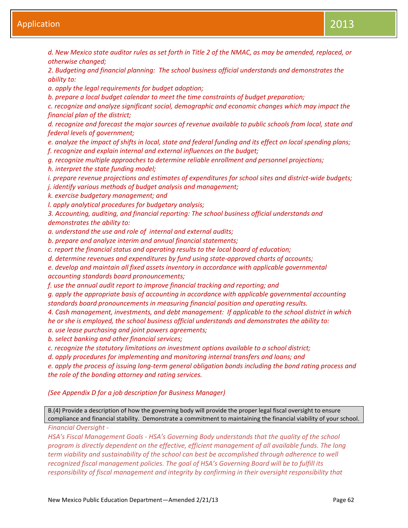*d. New Mexico state auditor rules as set forth in Title 2 of the NMAC, as may be amended, replaced, or otherwise changed;*

*2. Budgeting and financial planning: The school business official understands and demonstrates the ability to:*

*a. apply the legal requirements for budget adoption;*

*b. prepare a local budget calendar to meet the time constraints of budget preparation;*

*c. recognize and analyze significant social, demographic and economic changes which may impact the financial plan of the district;*

*d. recognize and forecast the major sources of revenue available to public schools from local, state and federal levels of government;*

*e. analyze the impact of shifts in local, state and federal funding and its effect on local spending plans; f. recognize and explain internal and external influences on the budget;*

*g. recognize multiple approaches to determine reliable enrollment and personnel projections;*

*h. interpret the state funding model;*

*i. prepare revenue projections and estimates of expenditures for school sites and district-wide budgets; j. identify various methods of budget analysis and management;*

*k. exercise budgetary management; and*

*l. apply analytical procedures for budgetary analysis;*

*3. Accounting, auditing, and financial reporting: The school business official understands and demonstrates the ability to:*

*a. understand the use and role of internal and external audits;*

*b. prepare and analyze interim and annual financial statements;*

*c. report the financial status and operating results to the local board of education;*

*d. determine revenues and expenditures by fund using state-approved charts of accounts;*

*e. develop and maintain all fixed assets inventory in accordance with applicable governmental accounting standards board pronouncements;*

*f. use the annual audit report to improve financial tracking and reporting; and*

*g. apply the appropriate basis of accounting in accordance with applicable governmental accounting standards board pronouncements in measuring financial position and operating results.*

*4. Cash management, investments, and debt management: If applicable to the school district in which he or she is employed, the school business official understands and demonstrates the ability to:*

*a. use lease purchasing and joint powers agreements;*

*b. select banking and other financial services;*

*c. recognize the statutory limitations on investment options available to a school district;*

*d. apply procedures for implementing and monitoring internal transfers and loans; and*

*e. apply the process of issuing long-term general obligation bonds including the bond rating process and the role of the bonding attorney and rating services.*

## *(See Appendix D for a job description for Business Manager)*

B.(4) Provide a description of how the governing body will provide the proper legal fiscal oversight to ensure compliance and financial stability. Demonstrate a commitment to maintaining the financial viability of your school.

*Financial Oversight -*

*HSA's Fiscal Management Goals - HSA's Governing Body understands that the quality of the school program is directly dependent on the effective, efficient management of all available funds. The long term viability and sustainability of the school can best be accomplished through adherence to well recognized fiscal management policies. The goal of HSA's Governing Board will be to fulfill its responsibility of fiscal management and integrity by confirming in their oversight responsibility that*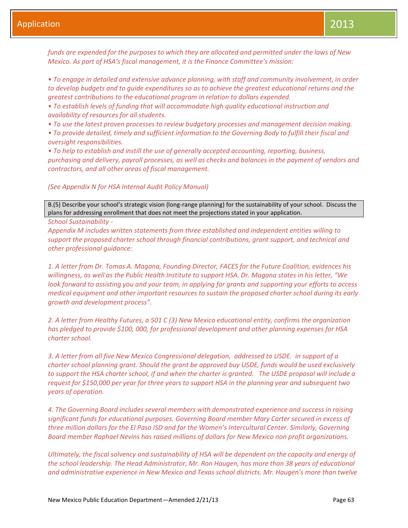*funds are expended for the purposes to which they are allocated and permitted under the laws of New Mexico. As part of HSA's fiscal management, it is the Finance Committee's mission:*

*• To engage in detailed and extensive advance planning, with staff and community involvement, in order to develop budgets and to guide expenditures so as to achieve the greatest educational returns and the greatest contributions to the educational program in relation to dollars expended.*

*• To establish levels of funding that will accommodate high quality educational instruction and availability of resources for all students.*

*• To use the latest proven processes to review budgetary processes and management decision making.* 

*• To provide detailed, timely and sufficient information to the Governing Body to fulfill their fiscal and oversight responsibilities.*

*• To help to establish and instill the use of generally accepted accounting, reporting, business, purchasing and delivery, payroll processes, as well as checks and balances in the payment of vendors and contractors, and all other areas of fiscal management.*

*(See Appendix N for HSA Internal Audit Policy Manual)*

B.(5) Describe your school's strategic vision (long-range planning) for the sustainability of your school. Discuss the plans for addressing enrollment that does not meet the projections stated in your application.

*School Sustainability -*

*Appendix M includes written statements from three established and independent entities willing to support the proposed charter school through financial contributions, grant support, and technical and other professional guidance:*

*1. A letter from Dr. Tomas A. Magana, Founding Director, FACES for the Future Coalition, evidences his willingness, as well as the Public Health Institute to support HSA. Dr. Magana states in his letter, "We look forward to assisting you and your team, in applying for grants and supporting your efforts to access medical equipment and other important resources to sustain the proposed charter school during its early growth and development process".* 

*2. A letter from Healthy Futures, a 501 C (3) New Mexico educational entity, confirms the organization has pledged to provide \$100, 000, for professional development and other planning expenses for HSA charter school.* 

*3. A letter from all five New Mexico Congressional delegation, addressed to USDE. in support of a charter school planning grant. Should the grant be approved buy USDE, funds would be used exclusively to support the HSA charter school, if and when the charter is granted. The USDE proposal will include a request for \$150,000 per year for three years to support HSA in the planning year and subsequent two years of operation.*

*4. The Governing Board includes several members with demonstrated experience and success in raising significant funds for educational purposes. Governing Board member Mary Carter secured in excess of three million dollars for the El Paso ISD and for the Women's Intercultural Center. Similarly, Governing Board member Raphael Nevins has raised millions of dollars for New Mexico non profit organizations.*

*Ultimately, the fiscal solvency and sustainability of HSA will be dependent on the capacity and energy of the school leadership. The Head Administrator, Mr. Ron Haugen, has more than 38 years of educational and administrative experience in New Mexico and Texas school districts. Mr. Haugen's more than twelve*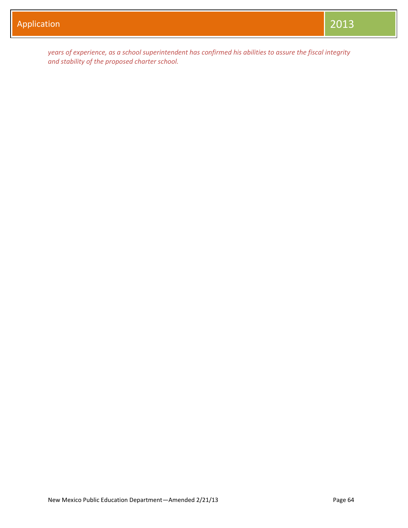*years of experience, as a school superintendent has confirmed his abilities to assure the fiscal integrity and stability of the proposed charter school.*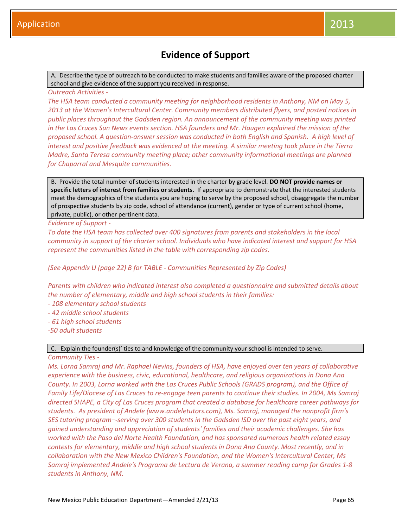## **Evidence of Support**

A. Describe the type of outreach to be conducted to make students and families aware of the proposed charter school and give evidence of the support you received in response.

*Outreach Activities -*

*The HSA team conducted a community meeting for neighborhood residents in Anthony, NM on May 5, 2013 at the Women's Intercultural Center. Community members distributed flyers, and posted notices in public places throughout the Gadsden region. An announcement of the community meeting was printed in the Las Cruces Sun News events section. HSA founders and Mr. Haugen explained the mission of the proposed school. A question-answer session was conducted in both English and Spanish. A high level of interest and positive feedback was evidenced at the meeting. A similar meeting took place in the Tierra Madre, Santa Teresa community meeting place; other community informational meetings are planned for Chaparral and Mesquite communities.*

B. Provide the total number of students interested in the charter by grade level. **DO NOT provide names or specific letters of interest from families or students.** If appropriate to demonstrate that the interested students meet the demographics of the students you are hoping to serve by the proposed school, disaggregate the number of prospective students by zip code, school of attendance (current), gender or type of current school (home, private, public), or other pertinent data.

*Evidence of Support -*

*To date the HSA team has collected over 400 signatures from parents and stakeholders in the local community in support of the charter school. Individuals who have indicated interest and support for HSA represent the communities listed in the table with corresponding zip codes.*

*(See Appendix U (page 22) B for TABLE - Communities Represented by Zip Codes)*

*Parents with children who indicated interest also completed a questionnaire and submitted details about the number of elementary, middle and high school students in their families:* 

- *- 108 elementary school students*
- *- 42 middle school students*
- *- 61 high school students*
- *-50 adult students*

## C. Explain the founder(s)' ties to and knowledge of the community your school is intended to serve.

#### *Community Ties -*

*Ms. Lorna Samraj and Mr. Raphael Nevins, founders of HSA, have enjoyed over ten years of collaborative experience with the business, civic, educational, healthcare, and religious organizations in Dona Ana County. In 2003, Lorna worked with the Las Cruces Public Schools (GRADS program), and the Office of Family Life/Diocese of Las Cruces to re-engage teen parents to continue their studies. In 2004, Ms Samraj directed SHAPE, a City of Las Cruces program that created a database for healthcare career pathways for students. As president of Andele (www.andeletutors.com), Ms. Samraj, managed the nonprofit firm's SES tutoring program–-serving over 300 students in the Gadsden ISD over the past eight years, and gained understanding and appreciation of students' families and their academic challenges. She has worked with the Paso del Norte Health Foundation, and has sponsored numerous health related essay contests for elementary, middle and high school students in Dona Ana County. Most recently, and in collaboration with the New Mexico Children's Foundation, and the Women's Intercultural Center, Ms Samraj implemented Andele's Programa de Lectura de Verana, a summer reading camp for Grades 1-8 students in Anthony, NM.*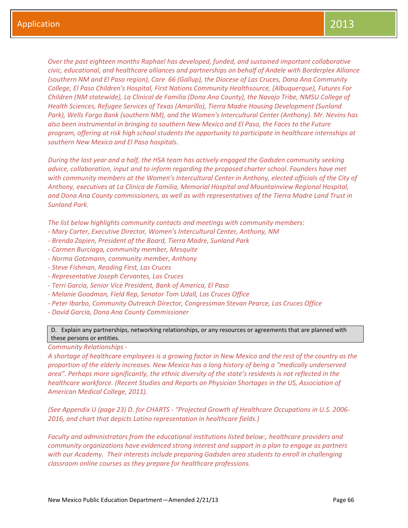*Over the past eighteen months Raphael has developed, funded, and sustained important collaborative civic, educational, and healthcare alliances and partnerships on behalf of Andele with Borderplex Alliance (southern NM and El Paso region), Care 66 (Gallup), the Diocese of Las Cruces, Dona Ana Community College, El Paso Children's Hospital, First Nations Community Healthsource, (Albuquerque), Futures For Children (NM statewide), La Clinical de Familia (Dona Ana County), the Navajo Tribe, NMSU College of Health Sciences, Refugee Services of Texas (Amarillo), Tierra Madre Housing Development (Sunland Park), Wells Fargo Bank (southern NM), and the Women's Intercultural Center (Anthony). Mr. Nevins has also been instrumental in bringing to southern New Mexico and El Paso, the Faces to the Future program, offering at risk high school students the opportunity to participate in healthcare internships at southern New Mexico and El Paso hospitals.*

*During the last year and a half, the HSA team has actively engaged the Gadsden community seeking advice, collaboration, input and to inform regarding the proposed charter school. Founders have met with community members at the Women's Intercultural Center in Anthony, elected officials of the City of Anthony, executives at La Clinica de Familia, Memorial Hospital and Mountainview Regional Hospital, and Dona Ana County commissioners, as well as with representatives of the Tierra Madre Land Trust in Sunland Park.* 

*The list below highlights community contacts and meetings with community members:*

- *- Mary Carter, Executive Director, Women's Intercultural Center, Anthony, NM*
- *- Brenda Zapien, President of the Board, Tierra Madre, Sunland Park*
- *- Carmen Burciaga, community member, Mesquite*
- *- Norma Gotzmann, community member, Anthony*
- *- Steve Fishman, Reading First, Las Cruces*
- *- Representative Joseph Cervantes, Las Cruces*
- *- Terri Garcia, Senior Vice President, Bank of America, El Paso*
- *- Melanie Goodman, Field Rep, Senator Tom Udall, Las Cruces Office*
- *- Peter Ibarbo, Community Outreach Director, Congressman Stevan Pearce, Las Cruces Office*
- *- David Garcia, Dona Ana County Commissioner*

D. Explain any partnerships, networking relationships, or any resources or agreements that are planned with these persons or entities.

*Community Relationships -*

*A shortage of healthcare employees is a growing factor in New Mexico and the rest of the country as the proportion of the elderly increases. New Mexico has a long history of being a "medically underserved area". Perhaps more significantly, the ethnic diversity of the state's residents is not reflected in the healthcare workforce. (Recent Studies and Reports on Physician Shortages in the US, Association of American Medical College, 2011).* 

*(See Appendix U (page 23) D. for CHARTS - "Projected Growth of Healthcare Occupations in U.S. 2006- 2016, and chart that depicts Latino representation in healthcare fields.)*

*Faculty and administrators from the educational institutions listed below:, healthcare providers and community organizations have evidenced strong interest and support in a plan to engage as partners with our Academy. Their interests include preparing Gadsden area students to enroll in challenging classroom online courses as they prepare for healthcare professions.*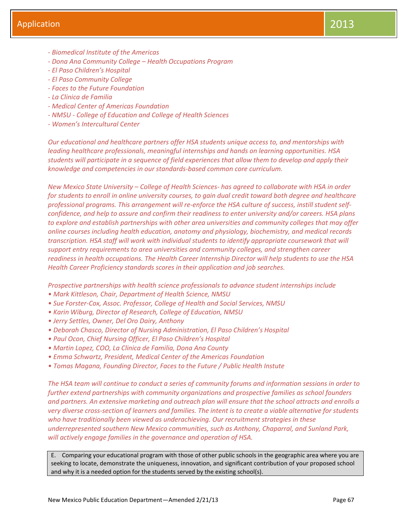- *- Biomedical Institute of the Americas*
- *- Dona Ana Community College – Health Occupations Program*
- *- El Paso Children's Hospital*
- *- El Paso Community College*
- *- Faces to the Future Foundation*
- *- La Clinica de Familia*
- *- Medical Center of Americas Foundation*
- *- NMSU - College of Education and College of Health Sciences*
- *- Women's Intercultural Center*

*Our educational and healthcare partners offer HSA students unique access to, and mentorships with leading healthcare professionals, meaningful internships and hands on learning opportunities. HSA students will participate in a sequence of field experiences that allow them to develop and apply their knowledge and competencies in our standards-based common core curriculum.* 

*New Mexico State University – College of Health Sciences- has agreed to collaborate with HSA in order for students to enroll in online university courses, to gain dual credit toward both degree and healthcare professional programs. This arrangement will re-enforce the HSA culture of success, instill student selfconfidence, and help to assure and confirm their readiness to enter university and/or careers. HSA plans to explore and establish partnerships with other area universities and community colleges that may offer online courses including health education, anatomy and physiology, biochemistry, and medical records transcription. HSA staff will work with individual students to identify appropriate coursework that will support entry requirements to area universities and community colleges, and strengthen career readiness in health occupations. The Health Career Internship Director will help students to use the HSA Health Career Proficiency standards scores in their application and job searches.*

*Prospective partnerships with health science professionals to advance student internships include*

- *• Mark Kittleson, Chair, Department of Health Science, NMSU*
- *• Sue Forster-Cox, Assoc. Professor, College of Health and Social Services, NMSU*
- *• Karin Wiburg, Director of Research, College of Education, NMSU*
- *• Jerry Settles, Owner, Del Oro Dairy, Anthony*
- *• Deborah Chasco, Director of Nursing Administration, El Paso Children's Hospital*
- *• Paul Ocon, Chief Nursing Officer, El Paso Children's Hospital*
- *• Martin Lopez, COO, La Clinica de Familia, Dona Ana County*
- *• Emma Schwartz, President, Medical Center of the Americas Foundation*
- *• Tomas Magana, Founding Director, Faces to the Future / Public Health Instute*

*The HSA team will continue to conduct a series of community forums and information sessions in order to further extend partnerships with community organizations and prospective families as school founders and partners. An extensive marketing and outreach plan will ensure that the school attracts and enrolls a very diverse cross-section of learners and families. The intent is to create a viable alternative for students who have traditionally been viewed as underachieving. Our recruitment strategies in these underrepresented southern New Mexico communities, such as Anthony, Chaparral, and Sunland Park, will actively engage families in the governance and operation of HSA.*

E. Comparing your educational program with those of other public schools in the geographic area where you are seeking to locate, demonstrate the uniqueness, innovation, and significant contribution of your proposed school and why it is a needed option for the students served by the existing school(s).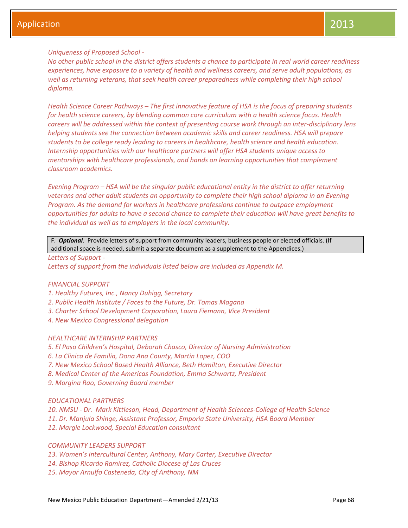## *Uniqueness of Proposed School -*

*No other public school in the district offers students a chance to participate in real world career readiness experiences, have exposure to a variety of health and wellness careers, and serve adult populations, as well as returning veterans, that seek health career preparedness while completing their high school diploma.* 

*Health Science Career Pathways – The first innovative feature of HSA is the focus of preparing students for health science careers, by blending common core curriculum with a health science focus. Health careers will be addressed within the context of presenting course work through an inter-disciplinary lens helping students see the connection between academic skills and career readiness. HSA will prepare students to be college ready leading to careers in healthcare, health science and health education. Internship opportunities with our healthcare partners will offer HSA students unique access to mentorships with healthcare professionals, and hands on learning opportunities that complement classroom academics.* 

*Evening Program – HSA will be the singular public educational entity in the district to offer returning veterans and other adult students an opportunity to complete their high school diploma in an Evening Program. As the demand for workers in healthcare professions continue to outpace employment opportunities for adults to have a second chance to complete their education will have great benefits to the individual as well as to employers in the local community.* 

F. *Optional*. Provide letters of support from community leaders, business people or elected officials. (If additional space is needed, submit a separate document as a supplement to the Appendices.)

#### *Letters of Support -*

*Letters of support from the individuals listed below are included as Appendix M.*

## *FINANCIAL SUPPORT*

- *1. Healthy Futures, Inc., Nancy Duhigg, Secretary*
- *2. Public Health Institute / Faces to the Future, Dr. Tomas Magana*
- *3. Charter School Development Corporation, Laura Fiemann, Vice President*
- *4. New Mexico Congressional delegation*

## *HEALTHCARE INTERNSHIP PARTNERS*

- *5. El Paso Children's Hospital, Deborah Chasco, Director of Nursing Administration*
- *6. La Clinica de Familia, Dona Ana County, Martin Lopez, COO*
- *7. New Mexico School Based Health Alliance, Beth Hamilton, Executive Director*
- *8. Medical Center of the Americas Foundation, Emma Schwartz, President*
- *9. Morgina Rao, Governing Board member*

#### *EDUCATIONAL PARTNERS*

*10. NMSU - Dr. Mark Kittleson, Head, Department of Health Sciences-College of Health Science 11. Dr. Manjula Shinge, Assistant Professor, Emporia State University, HSA Board Member 12. Margie Lockwood, Special Education consultant*

## *COMMUNITY LEADERS SUPPORT*

- *13. Women's Intercultural Center, Anthony, Mary Carter, Executive Director*
- *14. Bishop Ricardo Ramirez, Catholic Diocese of Las Cruces*
- *15. Mayor Arnulfo Casteneda, City of Anthony, NM*